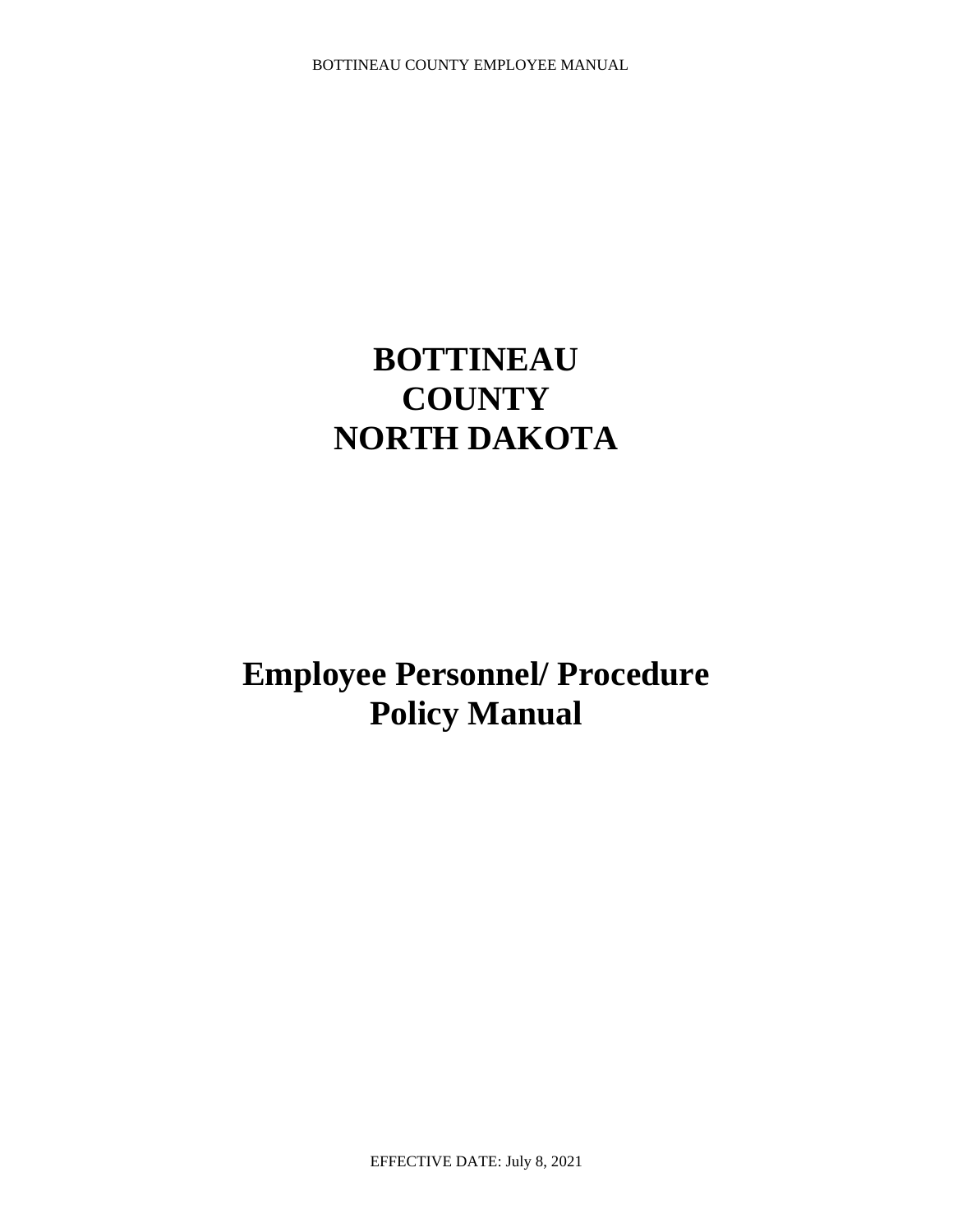# **BOTTINEAU COUNTY NORTH DAKOTA**

**Employee Personnel/ Procedure Policy Manual**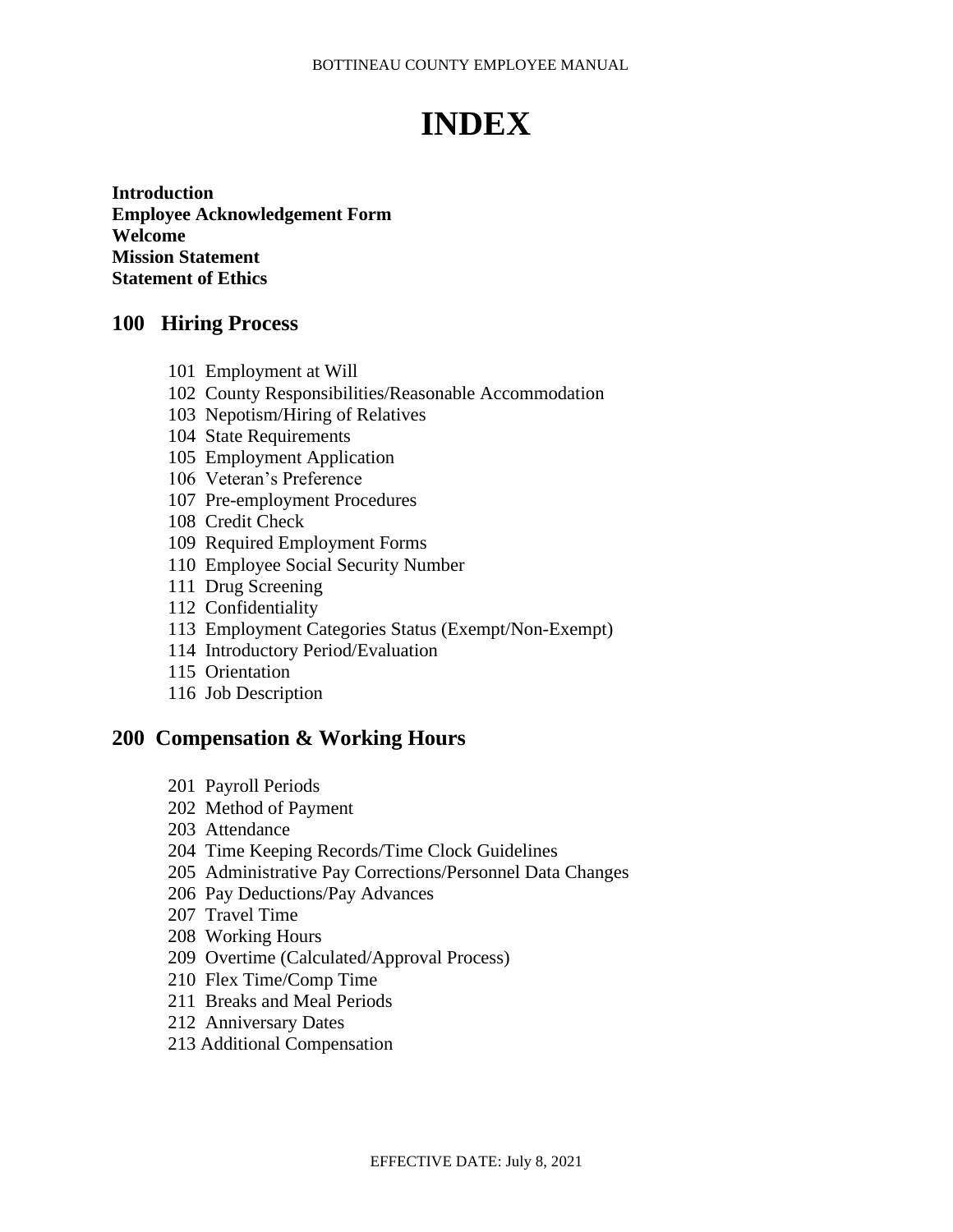# **INDEX**

**Introduction Employee Acknowledgement Form Welcome Mission Statement Statement of Ethics**

### **100 Hiring Process**

- 101 Employment at Will
- 102 County Responsibilities/Reasonable Accommodation
- 103 Nepotism/Hiring of Relatives
- 104 State Requirements
- 105 Employment Application
- 106 Veteran's Preference
- 107 Pre-employment Procedures
- 108 Credit Check
- 109 Required Employment Forms
- 110 Employee Social Security Number
- 111 Drug Screening
- 112 Confidentiality
- 113 Employment Categories Status (Exempt/Non-Exempt)
- 114 Introductory Period/Evaluation
- 115 Orientation
- 116 Job Description

### **200 Compensation & Working Hours**

- 201 Payroll Periods
- 202 Method of Payment
- 203 Attendance
- 204 Time Keeping Records/Time Clock Guidelines
- 205 Administrative Pay Corrections/Personnel Data Changes
- 206 Pay Deductions/Pay Advances
- 207 Travel Time
- 208 Working Hours
- 209 Overtime (Calculated/Approval Process)
- 210 Flex Time/Comp Time
- 211 Breaks and Meal Periods
- 212 Anniversary Dates
- 213 Additional Compensation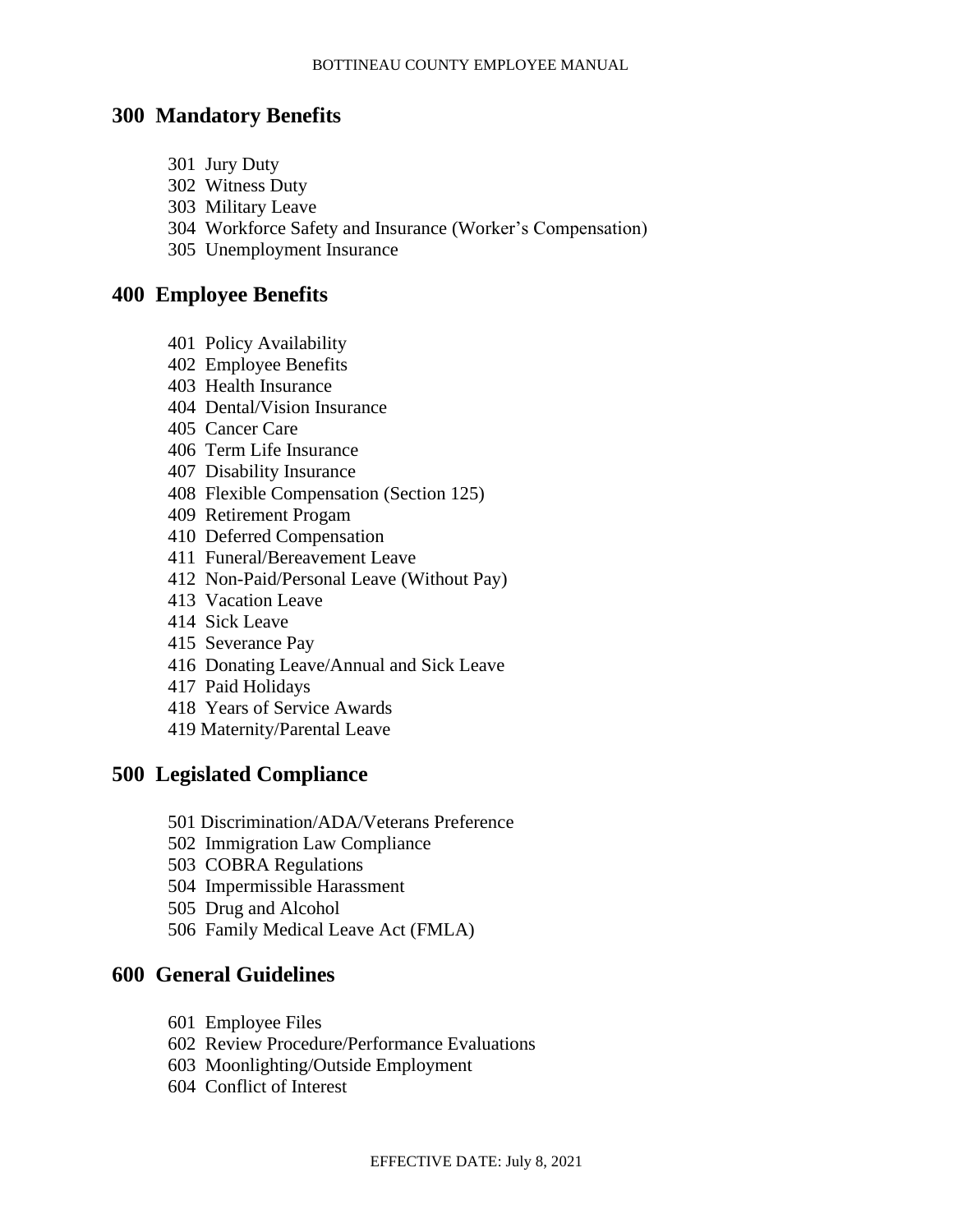### **300 Mandatory Benefits**

- 301 Jury Duty
- 302 Witness Duty
- 303 Military Leave
- 304 Workforce Safety and Insurance (Worker's Compensation)
- 305 Unemployment Insurance

### **400 Employee Benefits**

- 401 Policy Availability
- 402 Employee Benefits
- 403 Health Insurance
- 404 Dental/Vision Insurance
- 405 Cancer Care
- 406 Term Life Insurance
- 407 Disability Insurance
- 408 Flexible Compensation (Section 125)
- 409 Retirement Progam
- 410 Deferred Compensation
- 411 Funeral/Bereavement Leave
- 412 Non-Paid/Personal Leave (Without Pay)
- 413 Vacation Leave
- 414 Sick Leave
- 415 Severance Pay
- 416 Donating Leave/Annual and Sick Leave
- 417 Paid Holidays
- 418 Years of Service Awards
- 419 Maternity/Parental Leave

### **500 Legislated Compliance**

- 501 Discrimination/ADA/Veterans Preference
- 502 Immigration Law Compliance
- 503 COBRA Regulations
- 504 Impermissible Harassment
- 505 Drug and Alcohol
- 506 Family Medical Leave Act (FMLA)

### **600 General Guidelines**

- 601 Employee Files
- 602 Review Procedure/Performance Evaluations
- 603 Moonlighting/Outside Employment
- 604 Conflict of Interest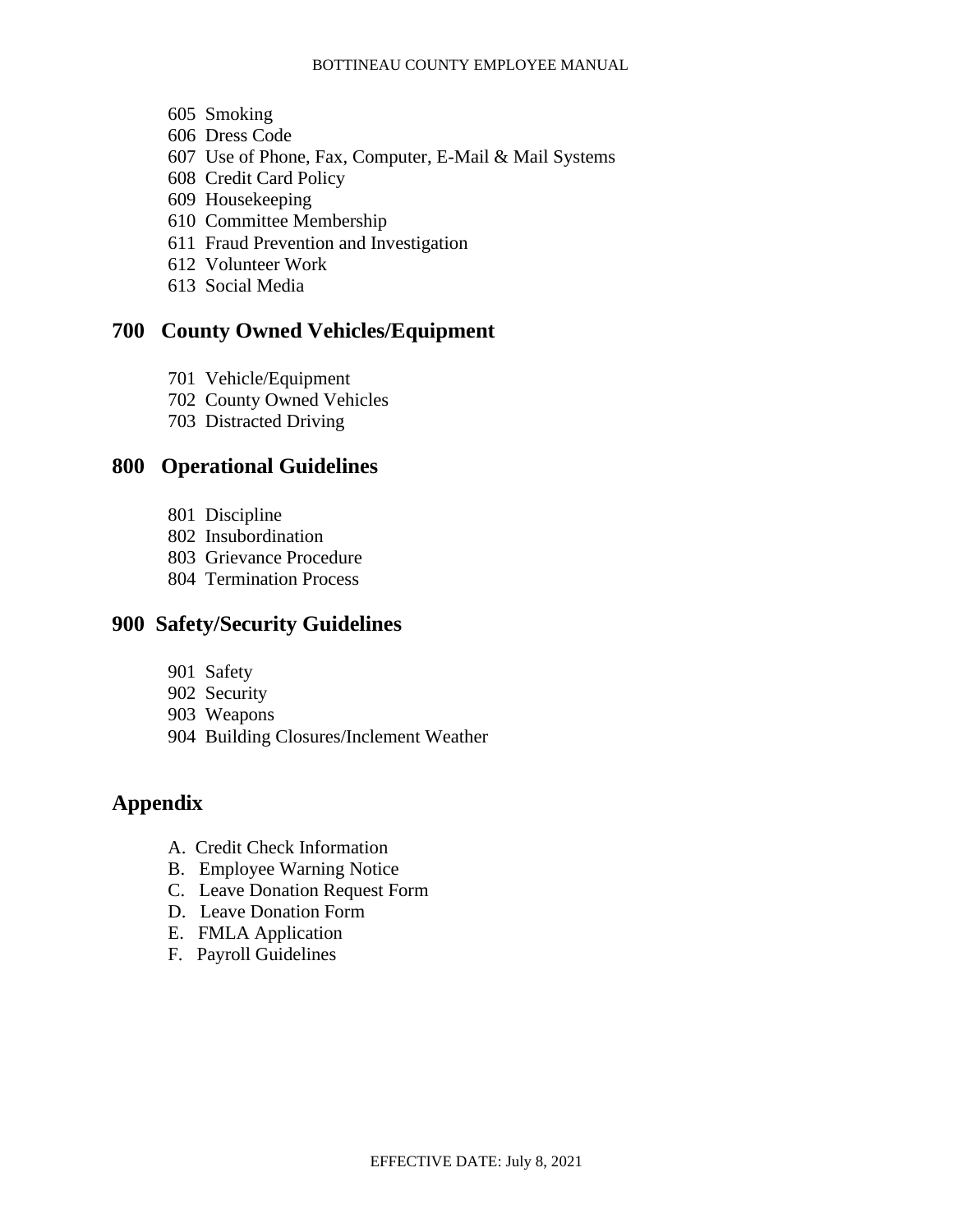- 605 Smoking
- 606 Dress Code
- 607 Use of Phone, Fax, Computer, E-Mail & Mail Systems
- 608 Credit Card Policy
- 609 Housekeeping
- 610 Committee Membership
- 611 Fraud Prevention and Investigation
- 612 Volunteer Work
- 613 Social Media

# **700 County Owned Vehicles/Equipment**

- 701 Vehicle/Equipment
- 702 County Owned Vehicles
- 703 Distracted Driving

# **800 Operational Guidelines**

- 801 Discipline
- 802 Insubordination
- 803 Grievance Procedure
- 804 Termination Process

# **900 Safety/Security Guidelines**

- 901 Safety
- 902 Security
- 903 Weapons
- 904 Building Closures/Inclement Weather

# **Appendix**

- A. Credit Check Information
- B. Employee Warning Notice
- C. Leave Donation Request Form
- D. Leave Donation Form
- E. FMLA Application
- F. Payroll Guidelines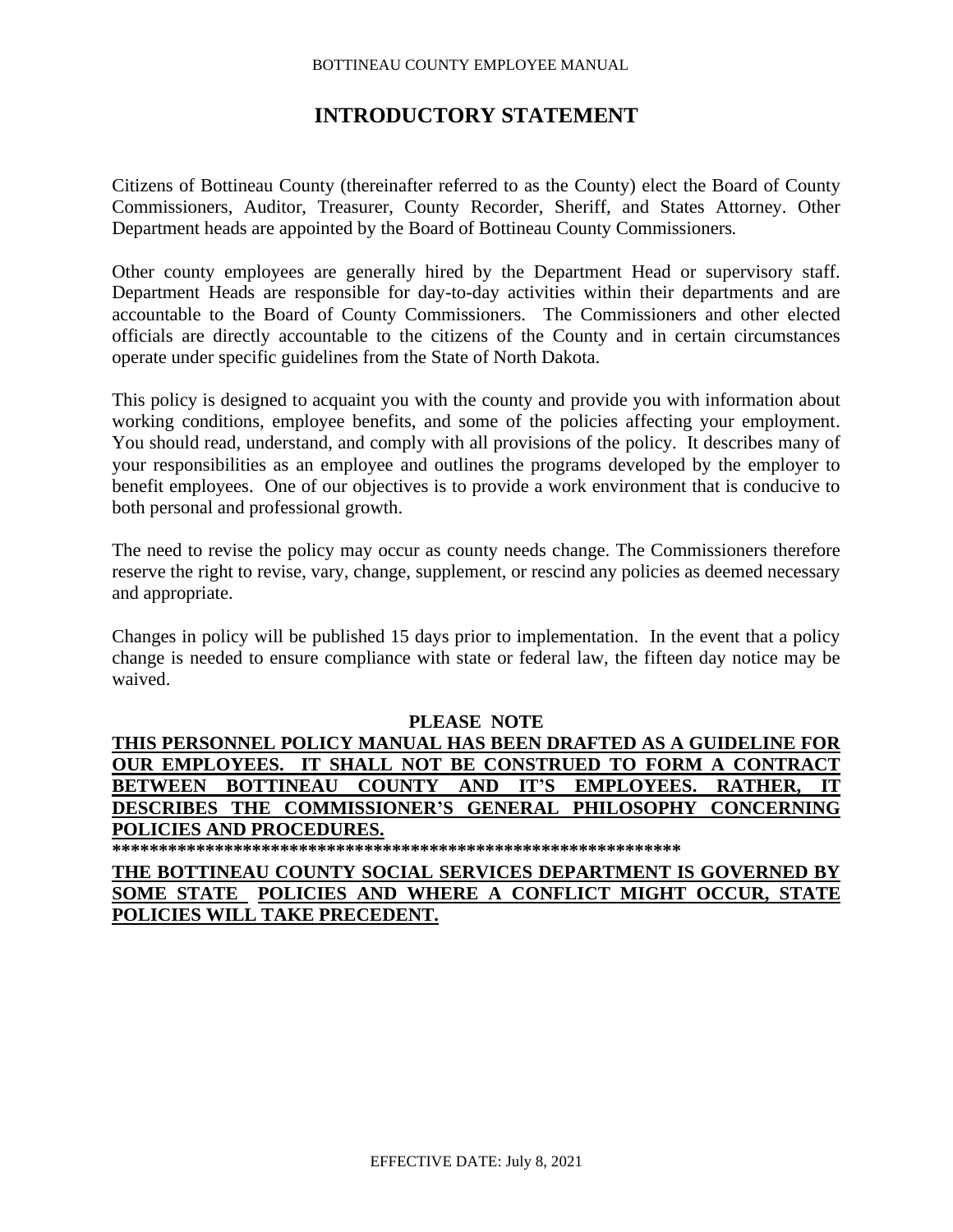### **INTRODUCTORY STATEMENT**

Citizens of Bottineau County (thereinafter referred to as the County) elect the Board of County Commissioners, Auditor, Treasurer, County Recorder, Sheriff, and States Attorney. Other Department heads are appointed by the Board of Bottineau County Commissioners*.*

Other county employees are generally hired by the Department Head or supervisory staff. Department Heads are responsible for day-to-day activities within their departments and are accountable to the Board of County Commissioners. The Commissioners and other elected officials are directly accountable to the citizens of the County and in certain circumstances operate under specific guidelines from the State of North Dakota.

This policy is designed to acquaint you with the county and provide you with information about working conditions, employee benefits, and some of the policies affecting your employment. You should read, understand, and comply with all provisions of the policy. It describes many of your responsibilities as an employee and outlines the programs developed by the employer to benefit employees. One of our objectives is to provide a work environment that is conducive to both personal and professional growth.

The need to revise the policy may occur as county needs change. The Commissioners therefore reserve the right to revise, vary, change, supplement, or rescind any policies as deemed necessary and appropriate.

Changes in policy will be published 15 days prior to implementation. In the event that a policy change is needed to ensure compliance with state or federal law, the fifteen day notice may be waived.

#### **PLEASE NOTE**

**THIS PERSONNEL POLICY MANUAL HAS BEEN DRAFTED AS A GUIDELINE FOR OUR EMPLOYEES. IT SHALL NOT BE CONSTRUED TO FORM A CONTRACT BETWEEN BOTTINEAU COUNTY AND IT'S EMPLOYEES. RATHER, IT DESCRIBES THE COMMISSIONER'S GENERAL PHILOSOPHY CONCERNING POLICIES AND PROCEDURES.**

**\*\*\*\*\*\*\*\*\*\*\*\*\*\*\*\*\*\*\*\*\*\*\*\*\*\*\*\*\*\*\*\*\*\*\*\*\*\*\*\*\*\*\*\*\*\*\*\*\*\*\*\*\*\*\*\*\*\*\*\*\***

**THE BOTTINEAU COUNTY SOCIAL SERVICES DEPARTMENT IS GOVERNED BY SOME STATE POLICIES AND WHERE A CONFLICT MIGHT OCCUR, STATE POLICIES WILL TAKE PRECEDENT.**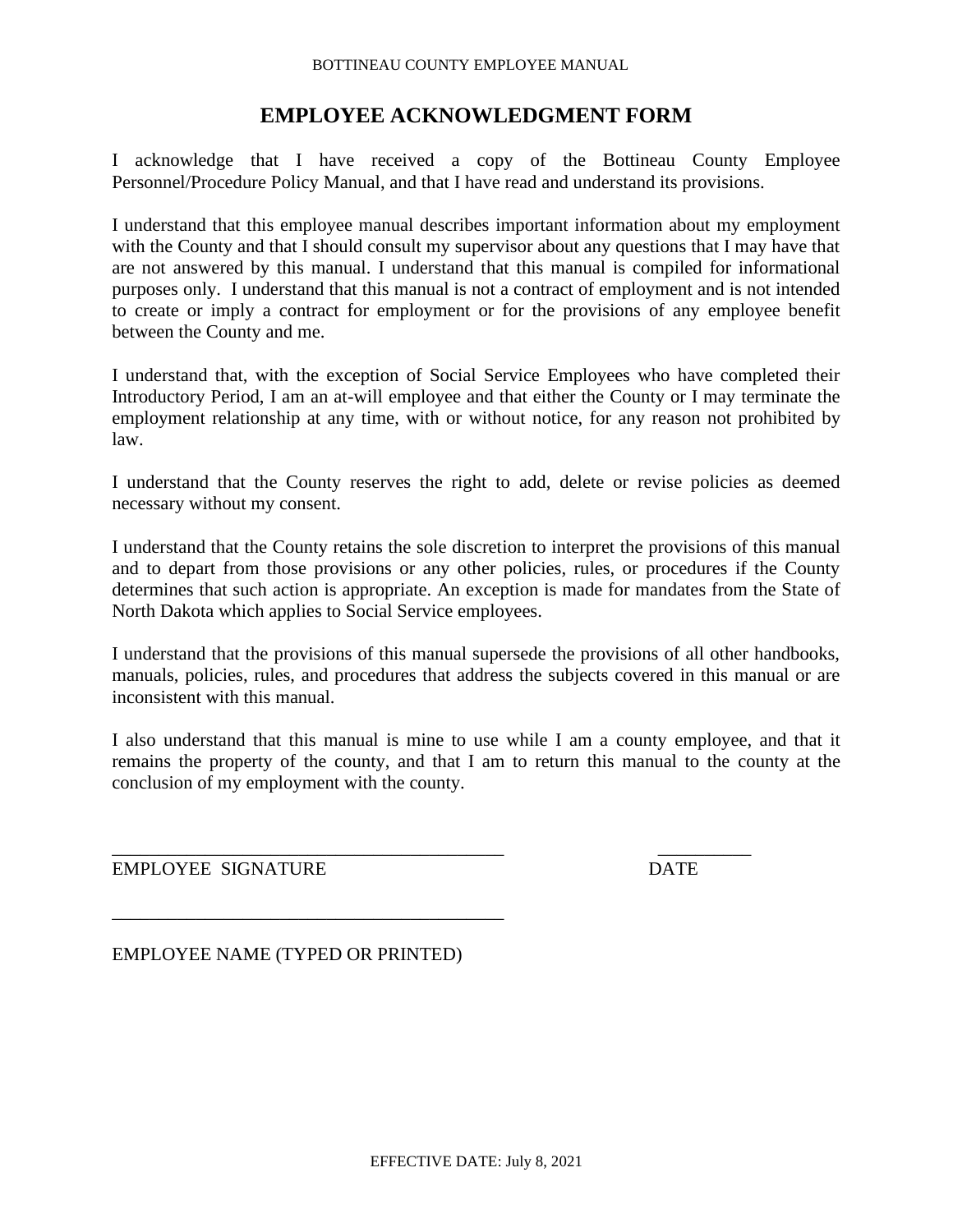# **EMPLOYEE ACKNOWLEDGMENT FORM**

I acknowledge that I have received a copy of the Bottineau County Employee Personnel/Procedure Policy Manual, and that I have read and understand its provisions.

I understand that this employee manual describes important information about my employment with the County and that I should consult my supervisor about any questions that I may have that are not answered by this manual. I understand that this manual is compiled for informational purposes only. I understand that this manual is not a contract of employment and is not intended to create or imply a contract for employment or for the provisions of any employee benefit between the County and me.

I understand that, with the exception of Social Service Employees who have completed their Introductory Period, I am an at-will employee and that either the County or I may terminate the employment relationship at any time, with or without notice, for any reason not prohibited by law.

I understand that the County reserves the right to add, delete or revise policies as deemed necessary without my consent.

I understand that the County retains the sole discretion to interpret the provisions of this manual and to depart from those provisions or any other policies, rules, or procedures if the County determines that such action is appropriate. An exception is made for mandates from the State of North Dakota which applies to Social Service employees.

I understand that the provisions of this manual supersede the provisions of all other handbooks, manuals, policies, rules, and procedures that address the subjects covered in this manual or are inconsistent with this manual.

I also understand that this manual is mine to use while I am a county employee, and that it remains the property of the county, and that I am to return this manual to the county at the conclusion of my employment with the county.

\_\_\_\_\_\_\_\_\_\_\_\_\_\_\_\_\_\_\_\_\_\_\_\_\_\_\_\_\_\_\_\_\_\_\_\_\_\_\_\_\_\_ \_\_\_\_\_\_\_\_\_\_

EMPLOYEE SIGNATURE DATE

EMPLOYEE NAME (TYPED OR PRINTED)

\_\_\_\_\_\_\_\_\_\_\_\_\_\_\_\_\_\_\_\_\_\_\_\_\_\_\_\_\_\_\_\_\_\_\_\_\_\_\_\_\_\_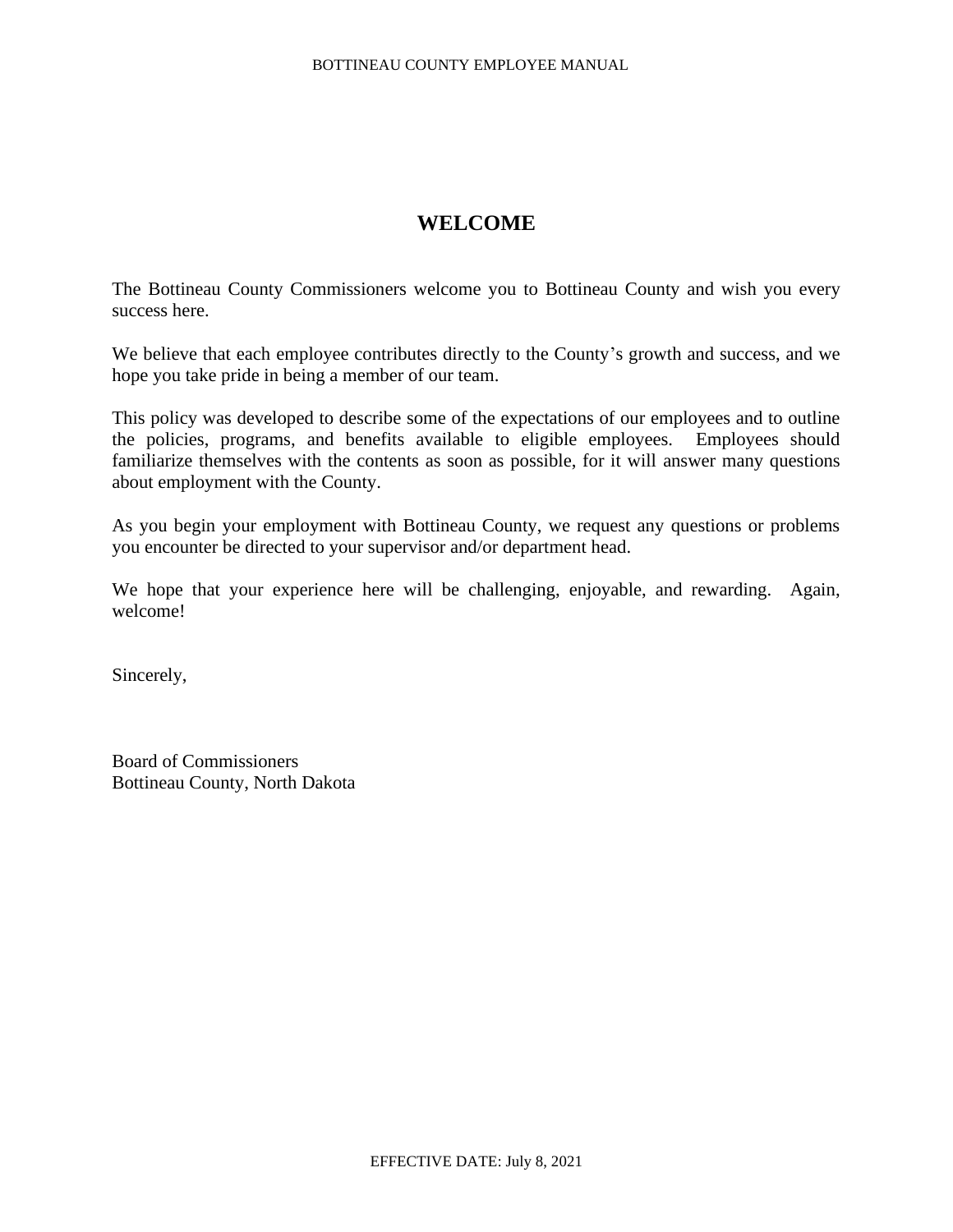# **WELCOME**

The Bottineau County Commissioners welcome you to Bottineau County and wish you every success here.

We believe that each employee contributes directly to the County's growth and success, and we hope you take pride in being a member of our team.

This policy was developed to describe some of the expectations of our employees and to outline the policies, programs, and benefits available to eligible employees. Employees should familiarize themselves with the contents as soon as possible, for it will answer many questions about employment with the County.

As you begin your employment with Bottineau County, we request any questions or problems you encounter be directed to your supervisor and/or department head.

We hope that your experience here will be challenging, enjoyable, and rewarding. Again, welcome!

Sincerely,

Board of Commissioners Bottineau County, North Dakota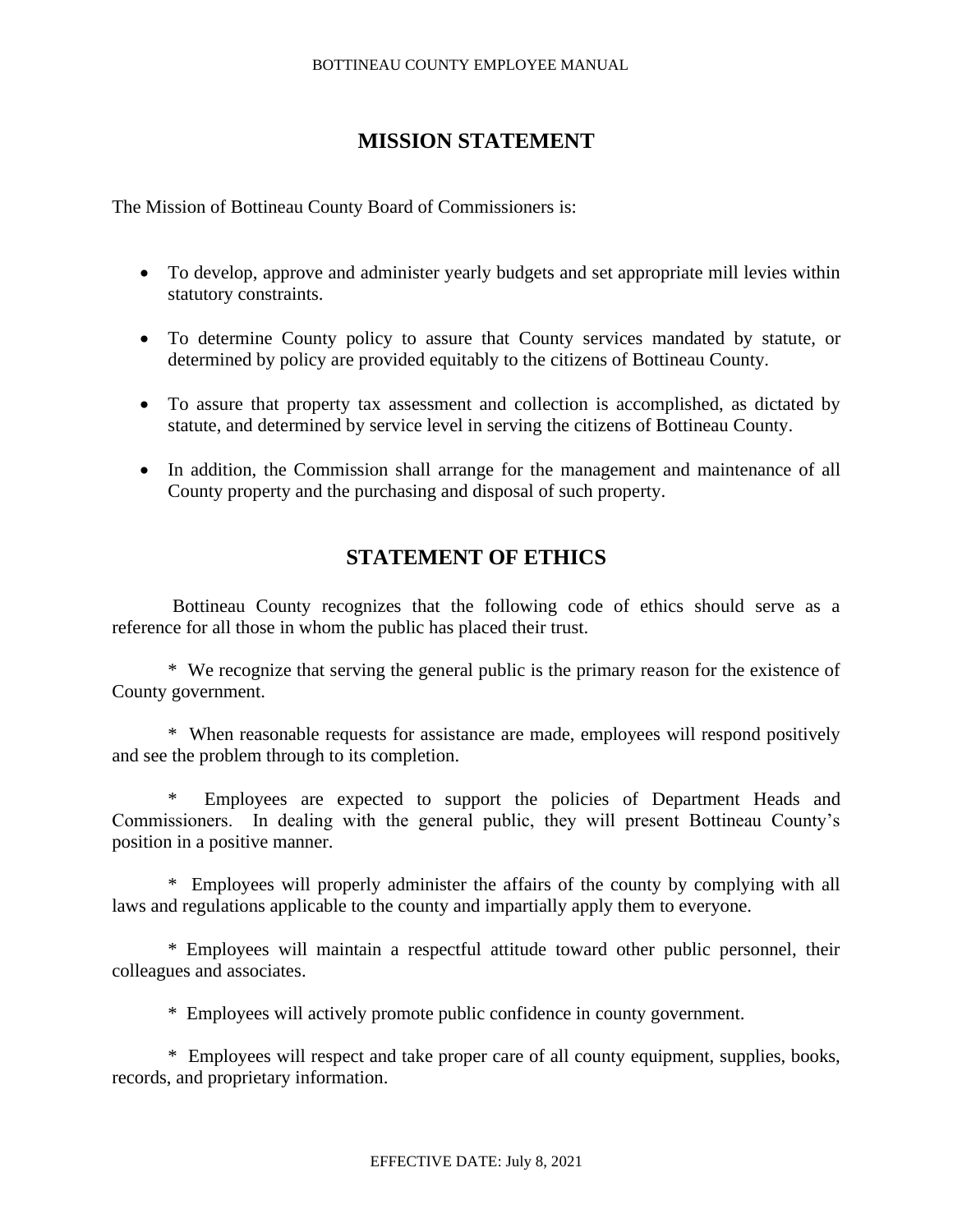# **MISSION STATEMENT**

The Mission of Bottineau County Board of Commissioners is:

- To develop, approve and administer yearly budgets and set appropriate mill levies within statutory constraints.
- To determine County policy to assure that County services mandated by statute, or determined by policy are provided equitably to the citizens of Bottineau County.
- To assure that property tax assessment and collection is accomplished, as dictated by statute, and determined by service level in serving the citizens of Bottineau County.
- In addition, the Commission shall arrange for the management and maintenance of all County property and the purchasing and disposal of such property.

# **STATEMENT OF ETHICS**

Bottineau County recognizes that the following code of ethics should serve as a reference for all those in whom the public has placed their trust.

\* We recognize that serving the general public is the primary reason for the existence of County government.

\* When reasonable requests for assistance are made, employees will respond positively and see the problem through to its completion.

\* Employees are expected to support the policies of Department Heads and Commissioners. In dealing with the general public, they will present Bottineau County's position in a positive manner.

\* Employees will properly administer the affairs of the county by complying with all laws and regulations applicable to the county and impartially apply them to everyone.

\* Employees will maintain a respectful attitude toward other public personnel, their colleagues and associates.

\* Employees will actively promote public confidence in county government.

\* Employees will respect and take proper care of all county equipment, supplies, books, records, and proprietary information.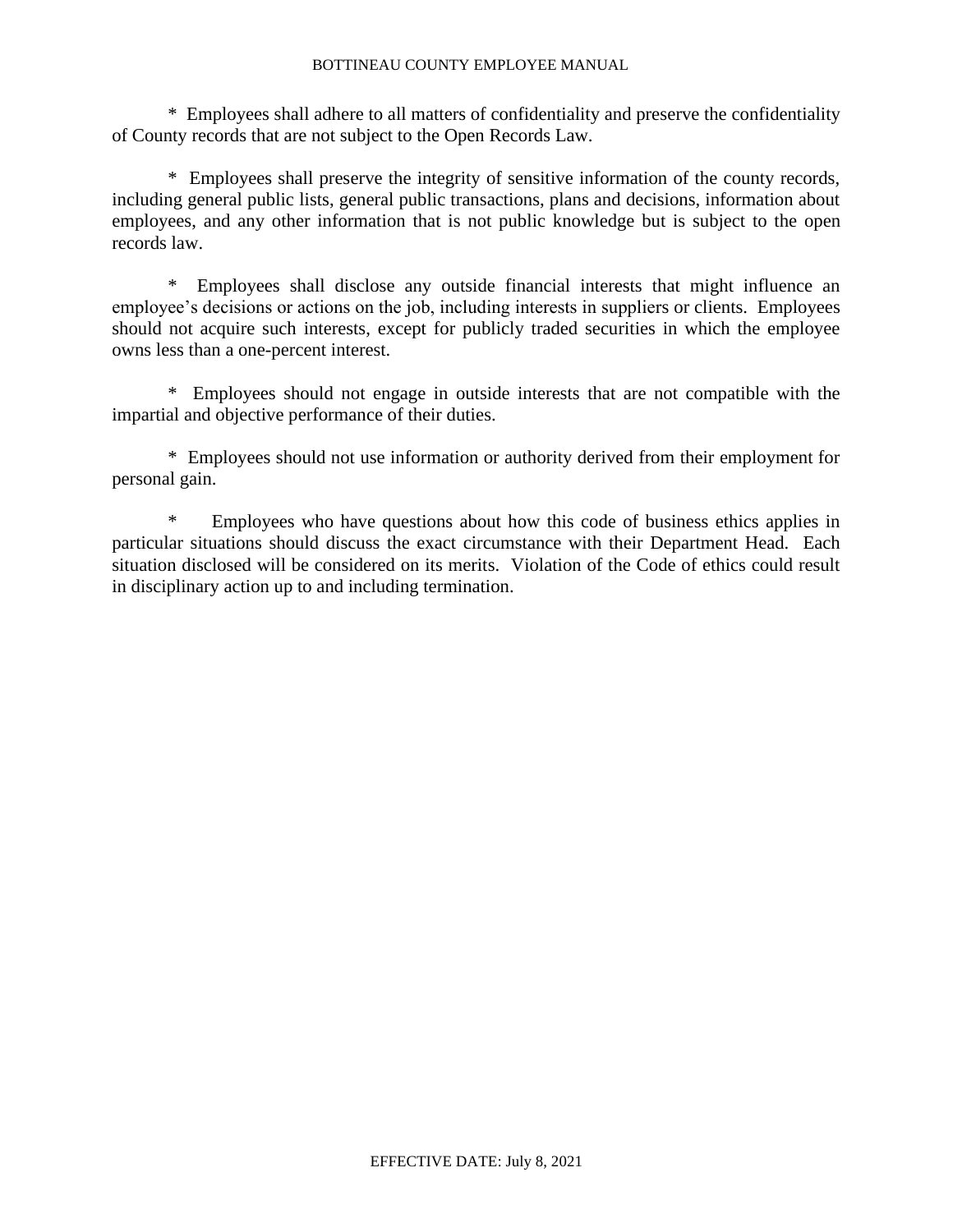\* Employees shall adhere to all matters of confidentiality and preserve the confidentiality of County records that are not subject to the Open Records Law.

\* Employees shall preserve the integrity of sensitive information of the county records, including general public lists, general public transactions, plans and decisions, information about employees, and any other information that is not public knowledge but is subject to the open records law.

\* Employees shall disclose any outside financial interests that might influence an employee's decisions or actions on the job, including interests in suppliers or clients. Employees should not acquire such interests, except for publicly traded securities in which the employee owns less than a one-percent interest.

\* Employees should not engage in outside interests that are not compatible with the impartial and objective performance of their duties.

\* Employees should not use information or authority derived from their employment for personal gain.

\* Employees who have questions about how this code of business ethics applies in particular situations should discuss the exact circumstance with their Department Head. Each situation disclosed will be considered on its merits. Violation of the Code of ethics could result in disciplinary action up to and including termination.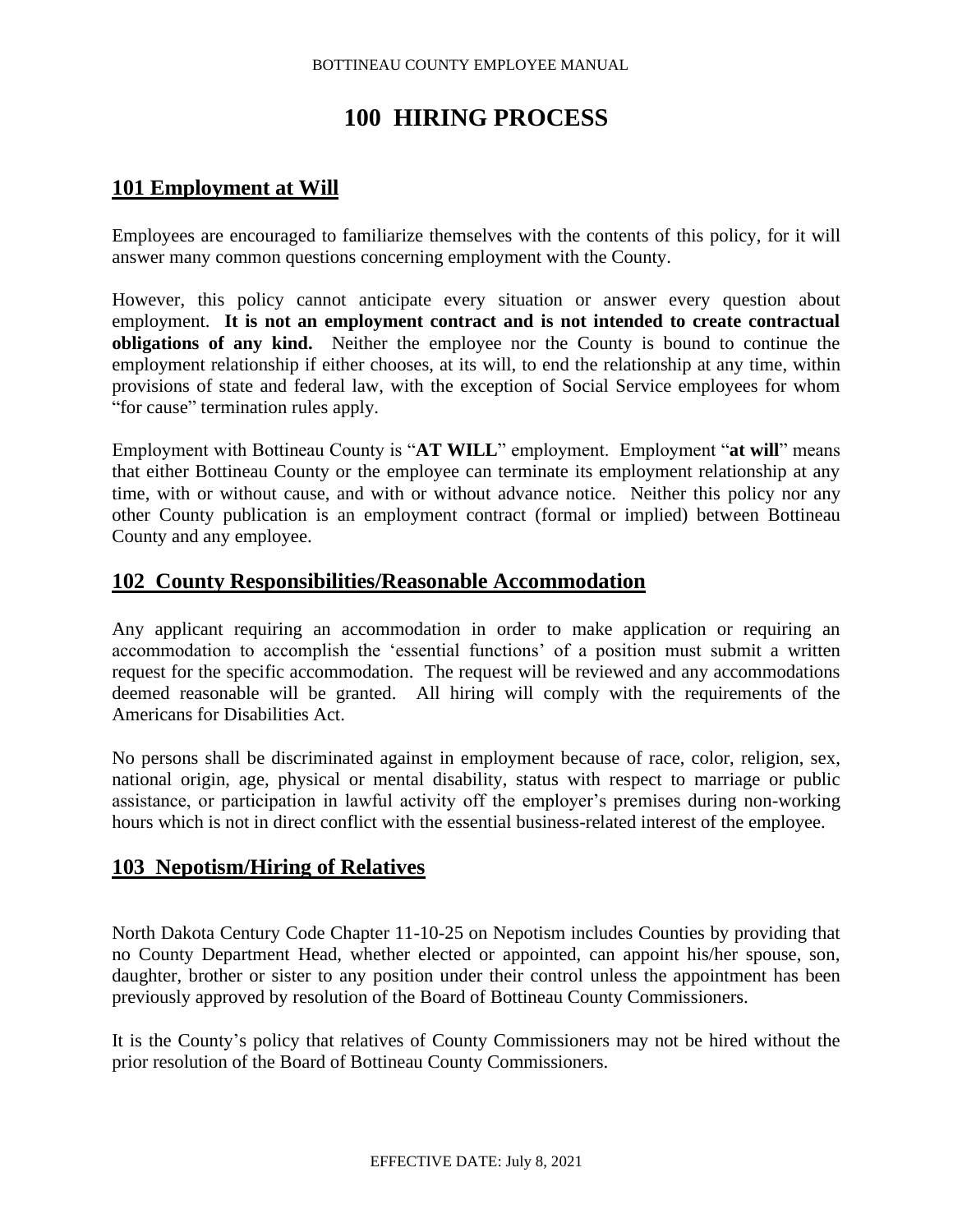# **100 HIRING PROCESS**

# **101 Employment at Will**

Employees are encouraged to familiarize themselves with the contents of this policy, for it will answer many common questions concerning employment with the County.

However, this policy cannot anticipate every situation or answer every question about employment. **It is not an employment contract and is not intended to create contractual obligations of any kind.** Neither the employee nor the County is bound to continue the employment relationship if either chooses, at its will, to end the relationship at any time, within provisions of state and federal law, with the exception of Social Service employees for whom "for cause" termination rules apply.

Employment with Bottineau County is "**AT WILL**" employment. Employment "**at will**" means that either Bottineau County or the employee can terminate its employment relationship at any time, with or without cause, and with or without advance notice. Neither this policy nor any other County publication is an employment contract (formal or implied) between Bottineau County and any employee.

# **102 County Responsibilities/Reasonable Accommodation**

Any applicant requiring an accommodation in order to make application or requiring an accommodation to accomplish the 'essential functions' of a position must submit a written request for the specific accommodation. The request will be reviewed and any accommodations deemed reasonable will be granted. All hiring will comply with the requirements of the Americans for Disabilities Act.

No persons shall be discriminated against in employment because of race, color, religion, sex, national origin, age, physical or mental disability, status with respect to marriage or public assistance, or participation in lawful activity off the employer's premises during non-working hours which is not in direct conflict with the essential business-related interest of the employee.

# **103 Nepotism/Hiring of Relatives**

North Dakota Century Code Chapter 11-10-25 on Nepotism includes Counties by providing that no County Department Head, whether elected or appointed, can appoint his/her spouse, son, daughter, brother or sister to any position under their control unless the appointment has been previously approved by resolution of the Board of Bottineau County Commissioners.

It is the County's policy that relatives of County Commissioners may not be hired without the prior resolution of the Board of Bottineau County Commissioners.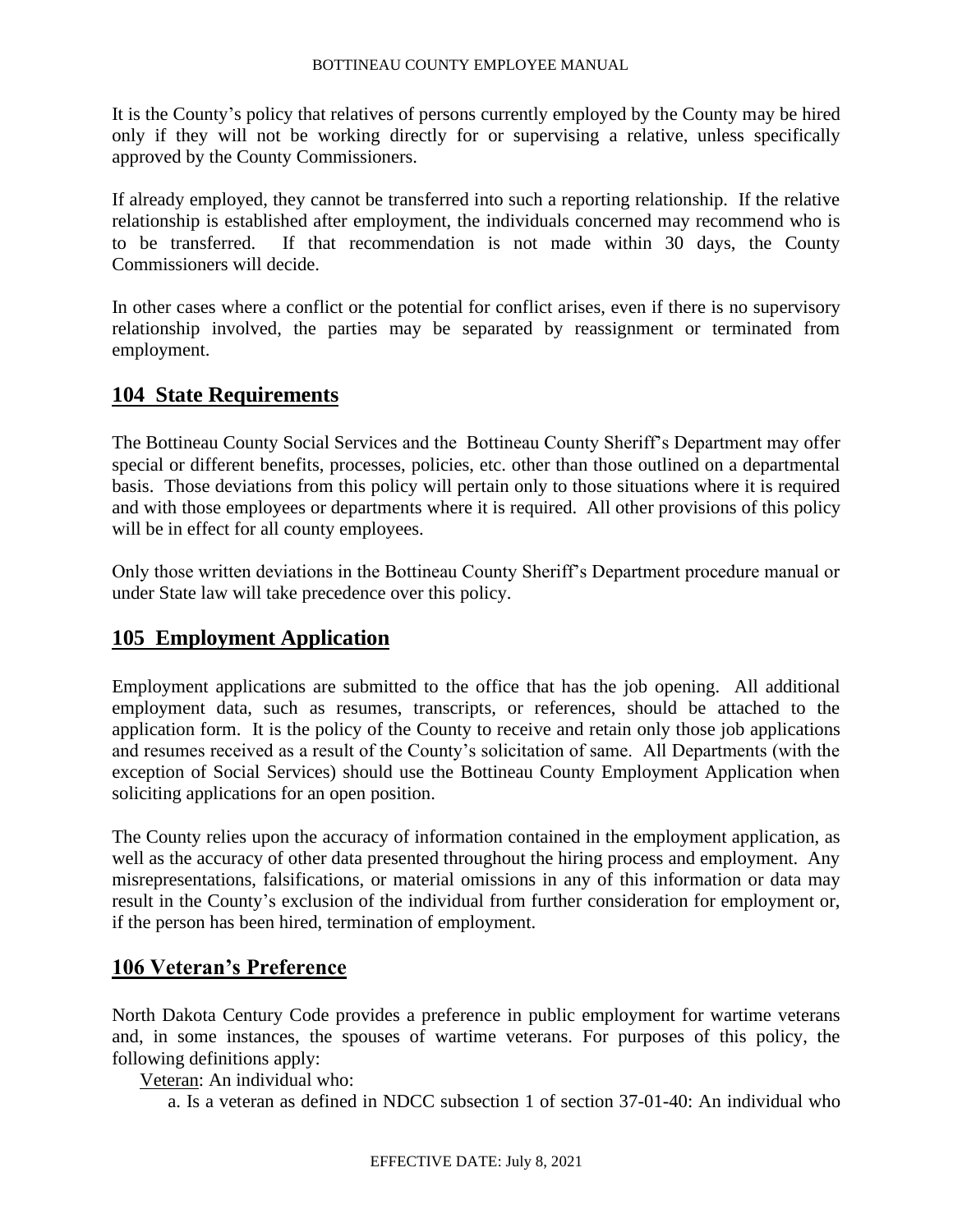It is the County's policy that relatives of persons currently employed by the County may be hired only if they will not be working directly for or supervising a relative, unless specifically approved by the County Commissioners.

If already employed, they cannot be transferred into such a reporting relationship. If the relative relationship is established after employment, the individuals concerned may recommend who is to be transferred. If that recommendation is not made within 30 days, the County Commissioners will decide.

In other cases where a conflict or the potential for conflict arises, even if there is no supervisory relationship involved, the parties may be separated by reassignment or terminated from employment.

# **104 State Requirements**

The Bottineau County Social Services and the Bottineau County Sheriff's Department may offer special or different benefits, processes, policies, etc. other than those outlined on a departmental basis. Those deviations from this policy will pertain only to those situations where it is required and with those employees or departments where it is required. All other provisions of this policy will be in effect for all county employees.

Only those written deviations in the Bottineau County Sheriff's Department procedure manual or under State law will take precedence over this policy.

# **105 Employment Application**

Employment applications are submitted to the office that has the job opening. All additional employment data, such as resumes, transcripts, or references, should be attached to the application form. It is the policy of the County to receive and retain only those job applications and resumes received as a result of the County's solicitation of same. All Departments (with the exception of Social Services) should use the Bottineau County Employment Application when soliciting applications for an open position.

The County relies upon the accuracy of information contained in the employment application, as well as the accuracy of other data presented throughout the hiring process and employment. Any misrepresentations, falsifications, or material omissions in any of this information or data may result in the County's exclusion of the individual from further consideration for employment or, if the person has been hired, termination of employment.

# **106 Veteran's Preference**

North Dakota Century Code provides a preference in public employment for wartime veterans and, in some instances, the spouses of wartime veterans. For purposes of this policy, the following definitions apply:

Veteran: An individual who:

a. Is a veteran as defined in NDCC subsection 1 of section 37-01-40: An individual who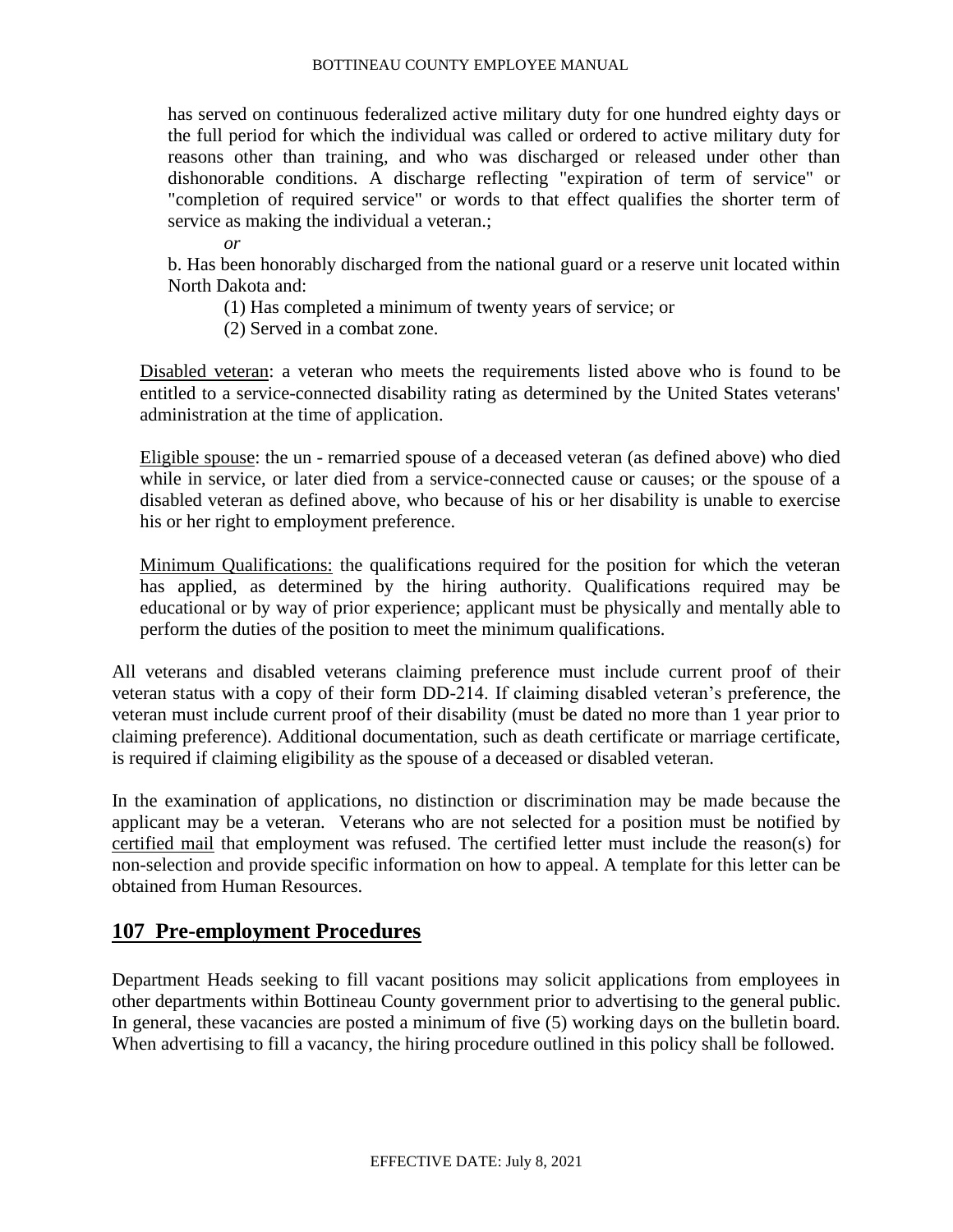has served on continuous federalized active military duty for one hundred eighty days or the full period for which the individual was called or ordered to active military duty for reasons other than training, and who was discharged or released under other than dishonorable conditions. A discharge reflecting "expiration of term of service" or "completion of required service" or words to that effect qualifies the shorter term of service as making the individual a veteran.;

*or*

b. Has been honorably discharged from the national guard or a reserve unit located within North Dakota and:

(1) Has completed a minimum of twenty years of service; or

(2) Served in a combat zone.

Disabled veteran: a veteran who meets the requirements listed above who is found to be entitled to a service-connected disability rating as determined by the United States veterans' administration at the time of application.

Eligible spouse: the un - remarried spouse of a deceased veteran (as defined above) who died while in service, or later died from a service-connected cause or causes; or the spouse of a disabled veteran as defined above, who because of his or her disability is unable to exercise his or her right to employment preference.

Minimum Qualifications: the qualifications required for the position for which the veteran has applied, as determined by the hiring authority. Qualifications required may be educational or by way of prior experience; applicant must be physically and mentally able to perform the duties of the position to meet the minimum qualifications.

All veterans and disabled veterans claiming preference must include current proof of their veteran status with a copy of their form DD-214. If claiming disabled veteran's preference, the veteran must include current proof of their disability (must be dated no more than 1 year prior to claiming preference). Additional documentation, such as death certificate or marriage certificate, is required if claiming eligibility as the spouse of a deceased or disabled veteran.

In the examination of applications, no distinction or discrimination may be made because the applicant may be a veteran. Veterans who are not selected for a position must be notified by certified mail that employment was refused. The certified letter must include the reason(s) for non-selection and provide specific information on how to appeal. A template for this letter can be obtained from Human Resources.

# **107 Pre-employment Procedures**

Department Heads seeking to fill vacant positions may solicit applications from employees in other departments within Bottineau County government prior to advertising to the general public. In general, these vacancies are posted a minimum of five (5) working days on the bulletin board. When advertising to fill a vacancy, the hiring procedure outlined in this policy shall be followed.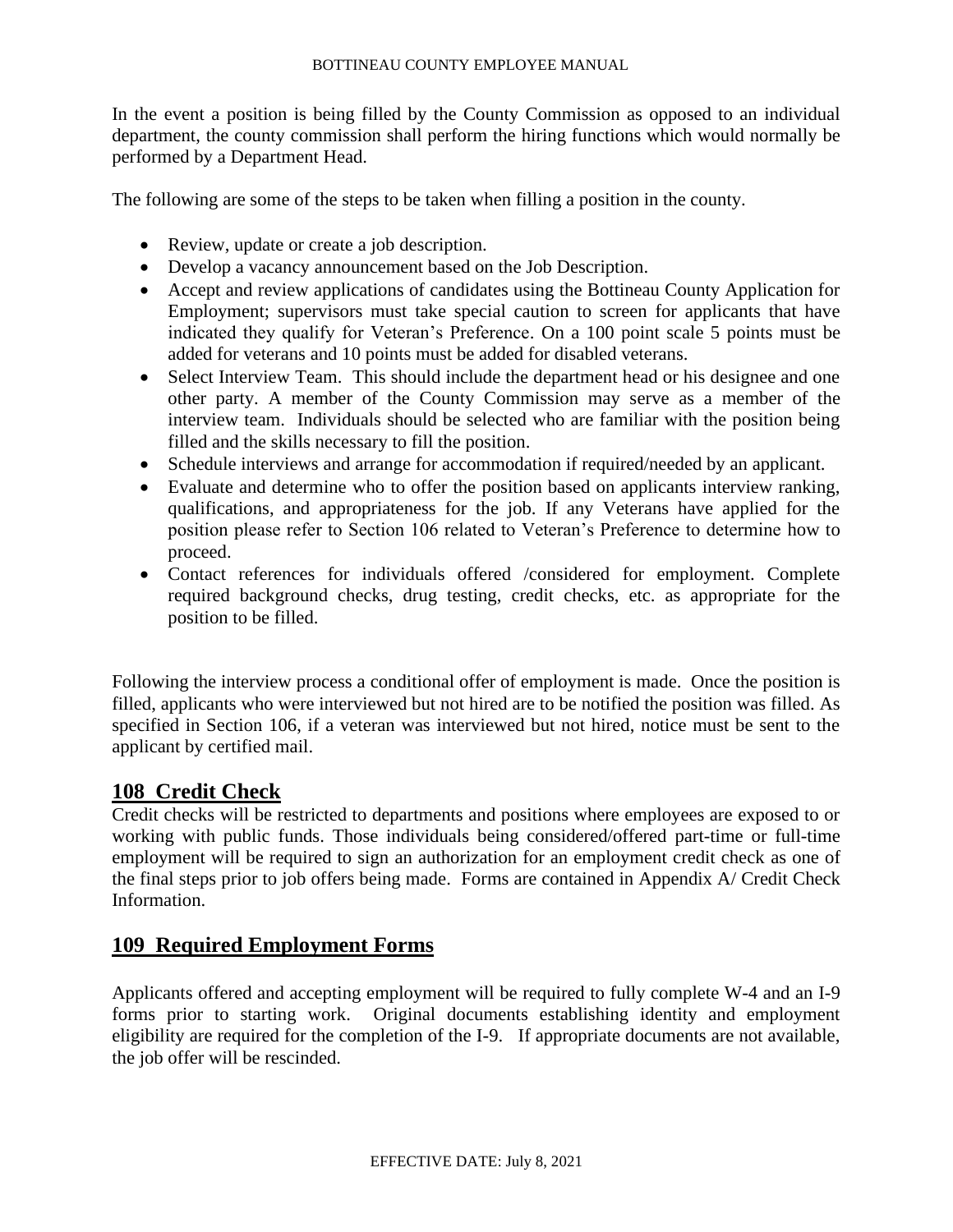In the event a position is being filled by the County Commission as opposed to an individual department, the county commission shall perform the hiring functions which would normally be performed by a Department Head.

The following are some of the steps to be taken when filling a position in the county.

- Review, update or create a job description.
- Develop a vacancy announcement based on the Job Description.
- Accept and review applications of candidates using the Bottineau County Application for Employment; supervisors must take special caution to screen for applicants that have indicated they qualify for Veteran's Preference. On a 100 point scale 5 points must be added for veterans and 10 points must be added for disabled veterans.
- Select Interview Team. This should include the department head or his designee and one other party. A member of the County Commission may serve as a member of the interview team. Individuals should be selected who are familiar with the position being filled and the skills necessary to fill the position.
- Schedule interviews and arrange for accommodation if required/needed by an applicant.
- Evaluate and determine who to offer the position based on applicants interview ranking, qualifications, and appropriateness for the job. If any Veterans have applied for the position please refer to Section 106 related to Veteran's Preference to determine how to proceed.
- Contact references for individuals offered /considered for employment. Complete required background checks, drug testing, credit checks, etc. as appropriate for the position to be filled.

Following the interview process a conditional offer of employment is made. Once the position is filled, applicants who were interviewed but not hired are to be notified the position was filled. As specified in Section 106, if a veteran was interviewed but not hired, notice must be sent to the applicant by certified mail.

# **108 Credit Check**

Credit checks will be restricted to departments and positions where employees are exposed to or working with public funds. Those individuals being considered/offered part-time or full-time employment will be required to sign an authorization for an employment credit check as one of the final steps prior to job offers being made. Forms are contained in Appendix A/ Credit Check Information.

# **109 Required Employment Forms**

Applicants offered and accepting employment will be required to fully complete W-4 and an I-9 forms prior to starting work. Original documents establishing identity and employment eligibility are required for the completion of the I-9. If appropriate documents are not available, the job offer will be rescinded.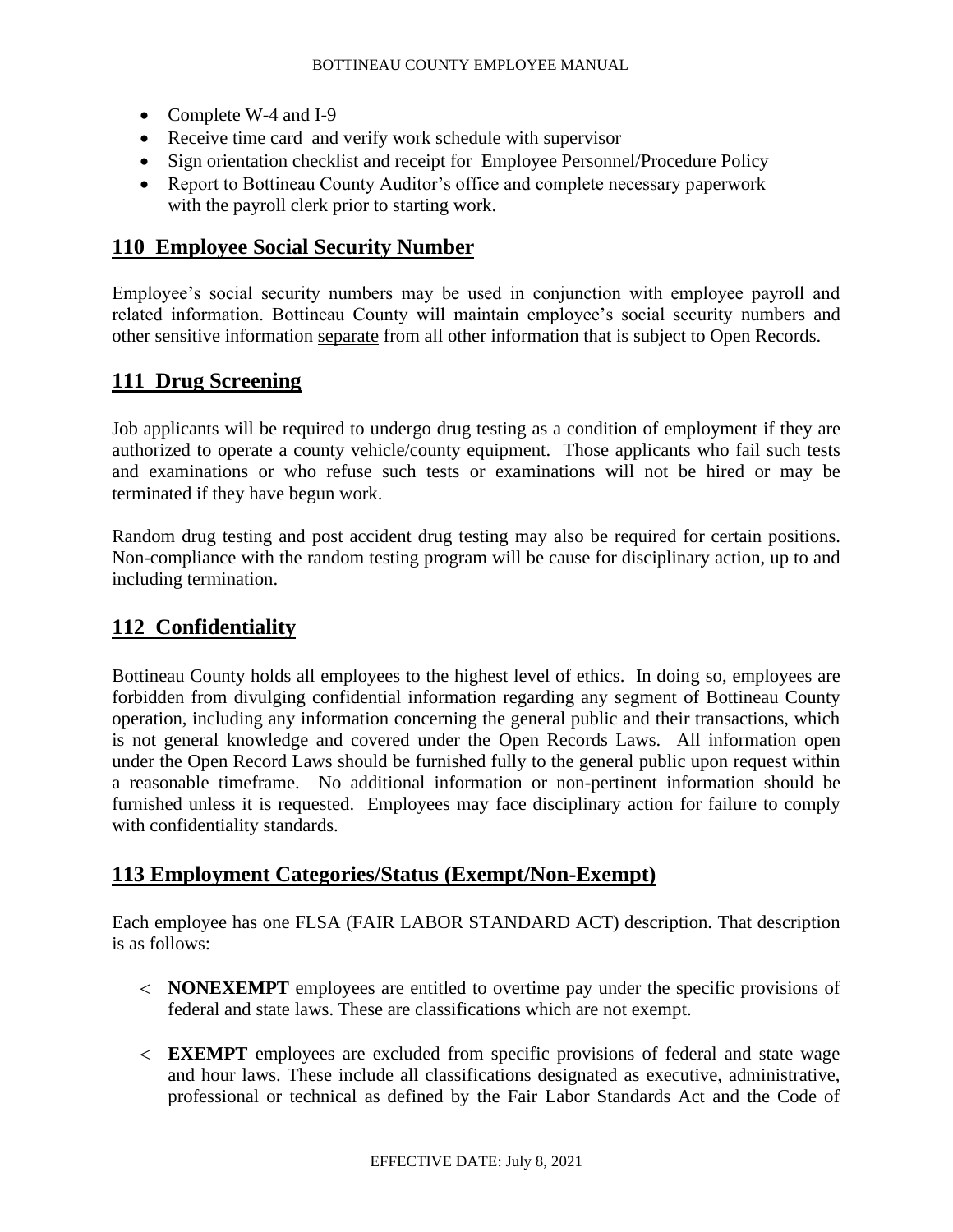- Complete W-4 and I-9
- Receive time card and verify work schedule with supervisor
- Sign orientation checklist and receipt for Employee Personnel/Procedure Policy
- Report to Bottineau County Auditor's office and complete necessary paperwork with the payroll clerk prior to starting work.

# **110 Employee Social Security Number**

Employee's social security numbers may be used in conjunction with employee payroll and related information. Bottineau County will maintain employee's social security numbers and other sensitive information separate from all other information that is subject to Open Records.

# **111 Drug Screening**

Job applicants will be required to undergo drug testing as a condition of employment if they are authorized to operate a county vehicle/county equipment. Those applicants who fail such tests and examinations or who refuse such tests or examinations will not be hired or may be terminated if they have begun work.

Random drug testing and post accident drug testing may also be required for certain positions. Non-compliance with the random testing program will be cause for disciplinary action, up to and including termination.

# **112 Confidentiality**

Bottineau County holds all employees to the highest level of ethics. In doing so, employees are forbidden from divulging confidential information regarding any segment of Bottineau County operation, including any information concerning the general public and their transactions, which is not general knowledge and covered under the Open Records Laws. All information open under the Open Record Laws should be furnished fully to the general public upon request within a reasonable timeframe. No additional information or non-pertinent information should be furnished unless it is requested. Employees may face disciplinary action for failure to comply with confidentiality standards.

# **113 Employment Categories/Status (Exempt/Non-Exempt)**

Each employee has one FLSA (FAIR LABOR STANDARD ACT) description. That description is as follows:

- **NONEXEMPT** employees are entitled to overtime pay under the specific provisions of federal and state laws. These are classifications which are not exempt.
- **EXEMPT** employees are excluded from specific provisions of federal and state wage and hour laws. These include all classifications designated as executive, administrative, professional or technical as defined by the Fair Labor Standards Act and the Code of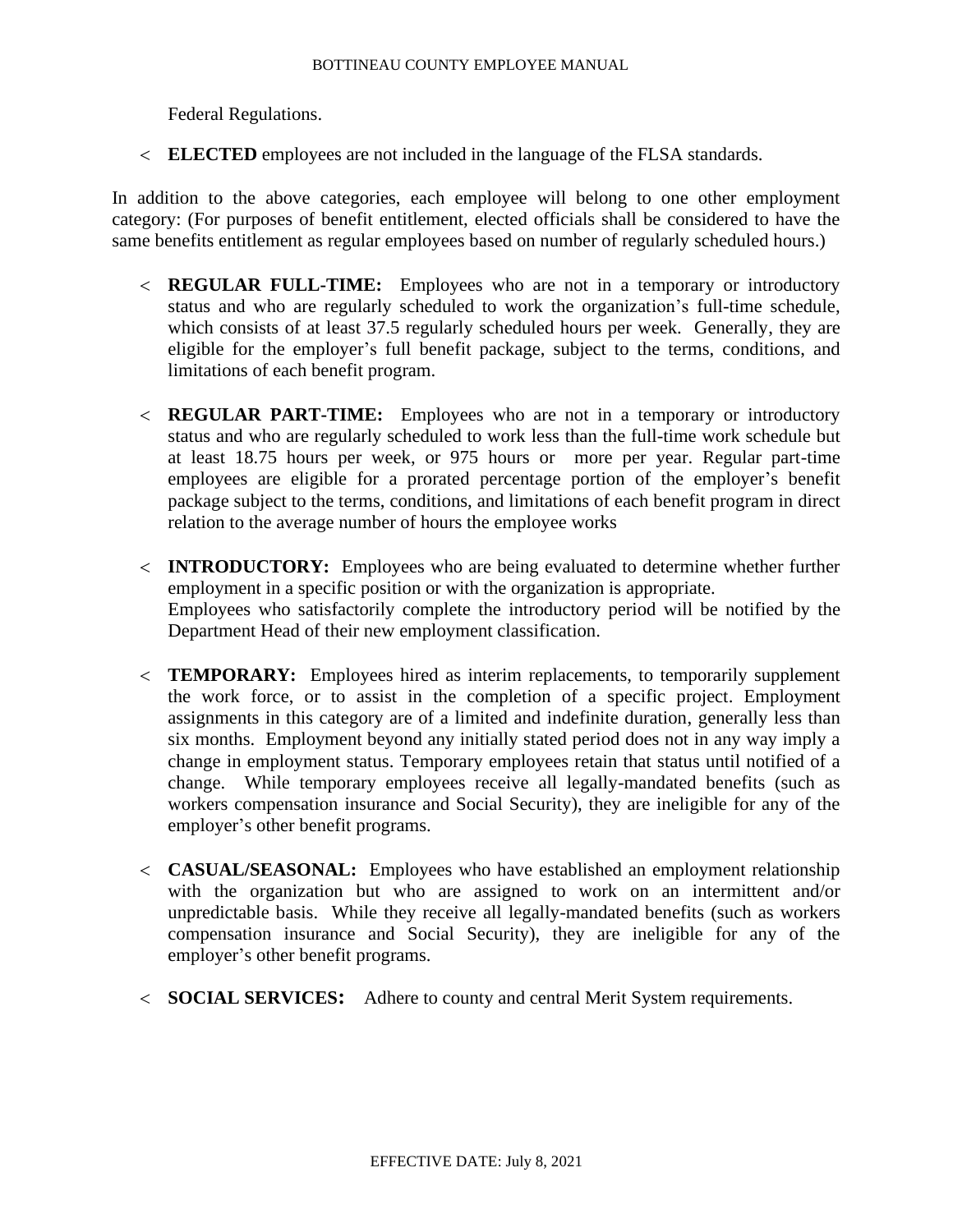Federal Regulations.

**ELECTED** employees are not included in the language of the FLSA standards.

In addition to the above categories, each employee will belong to one other employment category: (For purposes of benefit entitlement, elected officials shall be considered to have the same benefits entitlement as regular employees based on number of regularly scheduled hours.)

- **REGULAR FULL-TIME:** Employees who are not in a temporary or introductory status and who are regularly scheduled to work the organization's full-time schedule, which consists of at least 37.5 regularly scheduled hours per week. Generally, they are eligible for the employer's full benefit package, subject to the terms, conditions, and limitations of each benefit program.
- **REGULAR PART-TIME:** Employees who are not in a temporary or introductory status and who are regularly scheduled to work less than the full-time work schedule but at least 18.75 hours per week, or 975 hours or more per year. Regular part-time employees are eligible for a prorated percentage portion of the employer's benefit package subject to the terms, conditions, and limitations of each benefit program in direct relation to the average number of hours the employee works
- **INTRODUCTORY:** Employees who are being evaluated to determine whether further employment in a specific position or with the organization is appropriate. Employees who satisfactorily complete the introductory period will be notified by the Department Head of their new employment classification.
- **TEMPORARY:** Employees hired as interim replacements, to temporarily supplement the work force, or to assist in the completion of a specific project. Employment assignments in this category are of a limited and indefinite duration, generally less than six months. Employment beyond any initially stated period does not in any way imply a change in employment status. Temporary employees retain that status until notified of a change. While temporary employees receive all legally-mandated benefits (such as workers compensation insurance and Social Security), they are ineligible for any of the employer's other benefit programs.
- **CASUAL/SEASONAL:** Employees who have established an employment relationship with the organization but who are assigned to work on an intermittent and/or unpredictable basis. While they receive all legally-mandated benefits (such as workers compensation insurance and Social Security), they are ineligible for any of the employer's other benefit programs.
- **SOCIAL SERVICES:** Adhere to county and central Merit System requirements.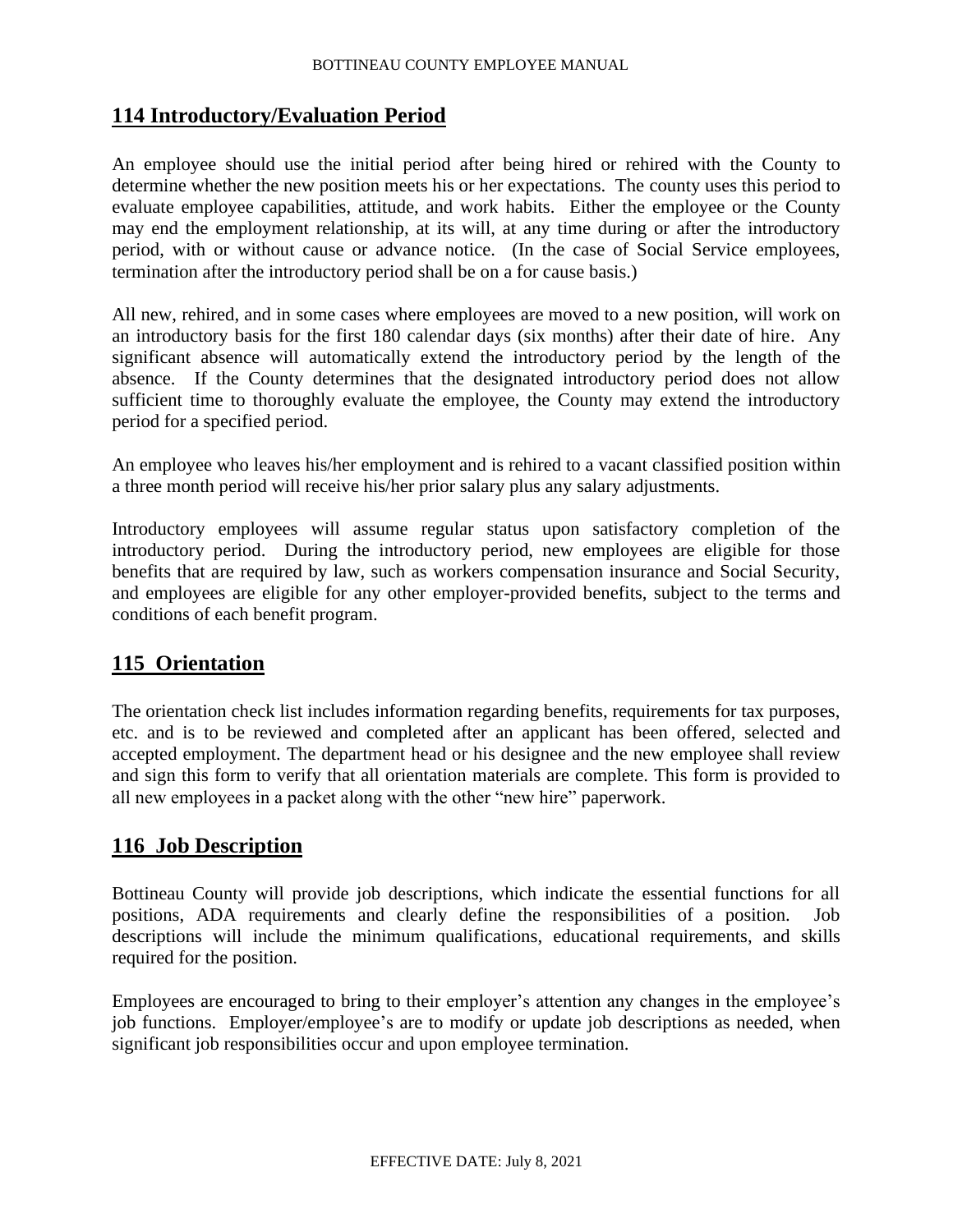# **114 Introductory/Evaluation Period**

An employee should use the initial period after being hired or rehired with the County to determine whether the new position meets his or her expectations. The county uses this period to evaluate employee capabilities, attitude, and work habits. Either the employee or the County may end the employment relationship, at its will, at any time during or after the introductory period, with or without cause or advance notice. (In the case of Social Service employees, termination after the introductory period shall be on a for cause basis.)

All new, rehired, and in some cases where employees are moved to a new position, will work on an introductory basis for the first 180 calendar days (six months) after their date of hire. Any significant absence will automatically extend the introductory period by the length of the absence. If the County determines that the designated introductory period does not allow sufficient time to thoroughly evaluate the employee, the County may extend the introductory period for a specified period.

An employee who leaves his/her employment and is rehired to a vacant classified position within a three month period will receive his/her prior salary plus any salary adjustments.

Introductory employees will assume regular status upon satisfactory completion of the introductory period. During the introductory period, new employees are eligible for those benefits that are required by law, such as workers compensation insurance and Social Security, and employees are eligible for any other employer-provided benefits, subject to the terms and conditions of each benefit program.

# **115 Orientation**

The orientation check list includes information regarding benefits, requirements for tax purposes, etc. and is to be reviewed and completed after an applicant has been offered, selected and accepted employment. The department head or his designee and the new employee shall review and sign this form to verify that all orientation materials are complete. This form is provided to all new employees in a packet along with the other "new hire" paperwork.

# **116 Job Description**

Bottineau County will provide job descriptions, which indicate the essential functions for all positions, ADA requirements and clearly define the responsibilities of a position. Job descriptions will include the minimum qualifications, educational requirements, and skills required for the position.

Employees are encouraged to bring to their employer's attention any changes in the employee's job functions. Employer/employee's are to modify or update job descriptions as needed, when significant job responsibilities occur and upon employee termination.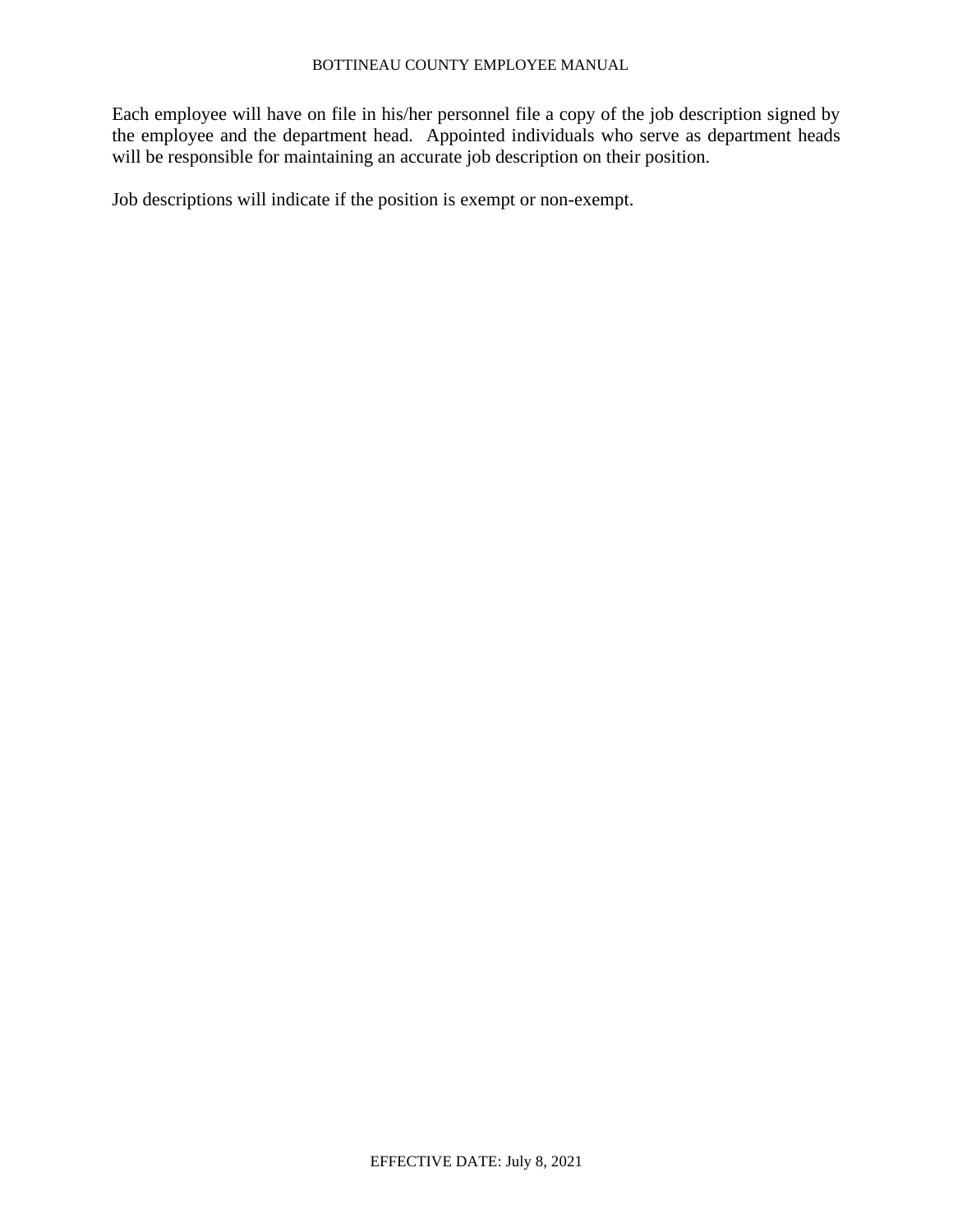Each employee will have on file in his/her personnel file a copy of the job description signed by the employee and the department head. Appointed individuals who serve as department heads will be responsible for maintaining an accurate job description on their position.

Job descriptions will indicate if the position is exempt or non-exempt.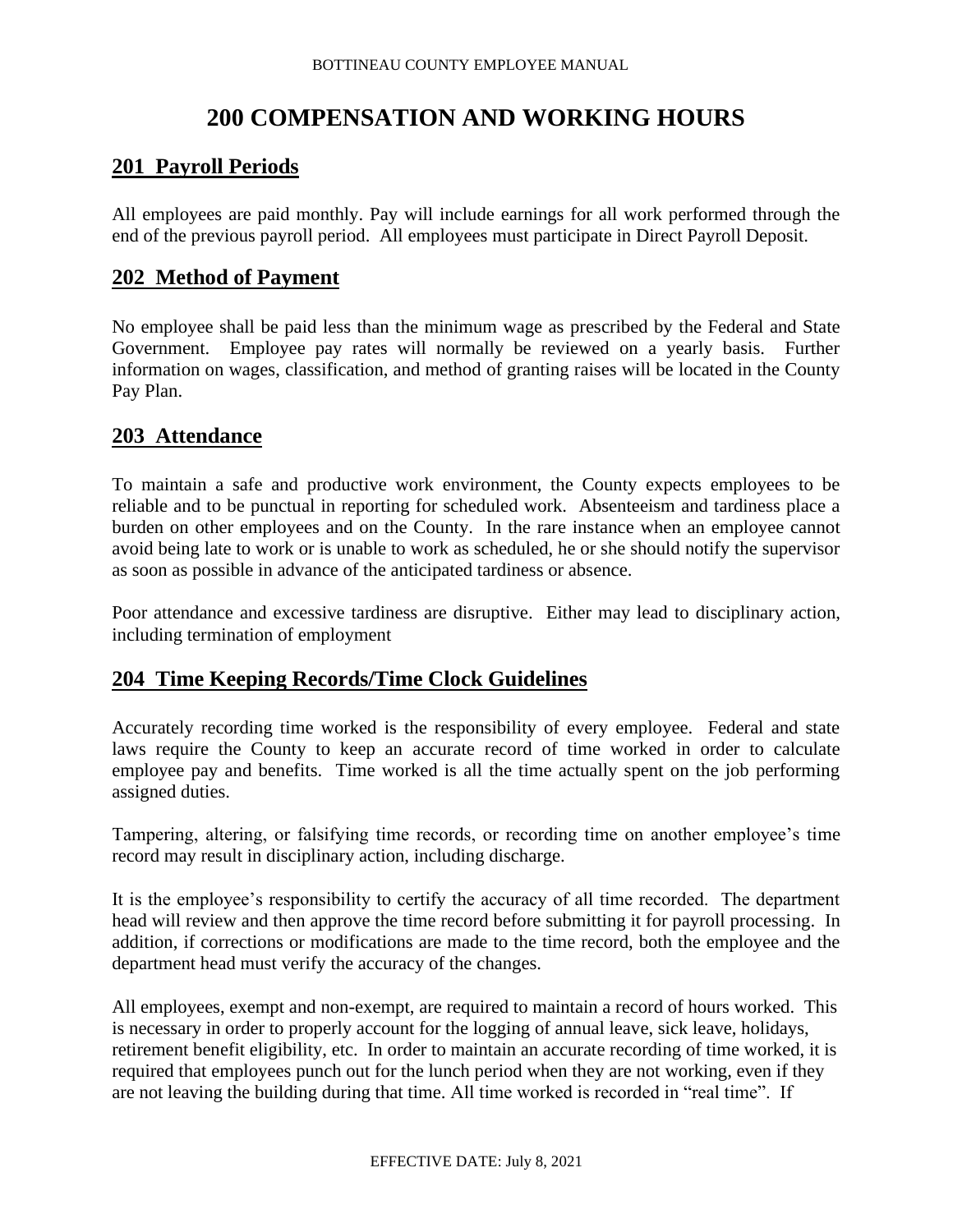# **200 COMPENSATION AND WORKING HOURS**

# **201 Payroll Periods**

All employees are paid monthly. Pay will include earnings for all work performed through the end of the previous payroll period. All employees must participate in Direct Payroll Deposit.

### **202 Method of Payment**

No employee shall be paid less than the minimum wage as prescribed by the Federal and State Government. Employee pay rates will normally be reviewed on a yearly basis. Further information on wages, classification, and method of granting raises will be located in the County Pay Plan.

# **203 Attendance**

To maintain a safe and productive work environment, the County expects employees to be reliable and to be punctual in reporting for scheduled work. Absenteeism and tardiness place a burden on other employees and on the County. In the rare instance when an employee cannot avoid being late to work or is unable to work as scheduled, he or she should notify the supervisor as soon as possible in advance of the anticipated tardiness or absence.

Poor attendance and excessive tardiness are disruptive. Either may lead to disciplinary action, including termination of employment

# **204 Time Keeping Records/Time Clock Guidelines**

Accurately recording time worked is the responsibility of every employee. Federal and state laws require the County to keep an accurate record of time worked in order to calculate employee pay and benefits. Time worked is all the time actually spent on the job performing assigned duties.

Tampering, altering, or falsifying time records, or recording time on another employee's time record may result in disciplinary action, including discharge.

It is the employee's responsibility to certify the accuracy of all time recorded. The department head will review and then approve the time record before submitting it for payroll processing. In addition, if corrections or modifications are made to the time record, both the employee and the department head must verify the accuracy of the changes.

All employees, exempt and non-exempt, are required to maintain a record of hours worked. This is necessary in order to properly account for the logging of annual leave, sick leave, holidays, retirement benefit eligibility, etc. In order to maintain an accurate recording of time worked, it is required that employees punch out for the lunch period when they are not working, even if they are not leaving the building during that time. All time worked is recorded in "real time". If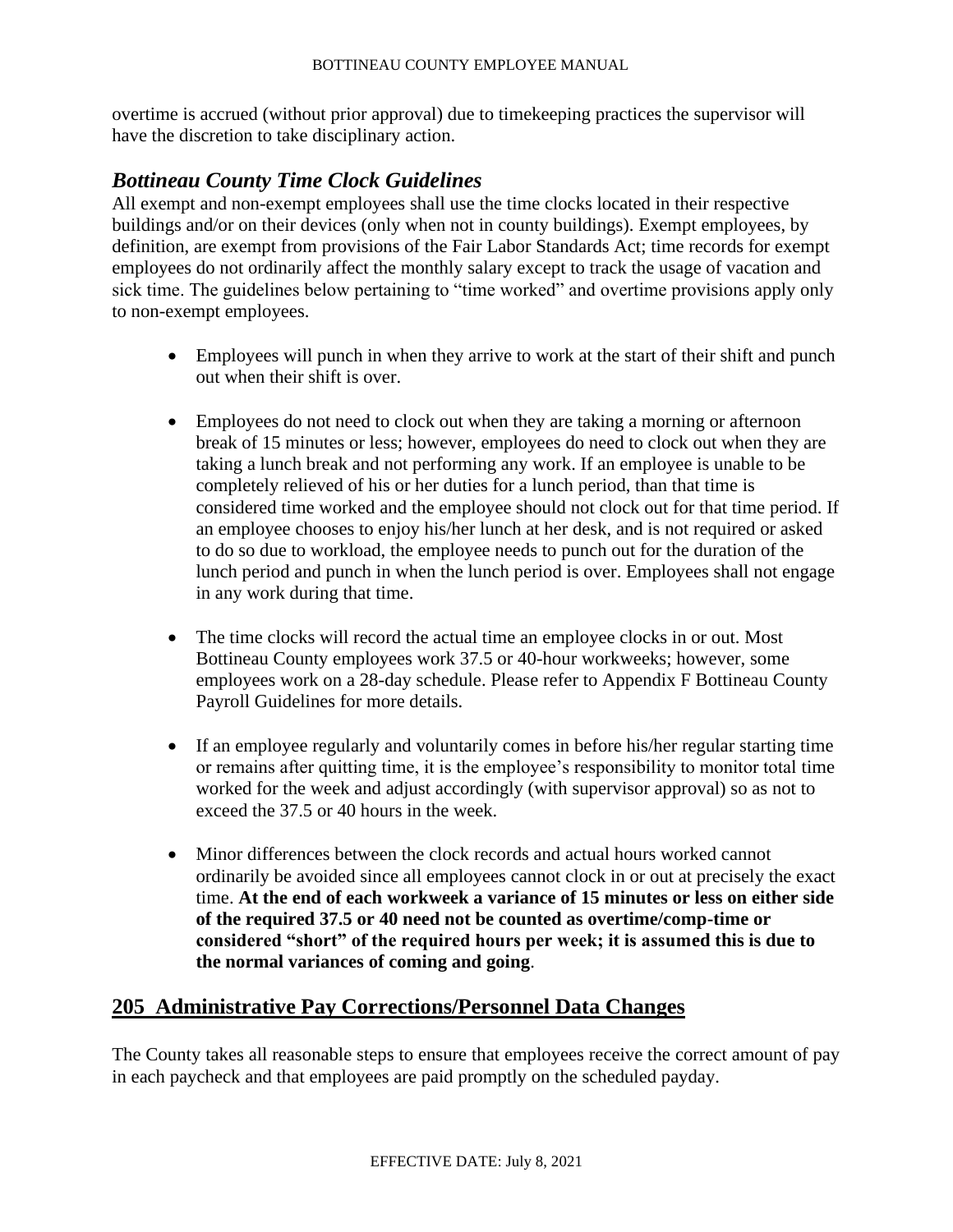overtime is accrued (without prior approval) due to timekeeping practices the supervisor will have the discretion to take disciplinary action.

# *Bottineau County Time Clock Guidelines*

All exempt and non-exempt employees shall use the time clocks located in their respective buildings and/or on their devices (only when not in county buildings). Exempt employees, by definition, are exempt from provisions of the Fair Labor Standards Act; time records for exempt employees do not ordinarily affect the monthly salary except to track the usage of vacation and sick time. The guidelines below pertaining to "time worked" and overtime provisions apply only to non-exempt employees.

- Employees will punch in when they arrive to work at the start of their shift and punch out when their shift is over.
- Employees do not need to clock out when they are taking a morning or afternoon break of 15 minutes or less; however, employees do need to clock out when they are taking a lunch break and not performing any work. If an employee is unable to be completely relieved of his or her duties for a lunch period, than that time is considered time worked and the employee should not clock out for that time period. If an employee chooses to enjoy his/her lunch at her desk, and is not required or asked to do so due to workload, the employee needs to punch out for the duration of the lunch period and punch in when the lunch period is over. Employees shall not engage in any work during that time.
- The time clocks will record the actual time an employee clocks in or out. Most Bottineau County employees work 37.5 or 40-hour workweeks; however, some employees work on a 28-day schedule. Please refer to Appendix F Bottineau County Payroll Guidelines for more details.
- If an employee regularly and voluntarily comes in before his/her regular starting time or remains after quitting time, it is the employee's responsibility to monitor total time worked for the week and adjust accordingly (with supervisor approval) so as not to exceed the 37.5 or 40 hours in the week.
- Minor differences between the clock records and actual hours worked cannot ordinarily be avoided since all employees cannot clock in or out at precisely the exact time. **At the end of each workweek a variance of 15 minutes or less on either side of the required 37.5 or 40 need not be counted as overtime/comp-time or considered "short" of the required hours per week; it is assumed this is due to the normal variances of coming and going**.

# **205 Administrative Pay Corrections/Personnel Data Changes**

The County takes all reasonable steps to ensure that employees receive the correct amount of pay in each paycheck and that employees are paid promptly on the scheduled payday.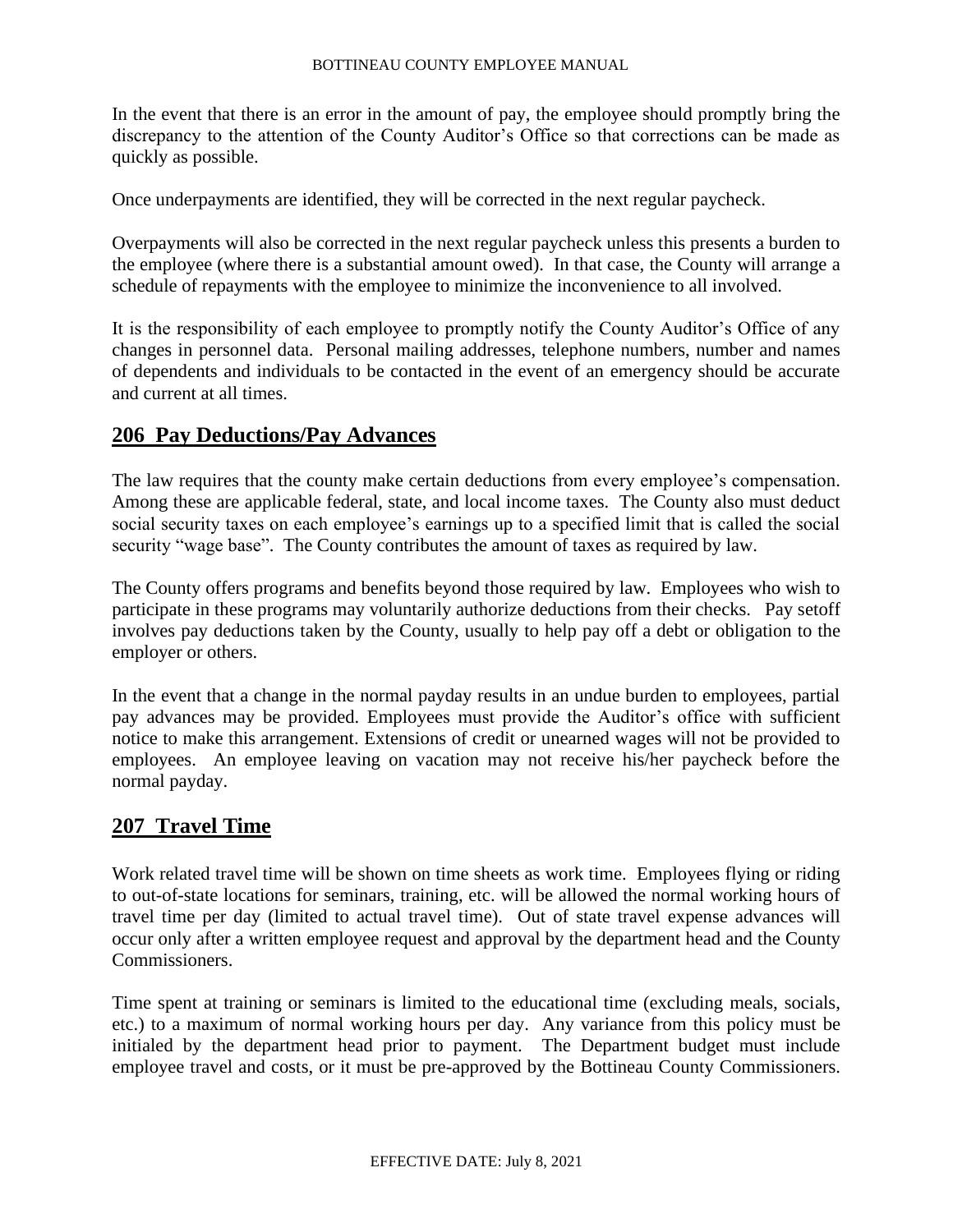In the event that there is an error in the amount of pay, the employee should promptly bring the discrepancy to the attention of the County Auditor's Office so that corrections can be made as quickly as possible.

Once underpayments are identified, they will be corrected in the next regular paycheck.

Overpayments will also be corrected in the next regular paycheck unless this presents a burden to the employee (where there is a substantial amount owed). In that case, the County will arrange a schedule of repayments with the employee to minimize the inconvenience to all involved.

It is the responsibility of each employee to promptly notify the County Auditor's Office of any changes in personnel data. Personal mailing addresses, telephone numbers, number and names of dependents and individuals to be contacted in the event of an emergency should be accurate and current at all times.

# **206 Pay Deductions/Pay Advances**

The law requires that the county make certain deductions from every employee's compensation. Among these are applicable federal, state, and local income taxes. The County also must deduct social security taxes on each employee's earnings up to a specified limit that is called the social security "wage base". The County contributes the amount of taxes as required by law.

The County offers programs and benefits beyond those required by law. Employees who wish to participate in these programs may voluntarily authorize deductions from their checks. Pay setoff involves pay deductions taken by the County, usually to help pay off a debt or obligation to the employer or others.

In the event that a change in the normal payday results in an undue burden to employees, partial pay advances may be provided. Employees must provide the Auditor's office with sufficient notice to make this arrangement. Extensions of credit or unearned wages will not be provided to employees.An employee leaving on vacation may not receive his/her paycheck before the normal payday.

# **207 Travel Time**

Work related travel time will be shown on time sheets as work time. Employees flying or riding to out-of-state locations for seminars, training, etc. will be allowed the normal working hours of travel time per day (limited to actual travel time). Out of state travel expense advances will occur only after a written employee request and approval by the department head and the County Commissioners.

Time spent at training or seminars is limited to the educational time (excluding meals, socials, etc.) to a maximum of normal working hours per day. Any variance from this policy must be initialed by the department head prior to payment. The Department budget must include employee travel and costs, or it must be pre-approved by the Bottineau County Commissioners.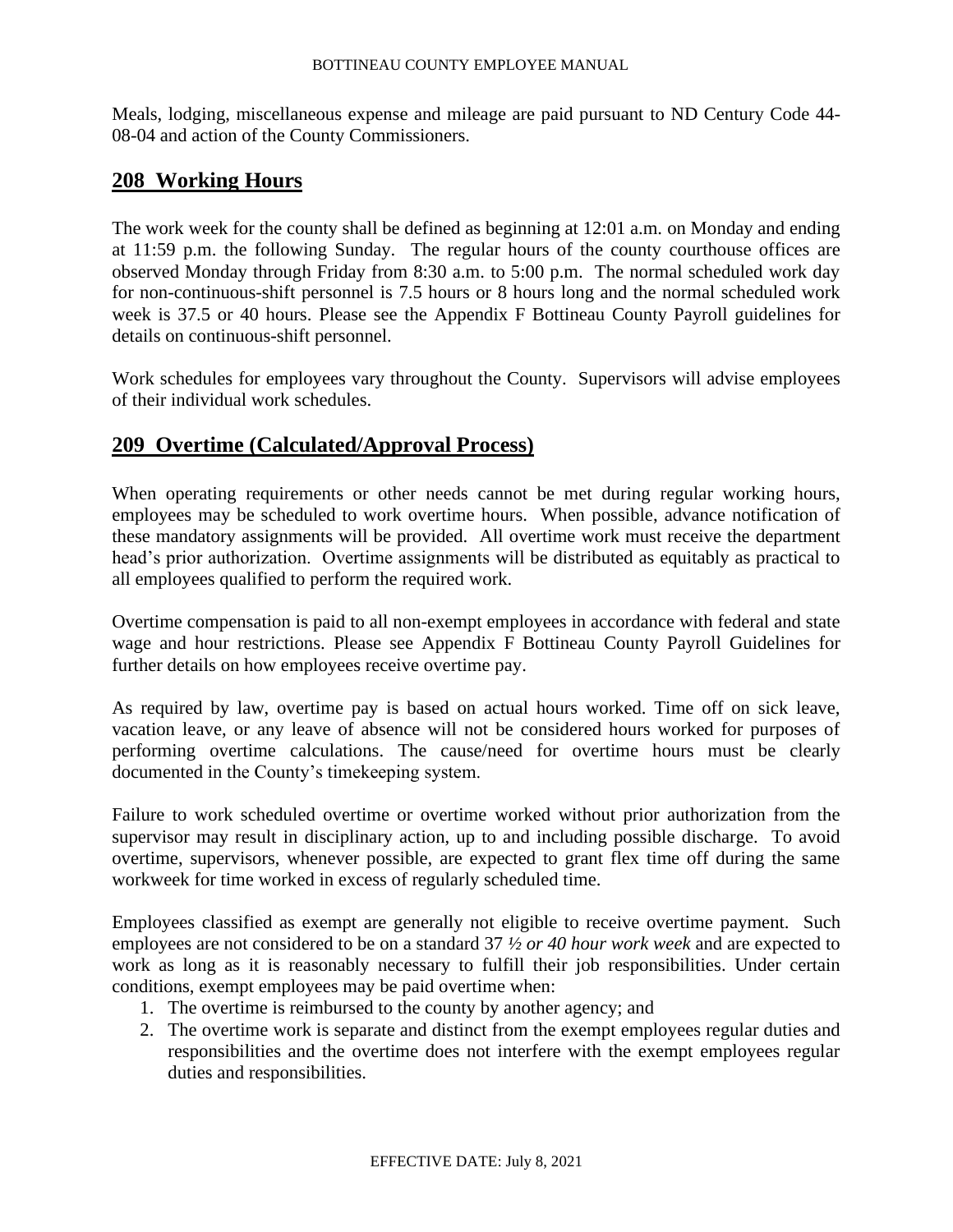Meals, lodging, miscellaneous expense and mileage are paid pursuant to ND Century Code 44- 08-04 and action of the County Commissioners.

# **208 Working Hours**

The work week for the county shall be defined as beginning at 12:01 a.m. on Monday and ending at 11:59 p.m. the following Sunday. The regular hours of the county courthouse offices are observed Monday through Friday from 8:30 a.m. to 5:00 p.m. The normal scheduled work day for non-continuous-shift personnel is 7.5 hours or 8 hours long and the normal scheduled work week is 37.5 or 40 hours. Please see the Appendix F Bottineau County Payroll guidelines for details on continuous-shift personnel.

Work schedules for employees vary throughout the County. Supervisors will advise employees of their individual work schedules.

# **209 Overtime (Calculated/Approval Process)**

When operating requirements or other needs cannot be met during regular working hours, employees may be scheduled to work overtime hours. When possible, advance notification of these mandatory assignments will be provided. All overtime work must receive the department head's prior authorization. Overtime assignments will be distributed as equitably as practical to all employees qualified to perform the required work.

Overtime compensation is paid to all non-exempt employees in accordance with federal and state wage and hour restrictions. Please see Appendix F Bottineau County Payroll Guidelines for further details on how employees receive overtime pay.

As required by law, overtime pay is based on actual hours worked. Time off on sick leave, vacation leave, or any leave of absence will not be considered hours worked for purposes of performing overtime calculations. The cause/need for overtime hours must be clearly documented in the County's timekeeping system.

Failure to work scheduled overtime or overtime worked without prior authorization from the supervisor may result in disciplinary action, up to and including possible discharge. To avoid overtime, supervisors, whenever possible, are expected to grant flex time off during the same workweek for time worked in excess of regularly scheduled time.

Employees classified as exempt are generally not eligible to receive overtime payment. Such employees are not considered to be on a standard 37 *½ or 40 hour work week* and are expected to work as long as it is reasonably necessary to fulfill their job responsibilities. Under certain conditions, exempt employees may be paid overtime when:

- 1. The overtime is reimbursed to the county by another agency; and
- 2. The overtime work is separate and distinct from the exempt employees regular duties and responsibilities and the overtime does not interfere with the exempt employees regular duties and responsibilities.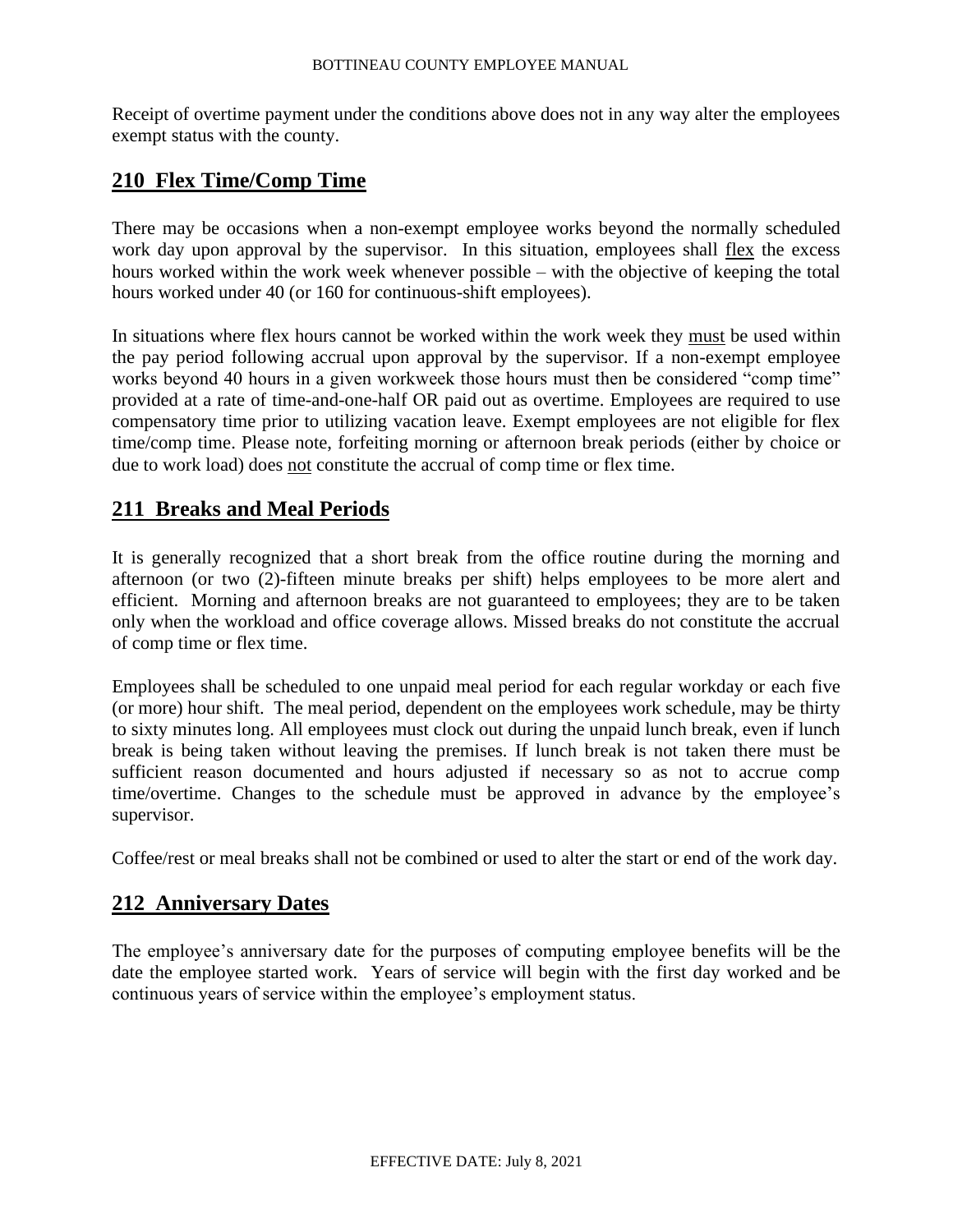Receipt of overtime payment under the conditions above does not in any way alter the employees exempt status with the county.

### **210 Flex Time/Comp Time**

There may be occasions when a non-exempt employee works beyond the normally scheduled work day upon approval by the supervisor. In this situation, employees shall flex the excess hours worked within the work week whenever possible – with the objective of keeping the total hours worked under 40 (or 160 for continuous-shift employees).

In situations where flex hours cannot be worked within the work week they must be used within the pay period following accrual upon approval by the supervisor. If a non-exempt employee works beyond 40 hours in a given workweek those hours must then be considered "comp time" provided at a rate of time-and-one-half OR paid out as overtime. Employees are required to use compensatory time prior to utilizing vacation leave. Exempt employees are not eligible for flex time/comp time. Please note, forfeiting morning or afternoon break periods (either by choice or due to work load) does not constitute the accrual of comp time or flex time.

# **211 Breaks and Meal Periods**

It is generally recognized that a short break from the office routine during the morning and afternoon (or two (2)-fifteen minute breaks per shift) helps employees to be more alert and efficient. Morning and afternoon breaks are not guaranteed to employees; they are to be taken only when the workload and office coverage allows. Missed breaks do not constitute the accrual of comp time or flex time.

Employees shall be scheduled to one unpaid meal period for each regular workday or each five (or more) hour shift. The meal period, dependent on the employees work schedule*,* may be thirty to sixty minutes long. All employees must clock out during the unpaid lunch break, even if lunch break is being taken without leaving the premises. If lunch break is not taken there must be sufficient reason documented and hours adjusted if necessary so as not to accrue comp time/overtime. Changes to the schedule must be approved in advance by the employee's supervisor.

Coffee/rest or meal breaks shall not be combined or used to alter the start or end of the work day.

# **212 Anniversary Dates**

The employee's anniversary date for the purposes of computing employee benefits will be the date the employee started work. Years of service will begin with the first day worked and be continuous years of service within the employee's employment status.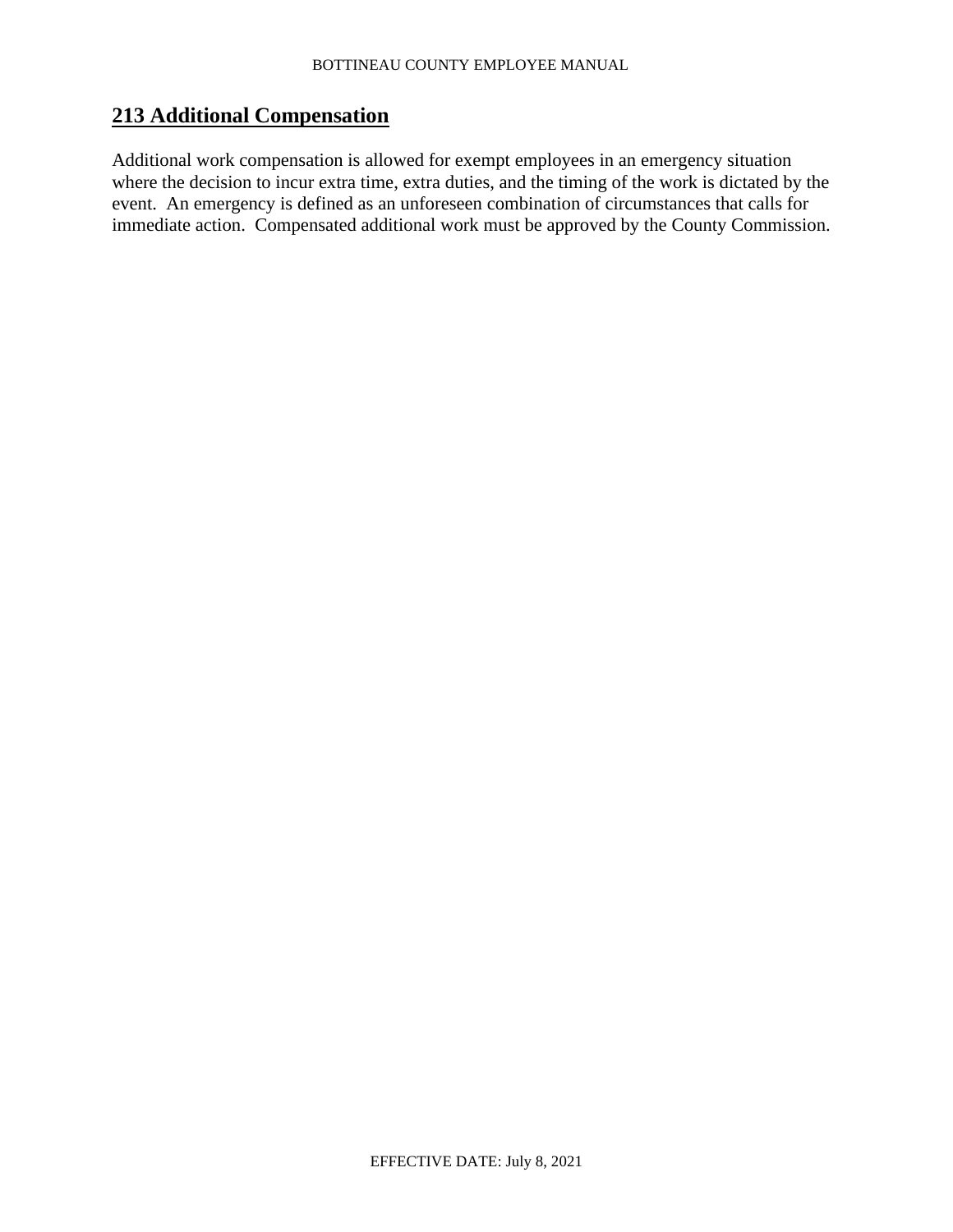# **213 Additional Compensation**

Additional work compensation is allowed for exempt employees in an emergency situation where the decision to incur extra time, extra duties, and the timing of the work is dictated by the event. An emergency is defined as an unforeseen combination of circumstances that calls for immediate action. Compensated additional work must be approved by the County Commission.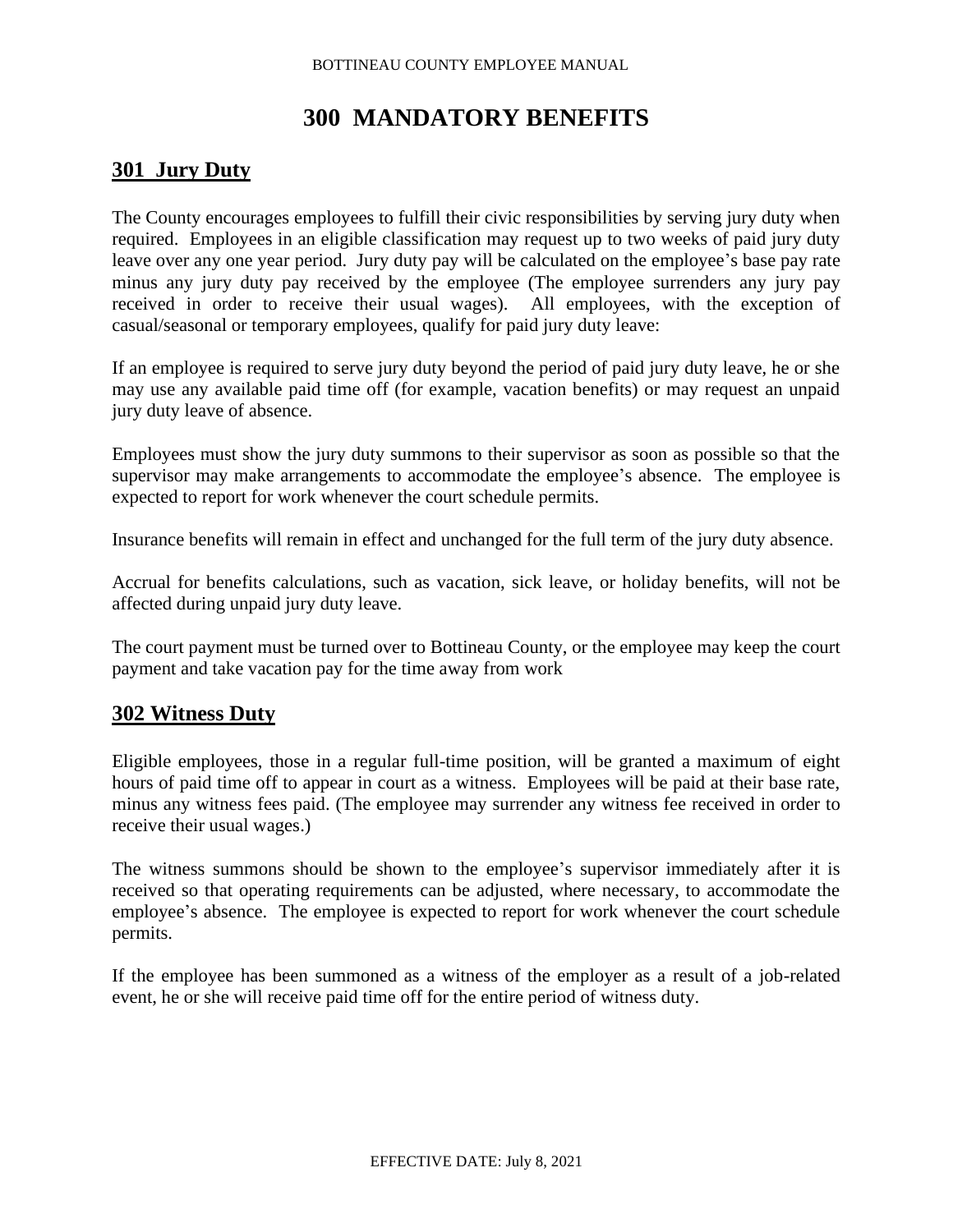# **300 MANDATORY BENEFITS**

# **301 Jury Duty**

The County encourages employees to fulfill their civic responsibilities by serving jury duty when required. Employees in an eligible classification may request up to two weeks of paid jury duty leave over any one year period. Jury duty pay will be calculated on the employee's base pay rate minus any jury duty pay received by the employee (The employee surrenders any jury pay received in order to receive their usual wages). All employees, with the exception of casual/seasonal or temporary employees, qualify for paid jury duty leave:

If an employee is required to serve jury duty beyond the period of paid jury duty leave, he or she may use any available paid time off (for example, vacation benefits) or may request an unpaid jury duty leave of absence.

Employees must show the jury duty summons to their supervisor as soon as possible so that the supervisor may make arrangements to accommodate the employee's absence. The employee is expected to report for work whenever the court schedule permits.

Insurance benefits will remain in effect and unchanged for the full term of the jury duty absence.

Accrual for benefits calculations, such as vacation, sick leave, or holiday benefits, will not be affected during unpaid jury duty leave.

The court payment must be turned over to Bottineau County, or the employee may keep the court payment and take vacation pay for the time away from work

# **302 Witness Duty**

Eligible employees, those in a regular full-time position, will be granted a maximum of eight hours of paid time off to appear in court as a witness. Employees will be paid at their base rate, minus any witness fees paid. (The employee may surrender any witness fee received in order to receive their usual wages.)

The witness summons should be shown to the employee's supervisor immediately after it is received so that operating requirements can be adjusted, where necessary, to accommodate the employee's absence. The employee is expected to report for work whenever the court schedule permits.

If the employee has been summoned as a witness of the employer as a result of a job-related event, he or she will receive paid time off for the entire period of witness duty.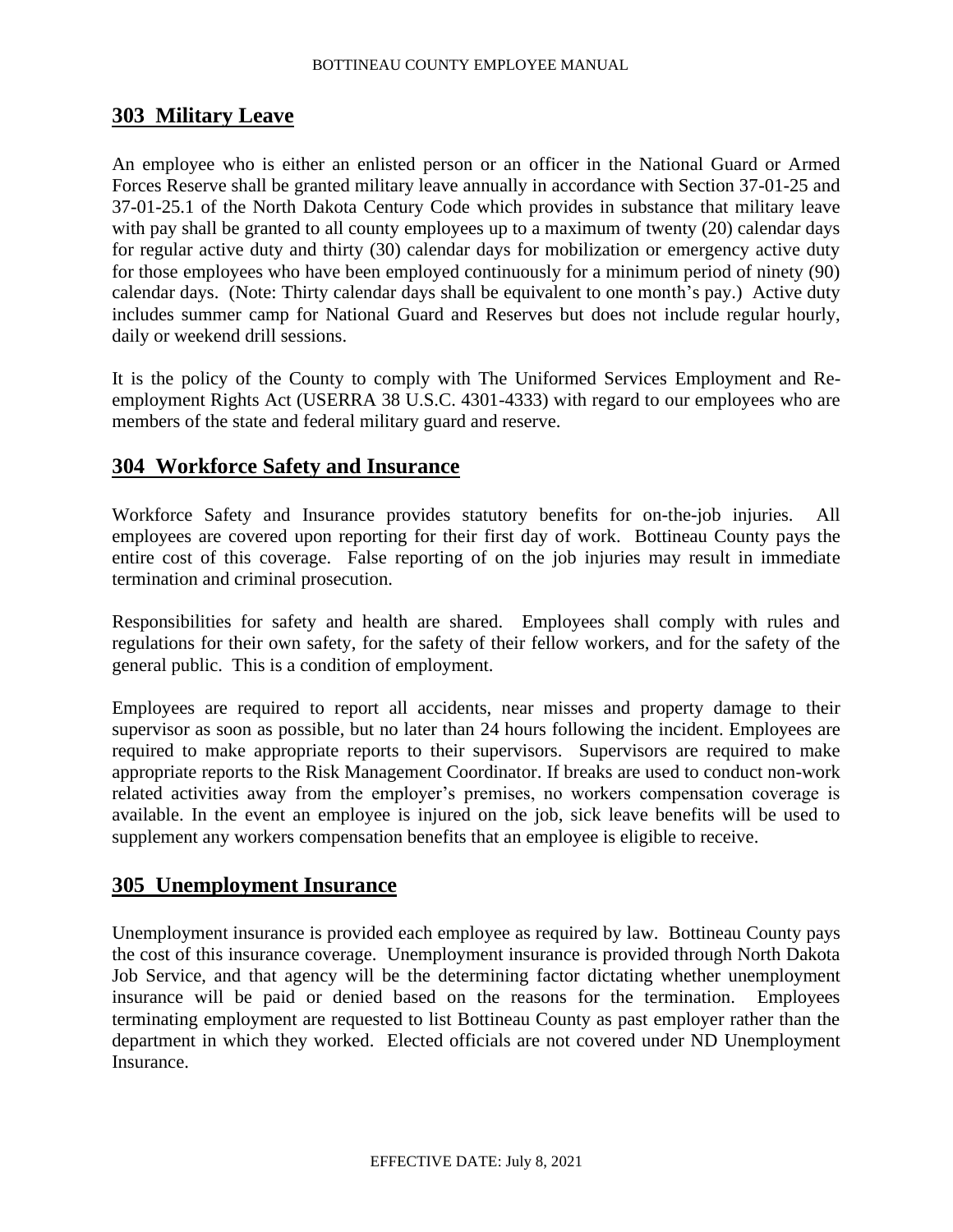# **303 Military Leave**

An employee who is either an enlisted person or an officer in the National Guard or Armed Forces Reserve shall be granted military leave annually in accordance with Section 37-01-25 and 37-01-25.1 of the North Dakota Century Code which provides in substance that military leave with pay shall be granted to all county employees up to a maximum of twenty (20) calendar days for regular active duty and thirty (30) calendar days for mobilization or emergency active duty for those employees who have been employed continuously for a minimum period of ninety (90) calendar days. (Note: Thirty calendar days shall be equivalent to one month's pay.) Active duty includes summer camp for National Guard and Reserves but does not include regular hourly, daily or weekend drill sessions.

It is the policy of the County to comply with The Uniformed Services Employment and Reemployment Rights Act (USERRA 38 U.S.C. 4301-4333) with regard to our employees who are members of the state and federal military guard and reserve.

# **304 Workforce Safety and Insurance**

Workforce Safety and Insurance provides statutory benefits for on-the-job injuries. All employees are covered upon reporting for their first day of work. Bottineau County pays the entire cost of this coverage. False reporting of on the job injuries may result in immediate termination and criminal prosecution.

Responsibilities for safety and health are shared. Employees shall comply with rules and regulations for their own safety, for the safety of their fellow workers, and for the safety of the general public. This is a condition of employment.

Employees are required to report all accidents, near misses and property damage to their supervisor as soon as possible, but no later than 24 hours following the incident. Employees are required to make appropriate reports to their supervisors. Supervisors are required to make appropriate reports to the Risk Management Coordinator. If breaks are used to conduct non-work related activities away from the employer's premises, no workers compensation coverage is available. In the event an employee is injured on the job, sick leave benefits will be used to supplement any workers compensation benefits that an employee is eligible to receive.

# **305 Unemployment Insurance**

Unemployment insurance is provided each employee as required by law. Bottineau County pays the cost of this insurance coverage. Unemployment insurance is provided through North Dakota Job Service, and that agency will be the determining factor dictating whether unemployment insurance will be paid or denied based on the reasons for the termination. Employees terminating employment are requested to list Bottineau County as past employer rather than the department in which they worked. Elected officials are not covered under ND Unemployment Insurance.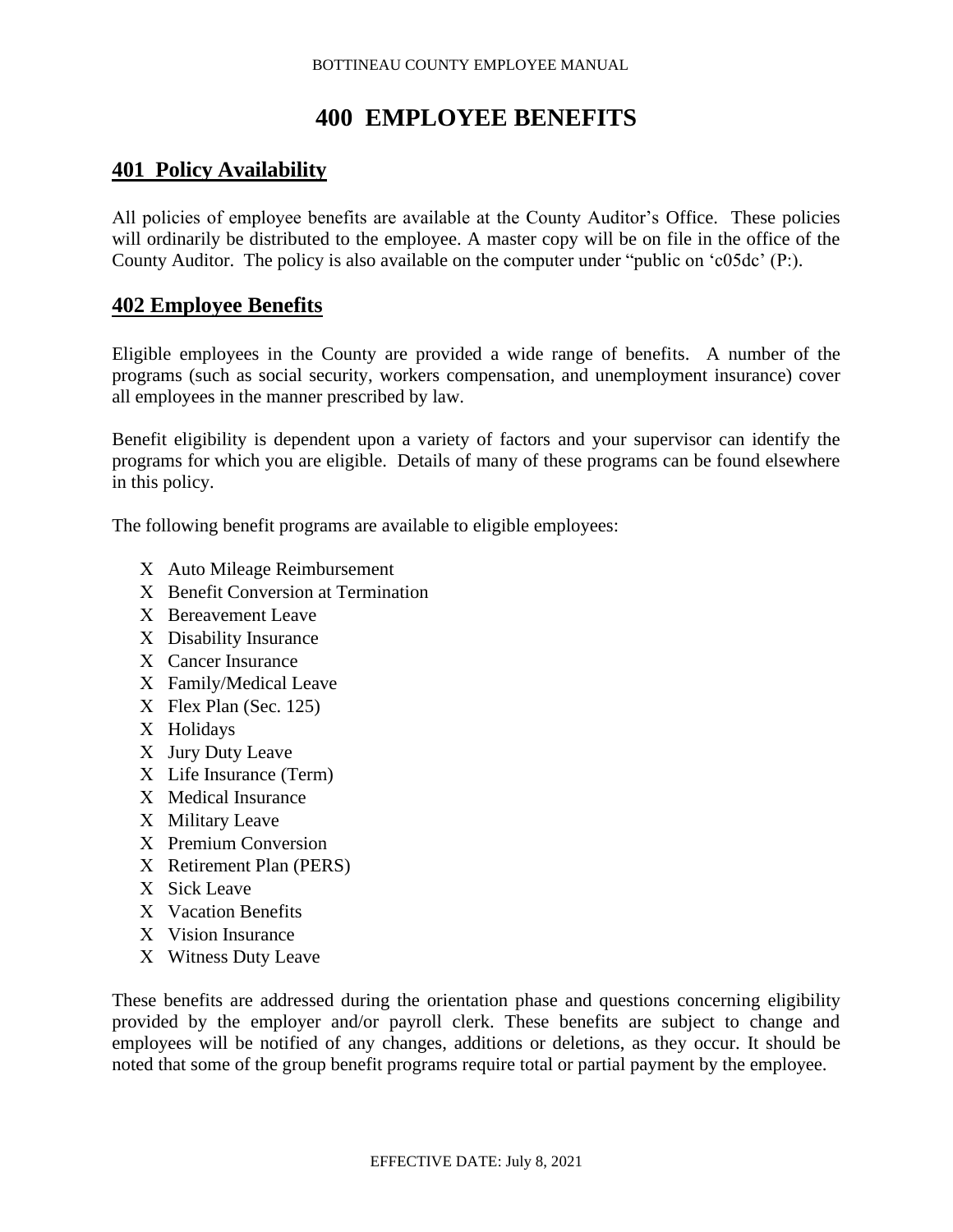# **400 EMPLOYEE BENEFITS**

# **401 Policy Availability**

All policies of employee benefits are available at the County Auditor's Office. These policies will ordinarily be distributed to the employee. A master copy will be on file in the office of the County Auditor. The policy is also available on the computer under "public on 'c05dc' (P:).

# **402 Employee Benefits**

Eligible employees in the County are provided a wide range of benefits. A number of the programs (such as social security, workers compensation, and unemployment insurance) cover all employees in the manner prescribed by law.

Benefit eligibility is dependent upon a variety of factors and your supervisor can identify the programs for which you are eligible. Details of many of these programs can be found elsewhere in this policy.

The following benefit programs are available to eligible employees:

- Auto Mileage Reimbursement
- X Benefit Conversion at Termination
- X Bereavement Leave
- Disability Insurance
- Cancer Insurance
- Family/Medical Leave
- Flex Plan (Sec. 125)
- X Holidays
- X Jury Duty Leave
- Life Insurance (Term)
- X Medical Insurance
- X Military Leave
- X Premium Conversion
- Retirement Plan (PERS)
- X Sick Leave
- X Vacation Benefits
- X Vision Insurance
- X Witness Duty Leave

These benefits are addressed during the orientation phase and questions concerning eligibility provided by the employer and/or payroll clerk. These benefits are subject to change and employees will be notified of any changes, additions or deletions, as they occur. It should be noted that some of the group benefit programs require total or partial payment by the employee.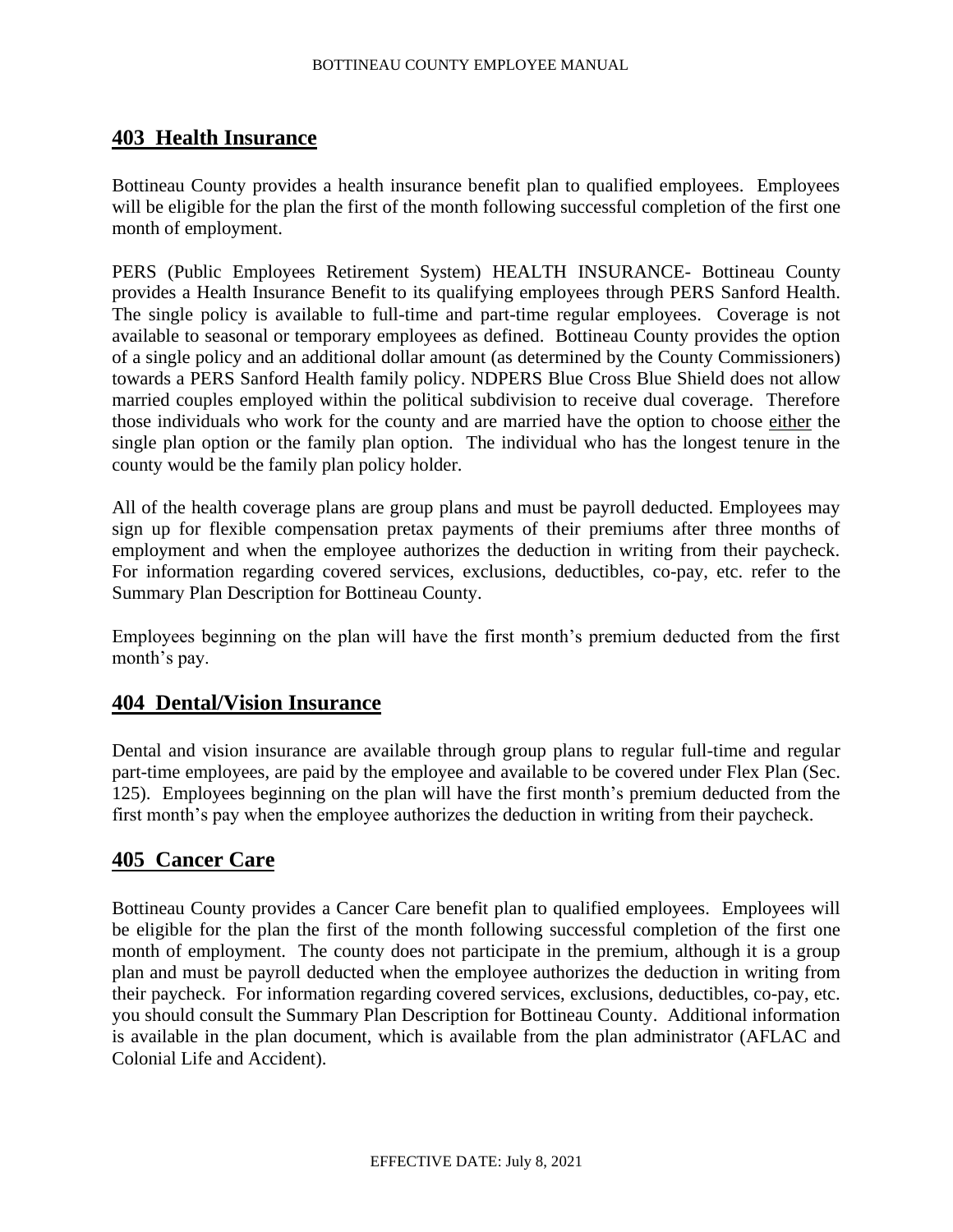# **403 Health Insurance**

Bottineau County provides a health insurance benefit plan to qualified employees. Employees will be eligible for the plan the first of the month following successful completion of the first one month of employment.

PERS (Public Employees Retirement System) HEALTH INSURANCE- Bottineau County provides a Health Insurance Benefit to its qualifying employees through PERS Sanford Health. The single policy is available to full-time and part-time regular employees. Coverage is not available to seasonal or temporary employees as defined. Bottineau County provides the option of a single policy and an additional dollar amount (as determined by the County Commissioners) towards a PERS Sanford Health family policy. NDPERS Blue Cross Blue Shield does not allow married couples employed within the political subdivision to receive dual coverage. Therefore those individuals who work for the county and are married have the option to choose either the single plan option or the family plan option. The individual who has the longest tenure in the county would be the family plan policy holder.

All of the health coverage plans are group plans and must be payroll deducted. Employees may sign up for flexible compensation pretax payments of their premiums after three months of employment and when the employee authorizes the deduction in writing from their paycheck. For information regarding covered services, exclusions, deductibles, co-pay, etc. refer to the Summary Plan Description for Bottineau County.

Employees beginning on the plan will have the first month's premium deducted from the first month's pay.

# **404 Dental/Vision Insurance**

Dental and vision insurance are available through group plans to regular full-time and regular part-time employees, are paid by the employee and available to be covered under Flex Plan (Sec. 125). Employees beginning on the plan will have the first month's premium deducted from the first month's pay when the employee authorizes the deduction in writing from their paycheck.

# **405 Cancer Care**

Bottineau County provides a Cancer Care benefit plan to qualified employees. Employees will be eligible for the plan the first of the month following successful completion of the first one month of employment. The county does not participate in the premium, although it is a group plan and must be payroll deducted when the employee authorizes the deduction in writing from their paycheck. For information regarding covered services, exclusions, deductibles, co-pay, etc. you should consult the Summary Plan Description for Bottineau County. Additional information is available in the plan document, which is available from the plan administrator (AFLAC and Colonial Life and Accident).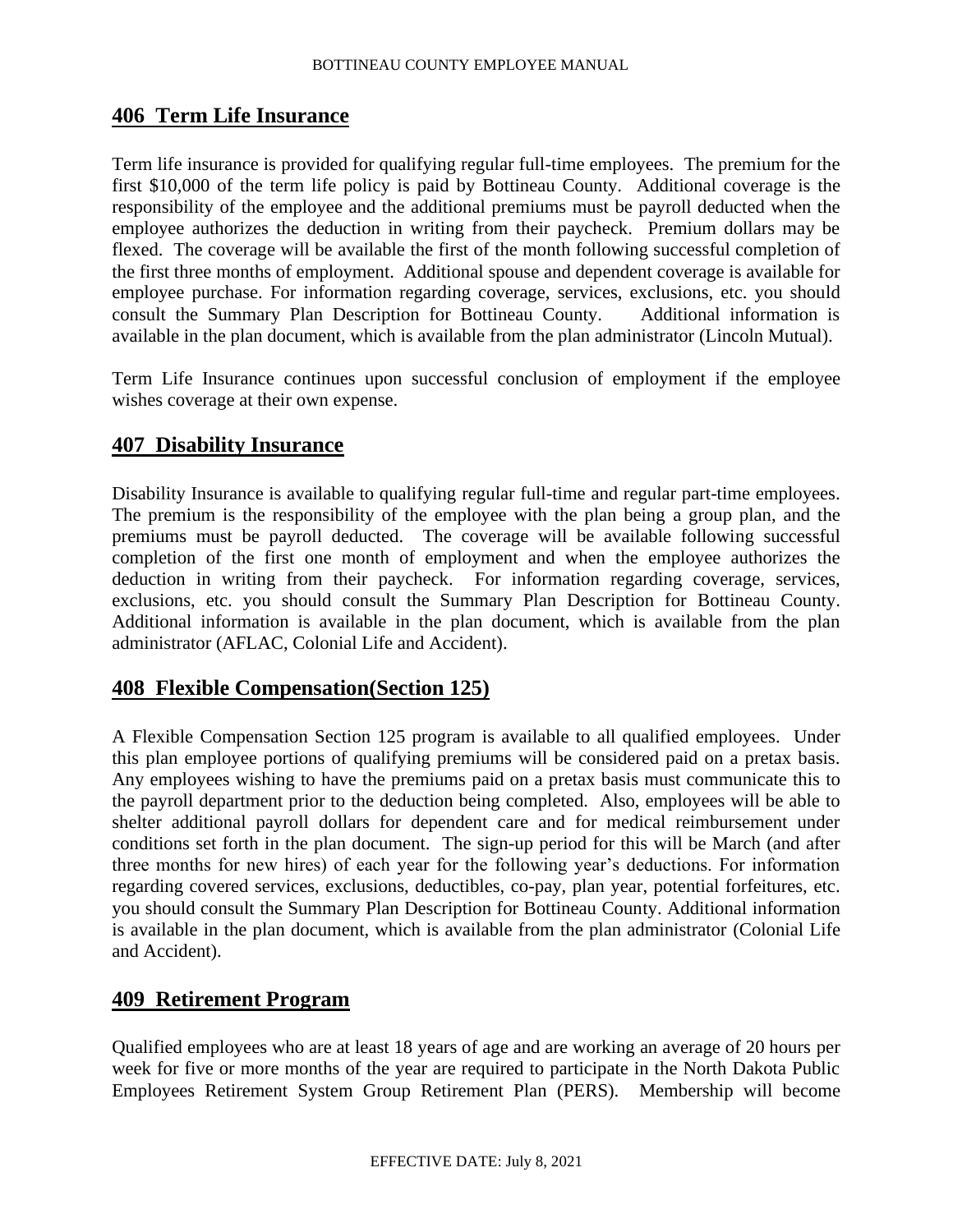### **406 Term Life Insurance**

Term life insurance is provided for qualifying regular full-time employees. The premium for the first \$10,000 of the term life policy is paid by Bottineau County. Additional coverage is the responsibility of the employee and the additional premiums must be payroll deducted when the employee authorizes the deduction in writing from their paycheck. Premium dollars may be flexed. The coverage will be available the first of the month following successful completion of the first three months of employment. Additional spouse and dependent coverage is available for employee purchase. For information regarding coverage, services, exclusions, etc. you should consult the Summary Plan Description for Bottineau County. Additional information is consult the Summary Plan Description for Bottineau County. available in the plan document, which is available from the plan administrator (Lincoln Mutual).

Term Life Insurance continues upon successful conclusion of employment if the employee wishes coverage at their own expense.

### **407 Disability Insurance**

Disability Insurance is available to qualifying regular full-time and regular part-time employees. The premium is the responsibility of the employee with the plan being a group plan, and the premiums must be payroll deducted. The coverage will be available following successful completion of the first one month of employment and when the employee authorizes the deduction in writing from their paycheck. For information regarding coverage, services, exclusions, etc. you should consult the Summary Plan Description for Bottineau County. Additional information is available in the plan document, which is available from the plan administrator (AFLAC, Colonial Life and Accident).

### **408 Flexible Compensation(Section 125)**

A Flexible Compensation Section 125 program is available to all qualified employees. Under this plan employee portions of qualifying premiums will be considered paid on a pretax basis. Any employees wishing to have the premiums paid on a pretax basis must communicate this to the payroll department prior to the deduction being completed. Also, employees will be able to shelter additional payroll dollars for dependent care and for medical reimbursement under conditions set forth in the plan document. The sign-up period for this will be March (and after three months for new hires) of each year for the following year's deductions. For information regarding covered services, exclusions, deductibles, co-pay, plan year, potential forfeitures, etc. you should consult the Summary Plan Description for Bottineau County. Additional information is available in the plan document, which is available from the plan administrator (Colonial Life and Accident).

### **409 Retirement Program**

Qualified employees who are at least 18 years of age and are working an average of 20 hours per week for five or more months of the year are required to participate in the North Dakota Public Employees Retirement System Group Retirement Plan (PERS). Membership will become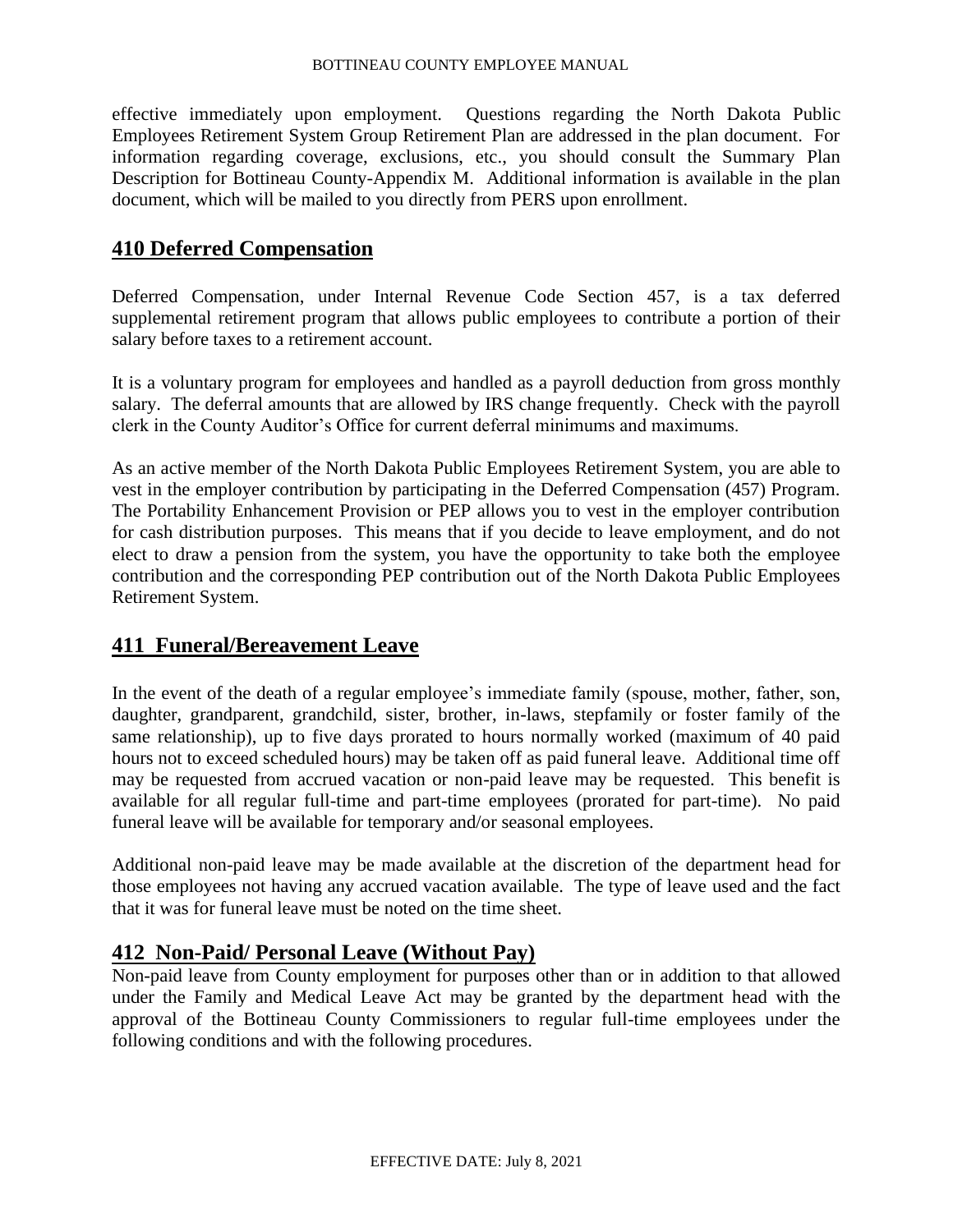effective immediately upon employment. Questions regarding the North Dakota Public Employees Retirement System Group Retirement Plan are addressed in the plan document. For information regarding coverage, exclusions, etc., you should consult the Summary Plan Description for Bottineau County-Appendix M. Additional information is available in the plan document, which will be mailed to you directly from PERS upon enrollment.

# **410 Deferred Compensation**

Deferred Compensation, under Internal Revenue Code Section 457, is a tax deferred supplemental retirement program that allows public employees to contribute a portion of their salary before taxes to a retirement account.

It is a voluntary program for employees and handled as a payroll deduction from gross monthly salary. The deferral amounts that are allowed by IRS change frequently. Check with the payroll clerk in the County Auditor's Office for current deferral minimums and maximums.

As an active member of the North Dakota Public Employees Retirement System, you are able to vest in the employer contribution by participating in the Deferred Compensation (457) Program. The Portability Enhancement Provision or PEP allows you to vest in the employer contribution for cash distribution purposes. This means that if you decide to leave employment, and do not elect to draw a pension from the system, you have the opportunity to take both the employee contribution and the corresponding PEP contribution out of the North Dakota Public Employees Retirement System.

# **411 Funeral/Bereavement Leave**

In the event of the death of a regular employee's immediate family (spouse, mother, father, son, daughter, grandparent, grandchild, sister, brother, in-laws, stepfamily or foster family of the same relationship), up to five days prorated to hours normally worked (maximum of 40 paid hours not to exceed scheduled hours) may be taken off as paid funeral leave. Additional time off may be requested from accrued vacation or non-paid leave may be requested. This benefit is available for all regular full-time and part-time employees (prorated for part-time). No paid funeral leave will be available for temporary and/or seasonal employees.

Additional non-paid leave may be made available at the discretion of the department head for those employees not having any accrued vacation available. The type of leave used and the fact that it was for funeral leave must be noted on the time sheet.

# **412 Non-Paid/ Personal Leave (Without Pay)**

Non-paid leave from County employment for purposes other than or in addition to that allowed under the Family and Medical Leave Act may be granted by the department head with the approval of the Bottineau County Commissioners to regular full-time employees under the following conditions and with the following procedures.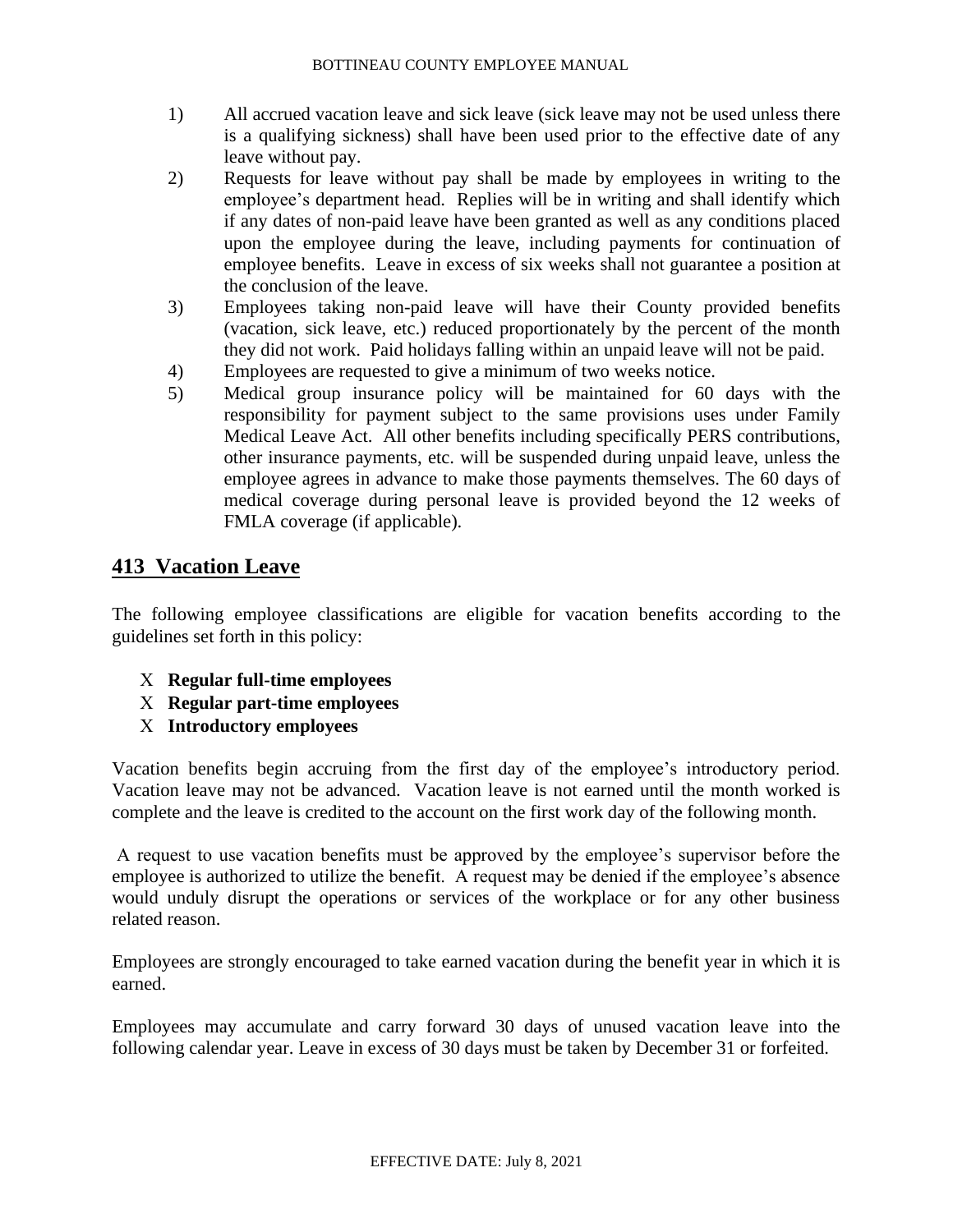- 1) All accrued vacation leave and sick leave (sick leave may not be used unless there is a qualifying sickness) shall have been used prior to the effective date of any leave without pay.
- 2) Requests for leave without pay shall be made by employees in writing to the employee's department head. Replies will be in writing and shall identify which if any dates of non-paid leave have been granted as well as any conditions placed upon the employee during the leave, including payments for continuation of employee benefits. Leave in excess of six weeks shall not guarantee a position at the conclusion of the leave.
- 3) Employees taking non-paid leave will have their County provided benefits (vacation, sick leave, etc.) reduced proportionately by the percent of the month they did not work. Paid holidays falling within an unpaid leave will not be paid.
- 4) Employees are requested to give a minimum of two weeks notice.
- 5) Medical group insurance policy will be maintained for 60 days with the responsibility for payment subject to the same provisions uses under Family Medical Leave Act. All other benefits including specifically PERS contributions, other insurance payments, etc. will be suspended during unpaid leave, unless the employee agrees in advance to make those payments themselves. The 60 days of medical coverage during personal leave is provided beyond the 12 weeks of FMLA coverage (if applicable).

# **413 Vacation Leave**

The following employee classifications are eligible for vacation benefits according to the guidelines set forth in this policy:

- **Regular full-time employees**
- **Regular part-time employees**
- **Introductory employees**

Vacation benefits begin accruing from the first day of the employee's introductory period. Vacation leave may not be advanced. Vacation leave is not earned until the month worked is complete and the leave is credited to the account on the first work day of the following month.

A request to use vacation benefits must be approved by the employee's supervisor before the employee is authorized to utilize the benefit. A request may be denied if the employee's absence would unduly disrupt the operations or services of the workplace or for any other business related reason.

Employees are strongly encouraged to take earned vacation during the benefit year in which it is earned.

Employees may accumulate and carry forward 30 days of unused vacation leave into the following calendar year. Leave in excess of 30 days must be taken by December 31 or forfeited.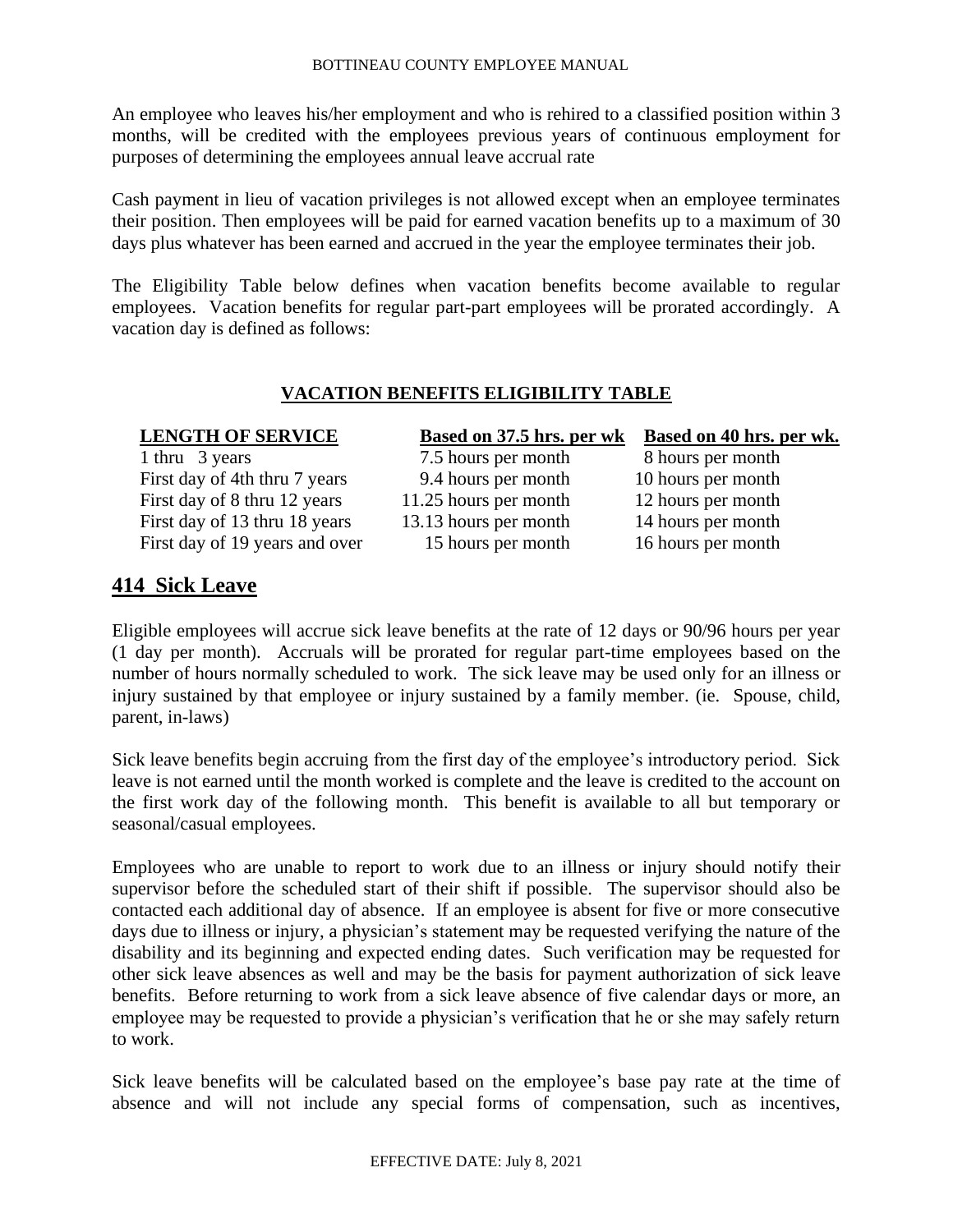An employee who leaves his/her employment and who is rehired to a classified position within 3 months, will be credited with the employees previous years of continuous employment for purposes of determining the employees annual leave accrual rate

Cash payment in lieu of vacation privileges is not allowed except when an employee terminates their position. Then employees will be paid for earned vacation benefits up to a maximum of 30 days plus whatever has been earned and accrued in the year the employee terminates their job.

The Eligibility Table below defines when vacation benefits become available to regular employees. Vacation benefits for regular part-part employees will be prorated accordingly. A vacation day is defined as follows:

### **VACATION BENEFITS ELIGIBILITY TABLE**

| <b>LENGTH OF SERVICE</b>       | <b>Based on 37.5 hrs. per wk</b> | <b>Based on 40 hrs. per wk.</b> |
|--------------------------------|----------------------------------|---------------------------------|
| 1 thru 3 years                 | 7.5 hours per month              | 8 hours per month               |
| First day of 4th thru 7 years  | 9.4 hours per month              | 10 hours per month              |
| First day of 8 thru 12 years   | 11.25 hours per month            | 12 hours per month              |
| First day of 13 thru 18 years  | 13.13 hours per month            | 14 hours per month              |
| First day of 19 years and over | 15 hours per month               | 16 hours per month              |
|                                |                                  |                                 |

# **414 Sick Leave**

Eligible employees will accrue sick leave benefits at the rate of 12 days or 90/96 hours per year (1 day per month). Accruals will be prorated for regular part-time employees based on the number of hours normally scheduled to work. The sick leave may be used only for an illness or injury sustained by that employee or injury sustained by a family member. (ie. Spouse, child, parent, in-laws)

Sick leave benefits begin accruing from the first day of the employee's introductory period. Sick leave is not earned until the month worked is complete and the leave is credited to the account on the first work day of the following month. This benefit is available to all but temporary or seasonal/casual employees.

Employees who are unable to report to work due to an illness or injury should notify their supervisor before the scheduled start of their shift if possible. The supervisor should also be contacted each additional day of absence. If an employee is absent for five or more consecutive days due to illness or injury, a physician's statement may be requested verifying the nature of the disability and its beginning and expected ending dates. Such verification may be requested for other sick leave absences as well and may be the basis for payment authorization of sick leave benefits. Before returning to work from a sick leave absence of five calendar days or more, an employee may be requested to provide a physician's verification that he or she may safely return to work.

Sick leave benefits will be calculated based on the employee's base pay rate at the time of absence and will not include any special forms of compensation, such as incentives,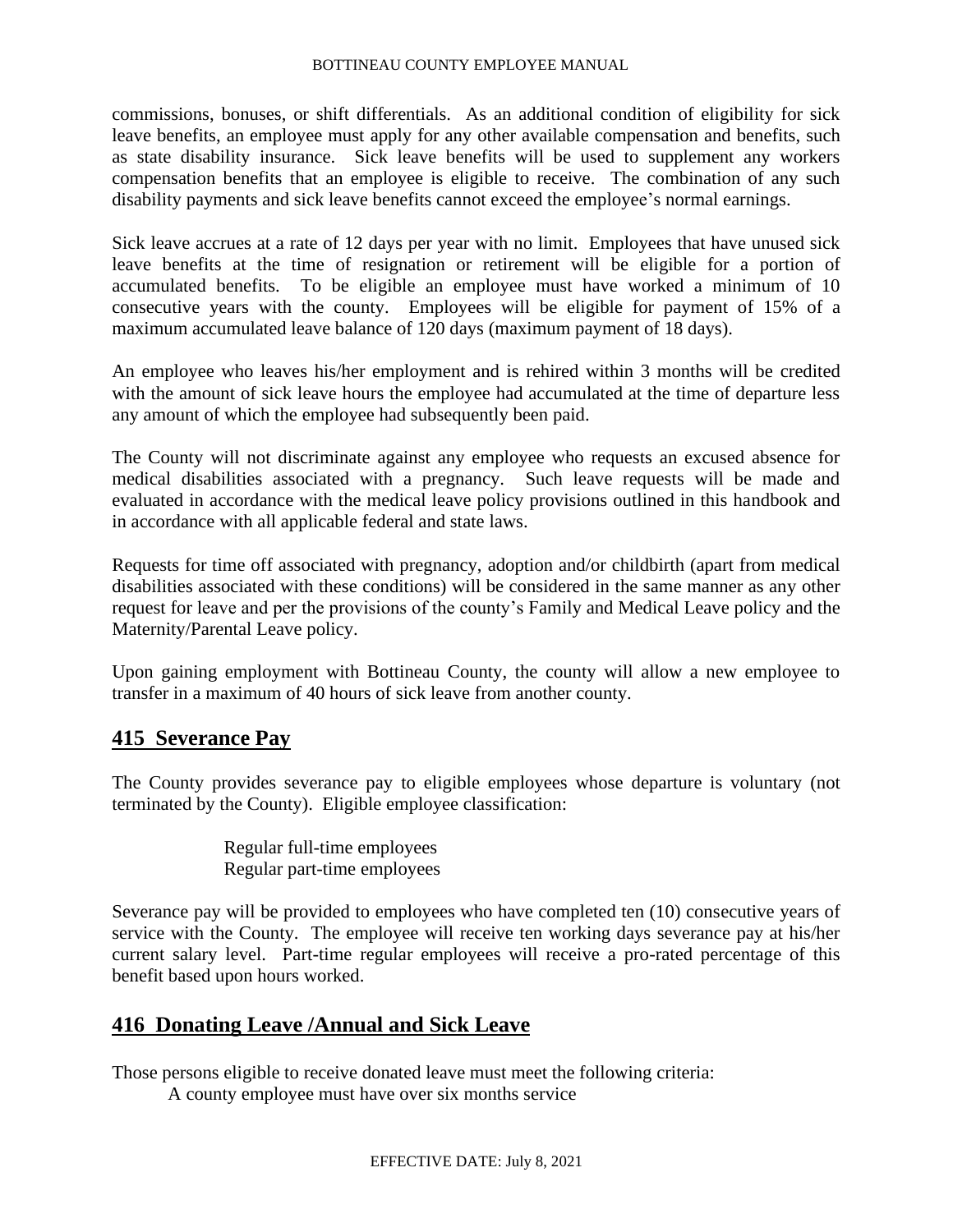commissions, bonuses, or shift differentials. As an additional condition of eligibility for sick leave benefits, an employee must apply for any other available compensation and benefits, such as state disability insurance. Sick leave benefits will be used to supplement any workers compensation benefits that an employee is eligible to receive. The combination of any such disability payments and sick leave benefits cannot exceed the employee's normal earnings.

Sick leave accrues at a rate of 12 days per year with no limit. Employees that have unused sick leave benefits at the time of resignation or retirement will be eligible for a portion of accumulated benefits. To be eligible an employee must have worked a minimum of 10 consecutive years with the county. Employees will be eligible for payment of 15% of a maximum accumulated leave balance of 120 days (maximum payment of 18 days).

An employee who leaves his/her employment and is rehired within 3 months will be credited with the amount of sick leave hours the employee had accumulated at the time of departure less any amount of which the employee had subsequently been paid.

The County will not discriminate against any employee who requests an excused absence for medical disabilities associated with a pregnancy. Such leave requests will be made and evaluated in accordance with the medical leave policy provisions outlined in this handbook and in accordance with all applicable federal and state laws.

Requests for time off associated with pregnancy, adoption and/or childbirth (apart from medical disabilities associated with these conditions) will be considered in the same manner as any other request for leave and per the provisions of the county's Family and Medical Leave policy and the Maternity/Parental Leave policy.

Upon gaining employment with Bottineau County, the county will allow a new employee to transfer in a maximum of 40 hours of sick leave from another county.

# **415 Severance Pay**

The County provides severance pay to eligible employees whose departure is voluntary (not terminated by the County). Eligible employee classification:

> Regular full-time employees Regular part-time employees

Severance pay will be provided to employees who have completed ten (10) consecutive years of service with the County. The employee will receive ten working days severance pay at his/her current salary level. Part-time regular employees will receive a pro-rated percentage of this benefit based upon hours worked.

# **416 Donating Leave /Annual and Sick Leave**

Those persons eligible to receive donated leave must meet the following criteria:

A county employee must have over six months service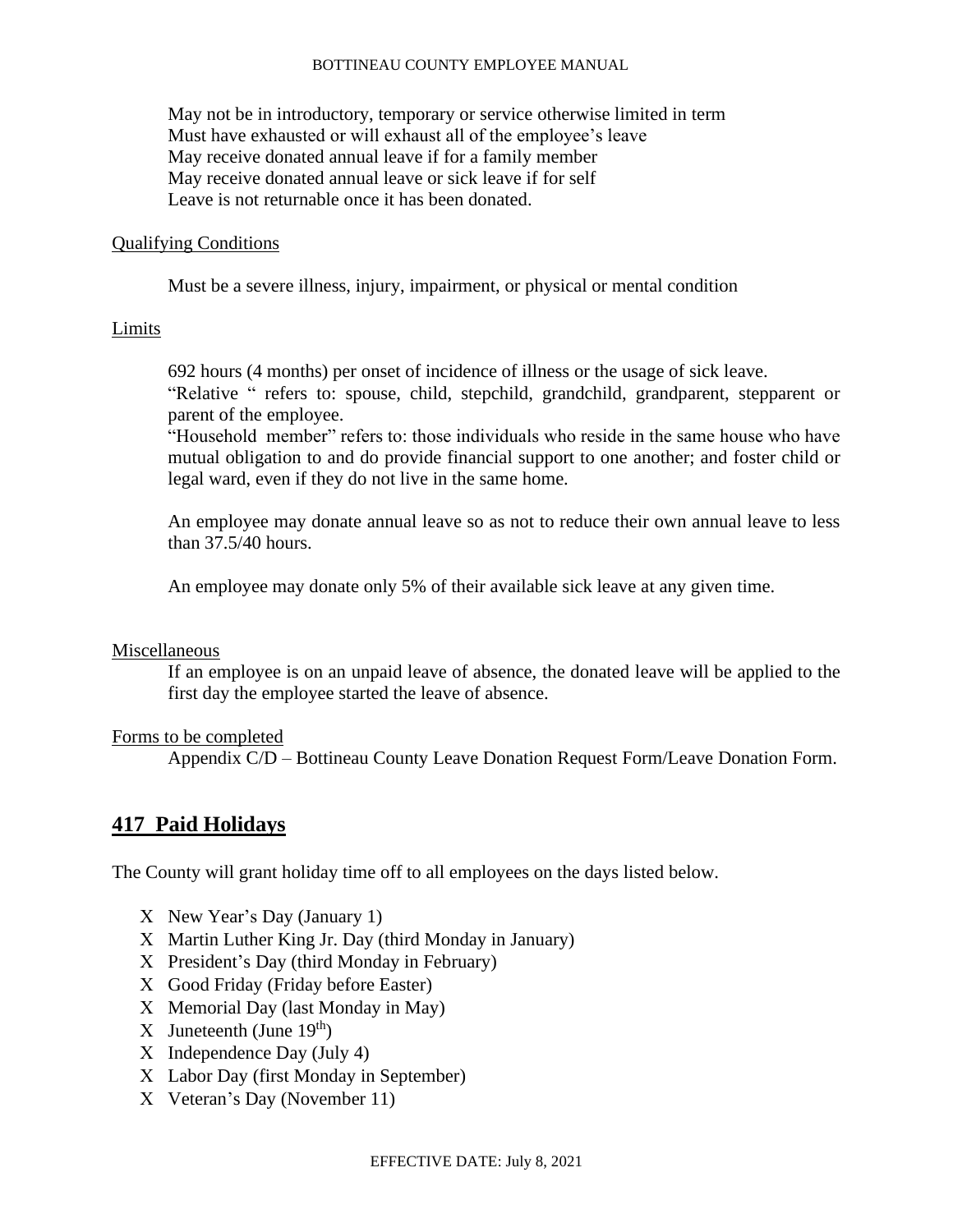May not be in introductory, temporary or service otherwise limited in term Must have exhausted or will exhaust all of the employee's leave May receive donated annual leave if for a family member May receive donated annual leave or sick leave if for self Leave is not returnable once it has been donated.

#### Qualifying Conditions

Must be a severe illness, injury, impairment, or physical or mental condition

#### Limits

692 hours (4 months) per onset of incidence of illness or the usage of sick leave. "Relative " refers to: spouse, child, stepchild, grandchild, grandparent, stepparent or parent of the employee.

"Household member" refers to: those individuals who reside in the same house who have mutual obligation to and do provide financial support to one another; and foster child or legal ward, even if they do not live in the same home.

An employee may donate annual leave so as not to reduce their own annual leave to less than 37.5/40 hours.

An employee may donate only 5% of their available sick leave at any given time.

#### Miscellaneous

If an employee is on an unpaid leave of absence, the donated leave will be applied to the first day the employee started the leave of absence.

#### Forms to be completed

Appendix C/D – Bottineau County Leave Donation Request Form/Leave Donation Form.

### **417 Paid Holidays**

The County will grant holiday time off to all employees on the days listed below.

- $X$  New Year's Day (January 1)
- X Martin Luther King Jr. Day (third Monday in January)
- X President's Day (third Monday in February)
- Good Friday (Friday before Easter)
- X Memorial Day (last Monday in May)
- X Juneteenth (June  $19<sup>th</sup>$ )
- $X$  Independence Day (July 4)
- Labor Day (first Monday in September)
- Veteran's Day (November 11)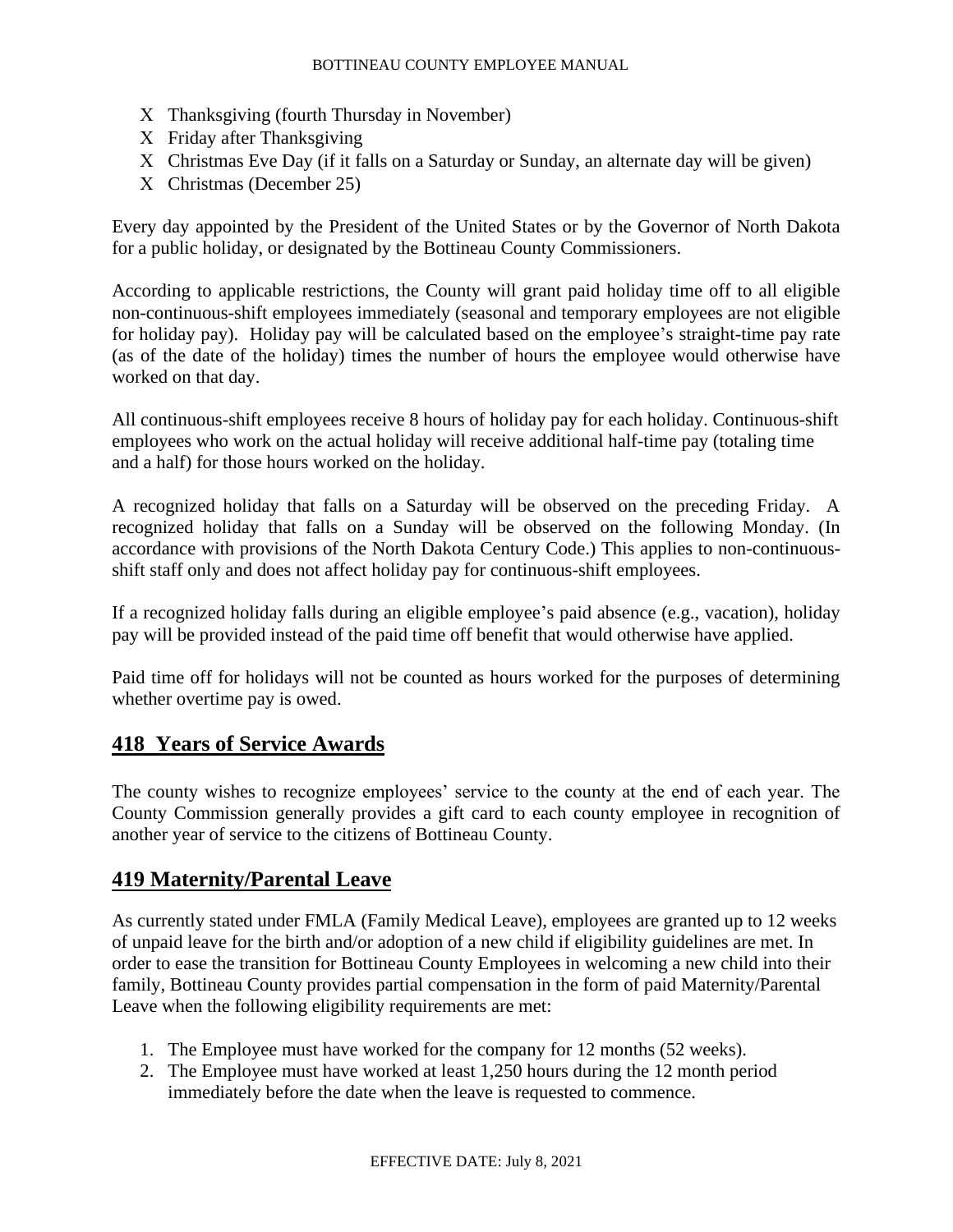- X Thanksgiving (fourth Thursday in November)
- X Friday after Thanksgiving
- Christmas Eve Day (if it falls on a Saturday or Sunday, an alternate day will be given)
- Christmas (December 25)

Every day appointed by the President of the United States or by the Governor of North Dakota for a public holiday, or designated by the Bottineau County Commissioners.

According to applicable restrictions, the County will grant paid holiday time off to all eligible non-continuous-shift employees immediately (seasonal and temporary employees are not eligible for holiday pay). Holiday pay will be calculated based on the employee's straight-time pay rate (as of the date of the holiday) times the number of hours the employee would otherwise have worked on that day.

All continuous-shift employees receive 8 hours of holiday pay for each holiday. Continuous-shift employees who work on the actual holiday will receive additional half-time pay (totaling time and a half) for those hours worked on the holiday.

A recognized holiday that falls on a Saturday will be observed on the preceding Friday. A recognized holiday that falls on a Sunday will be observed on the following Monday. (In accordance with provisions of the North Dakota Century Code.) This applies to non-continuousshift staff only and does not affect holiday pay for continuous-shift employees.

If a recognized holiday falls during an eligible employee's paid absence (e.g., vacation), holiday pay will be provided instead of the paid time off benefit that would otherwise have applied.

Paid time off for holidays will not be counted as hours worked for the purposes of determining whether overtime pay is owed.

# **418 Years of Service Awards**

The county wishes to recognize employees' service to the county at the end of each year. The County Commission generally provides a gift card to each county employee in recognition of another year of service to the citizens of Bottineau County.

# **419 Maternity/Parental Leave**

As currently stated under FMLA (Family Medical Leave), employees are granted up to 12 weeks of unpaid leave for the birth and/or adoption of a new child if eligibility guidelines are met. In order to ease the transition for Bottineau County Employees in welcoming a new child into their family, Bottineau County provides partial compensation in the form of paid Maternity/Parental Leave when the following eligibility requirements are met:

- 1. The Employee must have worked for the company for 12 months (52 weeks).
- 2. The Employee must have worked at least 1,250 hours during the 12 month period immediately before the date when the leave is requested to commence.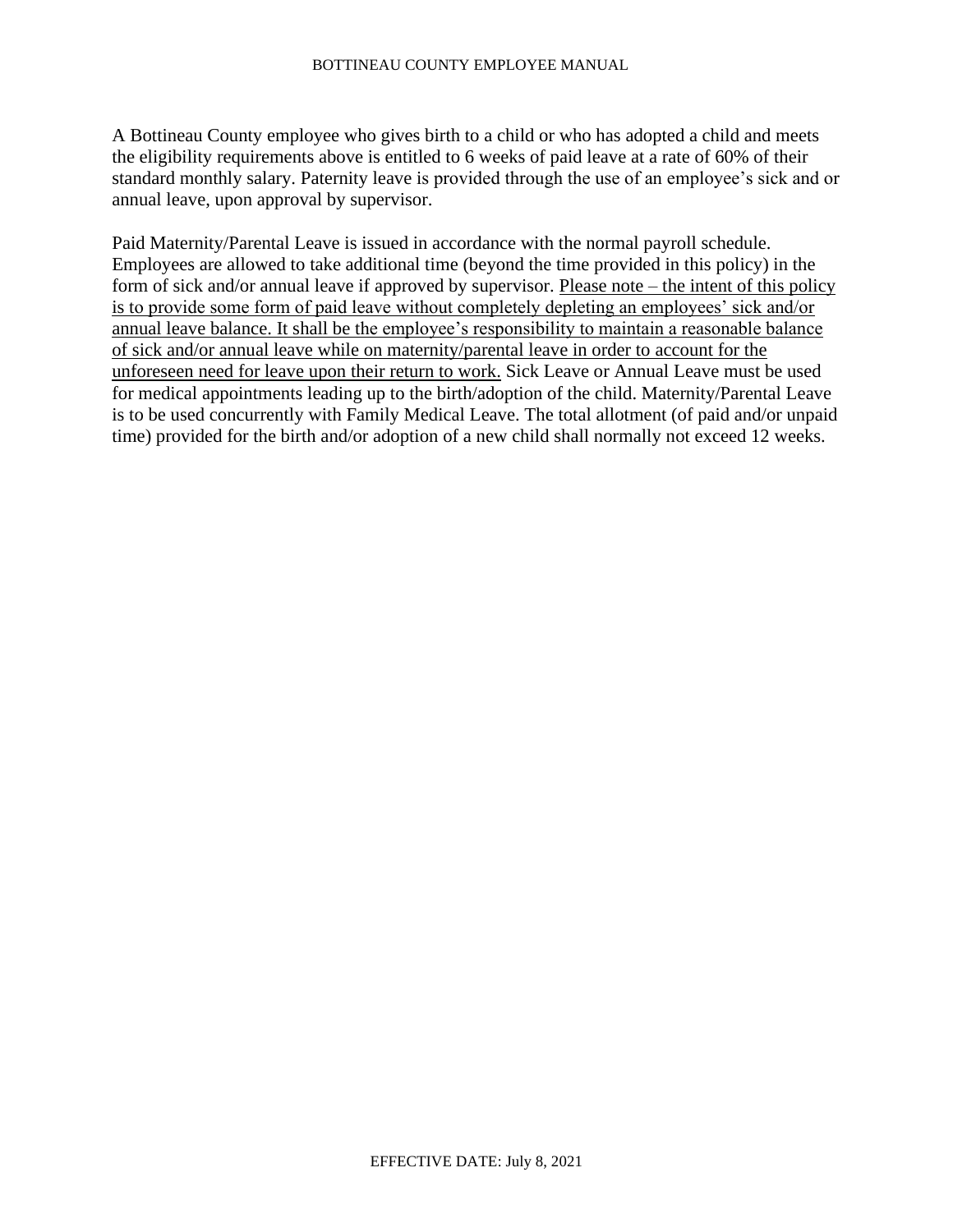A Bottineau County employee who gives birth to a child or who has adopted a child and meets the eligibility requirements above is entitled to 6 weeks of paid leave at a rate of 60% of their standard monthly salary. Paternity leave is provided through the use of an employee's sick and or annual leave, upon approval by supervisor.

Paid Maternity/Parental Leave is issued in accordance with the normal payroll schedule. Employees are allowed to take additional time (beyond the time provided in this policy) in the form of sick and/or annual leave if approved by supervisor. Please note – the intent of this policy is to provide some form of paid leave without completely depleting an employees' sick and/or annual leave balance. It shall be the employee's responsibility to maintain a reasonable balance of sick and/or annual leave while on maternity/parental leave in order to account for the unforeseen need for leave upon their return to work. Sick Leave or Annual Leave must be used for medical appointments leading up to the birth/adoption of the child. Maternity/Parental Leave is to be used concurrently with Family Medical Leave. The total allotment (of paid and/or unpaid time) provided for the birth and/or adoption of a new child shall normally not exceed 12 weeks.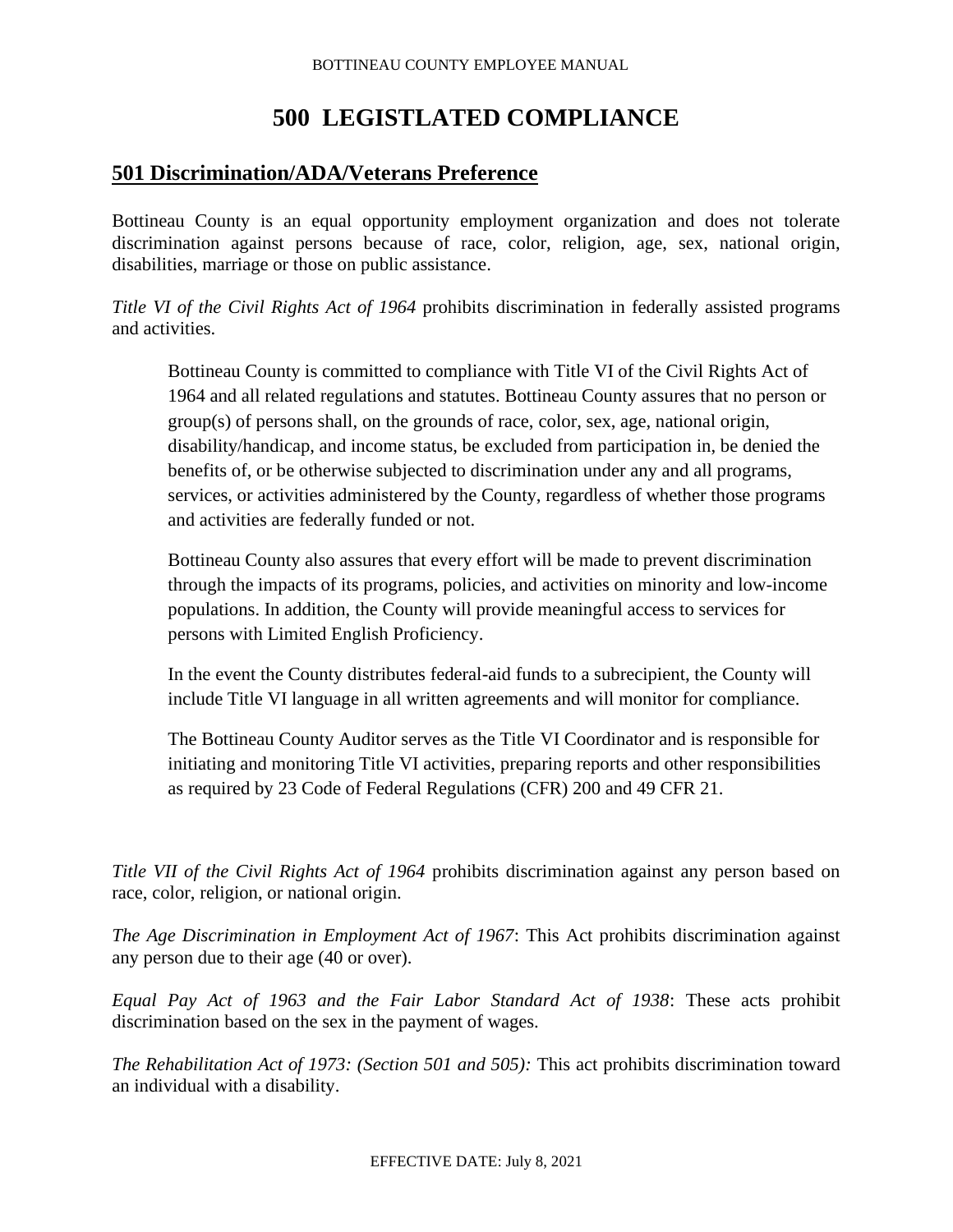# **500 LEGISTLATED COMPLIANCE**

# **501 Discrimination/ADA/Veterans Preference**

Bottineau County is an equal opportunity employment organization and does not tolerate discrimination against persons because of race, color, religion, age, sex, national origin, disabilities, marriage or those on public assistance.

*Title VI of the Civil Rights Act of 1964* prohibits discrimination in federally assisted programs and activities.

Bottineau County is committed to compliance with Title VI of the Civil Rights Act of 1964 and all related regulations and statutes. Bottineau County assures that no person or group(s) of persons shall, on the grounds of race, color, sex, age, national origin, disability/handicap, and income status, be excluded from participation in, be denied the benefits of, or be otherwise subjected to discrimination under any and all programs, services, or activities administered by the County, regardless of whether those programs and activities are federally funded or not.

Bottineau County also assures that every effort will be made to prevent discrimination through the impacts of its programs, policies, and activities on minority and low-income populations. In addition, the County will provide meaningful access to services for persons with Limited English Proficiency.

In the event the County distributes federal-aid funds to a subrecipient, the County will include Title VI language in all written agreements and will monitor for compliance.

The Bottineau County Auditor serves as the Title VI Coordinator and is responsible for initiating and monitoring Title VI activities, preparing reports and other responsibilities as required by 23 Code of Federal Regulations (CFR) 200 and 49 CFR 21.

*Title VII of the Civil Rights Act of 1964* prohibits discrimination against any person based on race, color, religion, or national origin.

*The Age Discrimination in Employment Act of 1967*: This Act prohibits discrimination against any person due to their age (40 or over).

*Equal Pay Act of 1963 and the Fair Labor Standard Act of 1938*: These acts prohibit discrimination based on the sex in the payment of wages.

*The Rehabilitation Act of 1973: (Section 501 and 505):* This act prohibits discrimination toward an individual with a disability.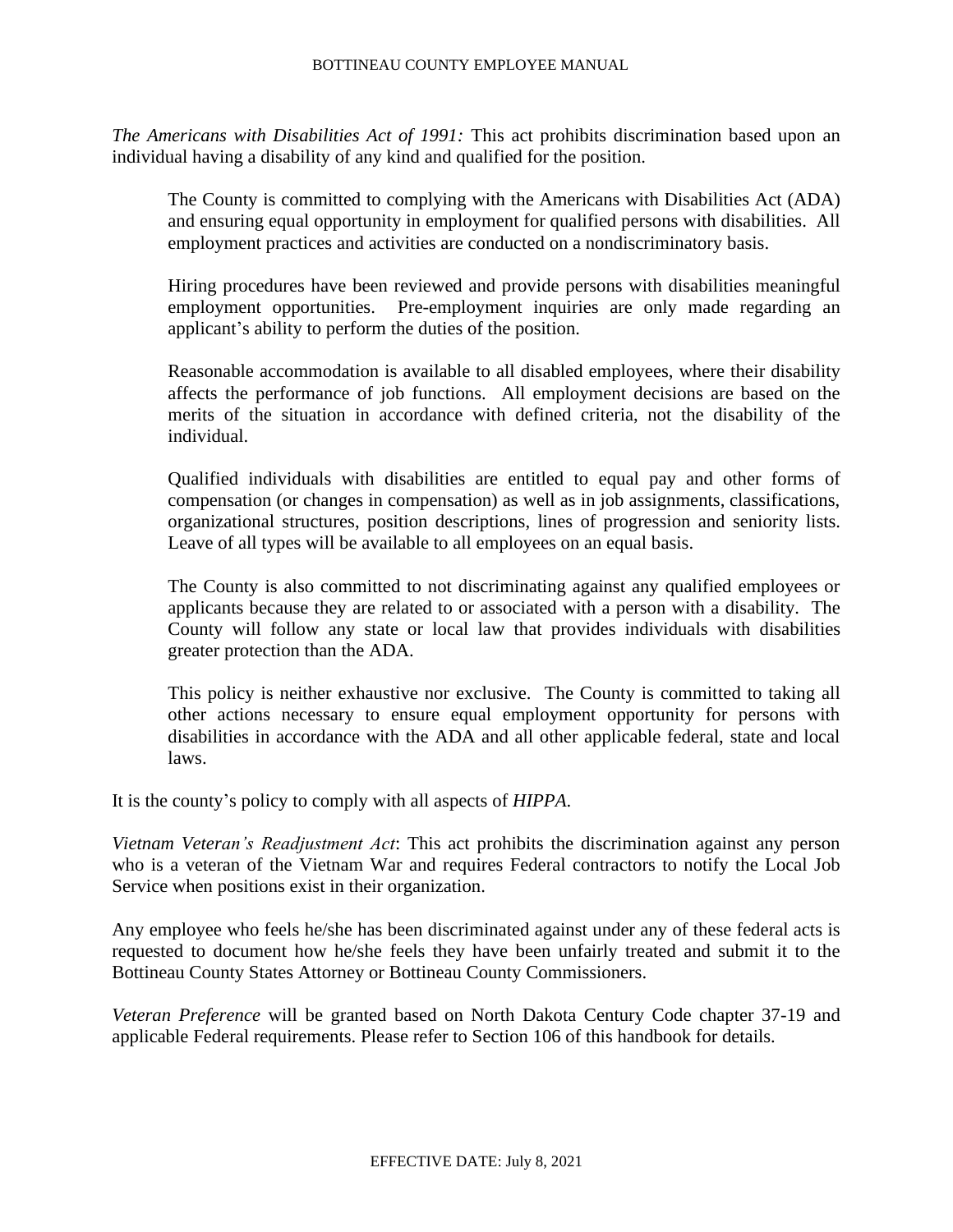*The Americans with Disabilities Act of 1991:* This act prohibits discrimination based upon an individual having a disability of any kind and qualified for the position.

The County is committed to complying with the Americans with Disabilities Act (ADA) and ensuring equal opportunity in employment for qualified persons with disabilities. All employment practices and activities are conducted on a nondiscriminatory basis.

Hiring procedures have been reviewed and provide persons with disabilities meaningful employment opportunities. Pre-employment inquiries are only made regarding an applicant's ability to perform the duties of the position.

Reasonable accommodation is available to all disabled employees, where their disability affects the performance of job functions. All employment decisions are based on the merits of the situation in accordance with defined criteria, not the disability of the individual.

Qualified individuals with disabilities are entitled to equal pay and other forms of compensation (or changes in compensation) as well as in job assignments, classifications, organizational structures, position descriptions, lines of progression and seniority lists. Leave of all types will be available to all employees on an equal basis.

The County is also committed to not discriminating against any qualified employees or applicants because they are related to or associated with a person with a disability. The County will follow any state or local law that provides individuals with disabilities greater protection than the ADA.

This policy is neither exhaustive nor exclusive. The County is committed to taking all other actions necessary to ensure equal employment opportunity for persons with disabilities in accordance with the ADA and all other applicable federal, state and local laws.

It is the county's policy to comply with all aspects of *HIPPA*.

*Vietnam Veteran's Readjustment Act*: This act prohibits the discrimination against any person who is a veteran of the Vietnam War and requires Federal contractors to notify the Local Job Service when positions exist in their organization.

Any employee who feels he/she has been discriminated against under any of these federal acts is requested to document how he/she feels they have been unfairly treated and submit it to the Bottineau County States Attorney or Bottineau County Commissioners.

*Veteran Preference* will be granted based on North Dakota Century Code chapter 37-19 and applicable Federal requirements. Please refer to Section 106 of this handbook for details.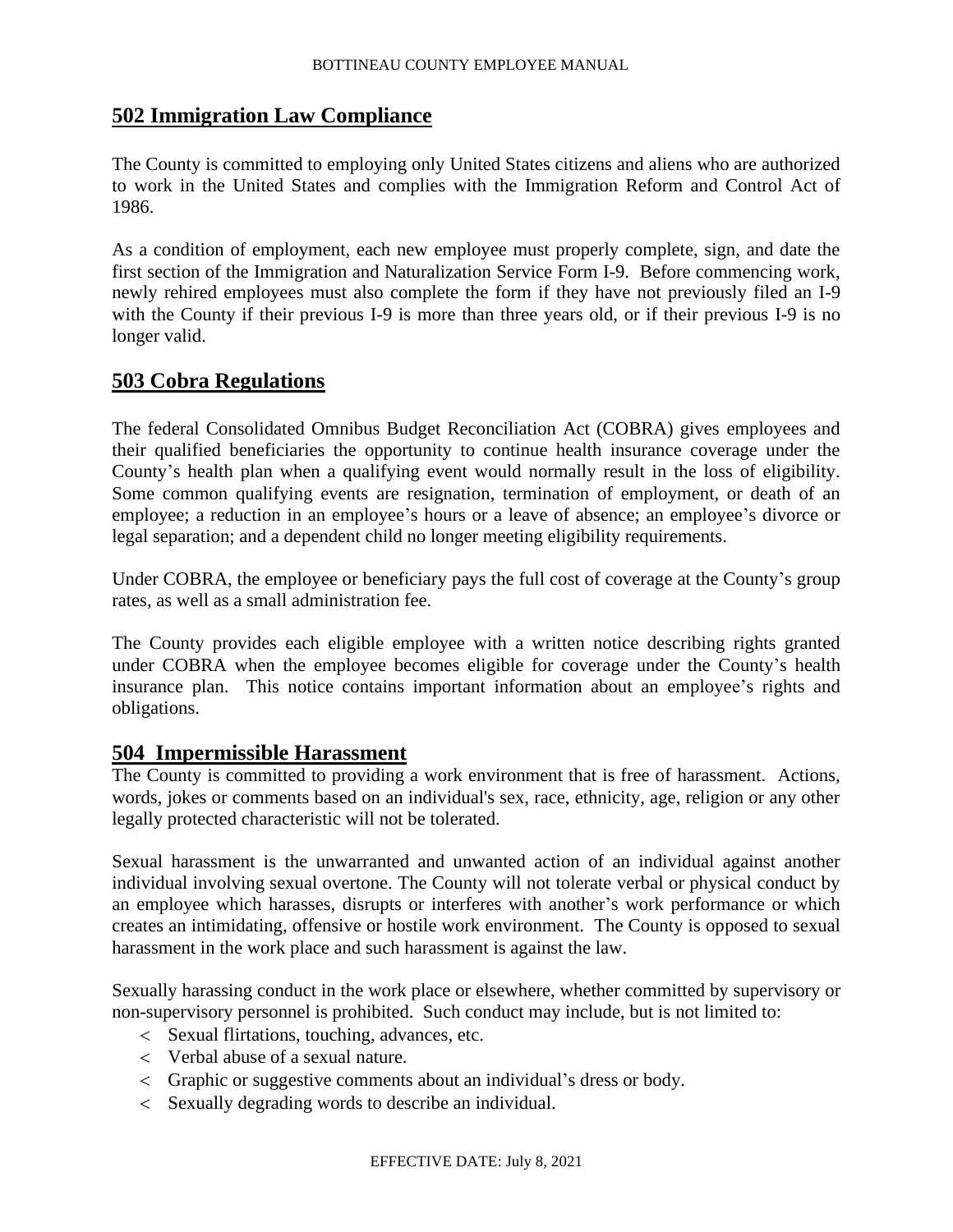# **502 Immigration Law Compliance**

The County is committed to employing only United States citizens and aliens who are authorized to work in the United States and complies with the Immigration Reform and Control Act of 1986.

As a condition of employment, each new employee must properly complete, sign, and date the first section of the Immigration and Naturalization Service Form I-9. Before commencing work, newly rehired employees must also complete the form if they have not previously filed an I-9 with the County if their previous I-9 is more than three years old, or if their previous I-9 is no longer valid.

# **503 Cobra Regulations**

The federal Consolidated Omnibus Budget Reconciliation Act (COBRA) gives employees and their qualified beneficiaries the opportunity to continue health insurance coverage under the County's health plan when a qualifying event would normally result in the loss of eligibility. Some common qualifying events are resignation, termination of employment, or death of an employee; a reduction in an employee's hours or a leave of absence; an employee's divorce or legal separation; and a dependent child no longer meeting eligibility requirements.

Under COBRA, the employee or beneficiary pays the full cost of coverage at the County's group rates, as well as a small administration fee.

The County provides each eligible employee with a written notice describing rights granted under COBRA when the employee becomes eligible for coverage under the County's health insurance plan. This notice contains important information about an employee's rights and obligations.

# **504 Impermissible Harassment**

The County is committed to providing a work environment that is free of harassment. Actions, words, jokes or comments based on an individual's sex, race, ethnicity, age, religion or any other legally protected characteristic will not be tolerated.

Sexual harassment is the unwarranted and unwanted action of an individual against another individual involving sexual overtone. The County will not tolerate verbal or physical conduct by an employee which harasses, disrupts or interferes with another's work performance or which creates an intimidating, offensive or hostile work environment. The County is opposed to sexual harassment in the work place and such harassment is against the law.

Sexually harassing conduct in the work place or elsewhere, whether committed by supervisory or non-supervisory personnel is prohibited. Such conduct may include, but is not limited to:

- Sexual flirtations, touching, advances, etc.
- Verbal abuse of a sexual nature.
- Graphic or suggestive comments about an individual's dress or body.
- Sexually degrading words to describe an individual.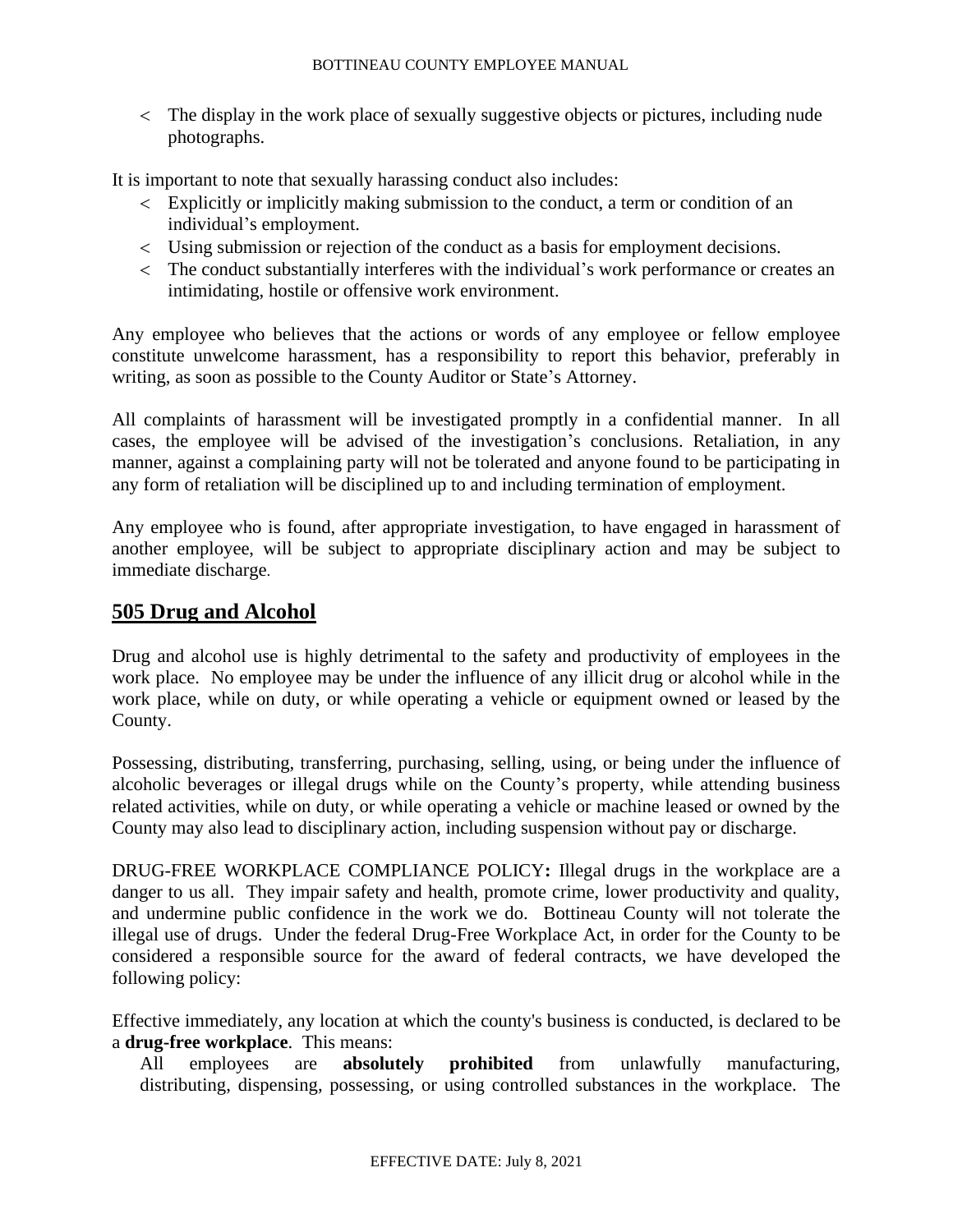The display in the work place of sexually suggestive objects or pictures, including nude photographs.

It is important to note that sexually harassing conduct also includes:

- Explicitly or implicitly making submission to the conduct, a term or condition of an individual's employment.
- Using submission or rejection of the conduct as a basis for employment decisions.
- The conduct substantially interferes with the individual's work performance or creates an intimidating, hostile or offensive work environment.

Any employee who believes that the actions or words of any employee or fellow employee constitute unwelcome harassment, has a responsibility to report this behavior, preferably in writing, as soon as possible to the County Auditor or State's Attorney.

All complaints of harassment will be investigated promptly in a confidential manner. In all cases, the employee will be advised of the investigation's conclusions. Retaliation, in any manner, against a complaining party will not be tolerated and anyone found to be participating in any form of retaliation will be disciplined up to and including termination of employment.

Any employee who is found, after appropriate investigation, to have engaged in harassment of another employee, will be subject to appropriate disciplinary action and may be subject to immediate discharge.

# **505 Drug and Alcohol**

Drug and alcohol use is highly detrimental to the safety and productivity of employees in the work place. No employee may be under the influence of any illicit drug or alcohol while in the work place, while on duty, or while operating a vehicle or equipment owned or leased by the County.

Possessing, distributing, transferring, purchasing, selling, using, or being under the influence of alcoholic beverages or illegal drugs while on the County's property, while attending business related activities, while on duty, or while operating a vehicle or machine leased or owned by the County may also lead to disciplinary action, including suspension without pay or discharge.

DRUG-FREE WORKPLACE COMPLIANCE POLICY**:** Illegal drugs in the workplace are a danger to us all. They impair safety and health, promote crime, lower productivity and quality, and undermine public confidence in the work we do. Bottineau County will not tolerate the illegal use of drugs. Under the federal Drug-Free Workplace Act, in order for the County to be considered a responsible source for the award of federal contracts, we have developed the following policy:

Effective immediately, any location at which the county's business is conducted, is declared to be a **drug-free workplace**. This means:

All employees are **absolutely prohibited** from unlawfully manufacturing, distributing, dispensing, possessing, or using controlled substances in the workplace. The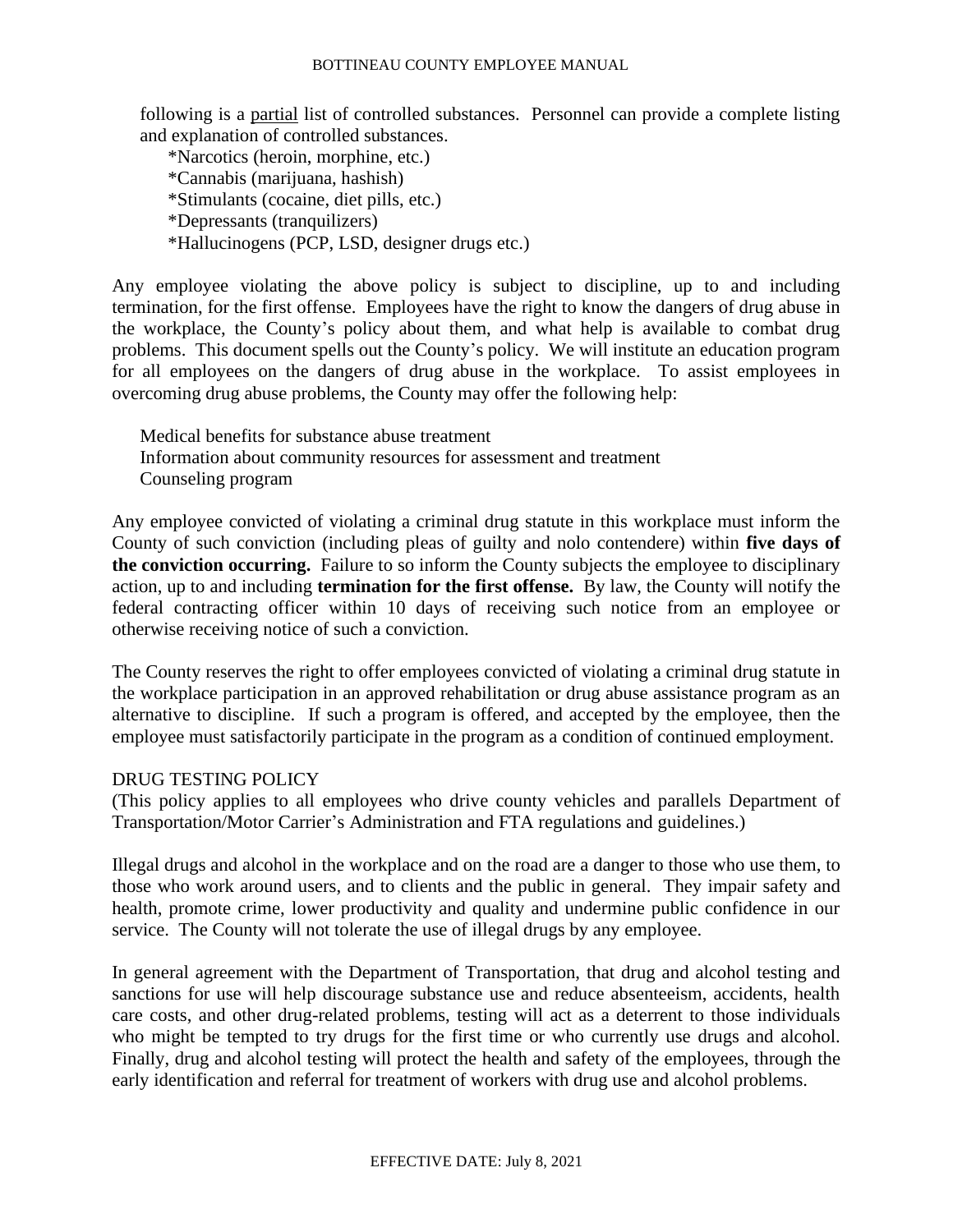following is a partial list of controlled substances. Personnel can provide a complete listing and explanation of controlled substances.

\*Narcotics (heroin, morphine, etc.) \*Cannabis (marijuana, hashish) \*Stimulants (cocaine, diet pills, etc.) \*Depressants (tranquilizers) \*Hallucinogens (PCP, LSD, designer drugs etc.)

Any employee violating the above policy is subject to discipline, up to and including termination, for the first offense. Employees have the right to know the dangers of drug abuse in the workplace, the County's policy about them, and what help is available to combat drug problems. This document spells out the County's policy. We will institute an education program for all employees on the dangers of drug abuse in the workplace. To assist employees in overcoming drug abuse problems, the County may offer the following help:

Medical benefits for substance abuse treatment Information about community resources for assessment and treatment Counseling program

Any employee convicted of violating a criminal drug statute in this workplace must inform the County of such conviction (including pleas of guilty and nolo contendere) within **five days of the conviction occurring.** Failure to so inform the County subjects the employee to disciplinary action, up to and including **termination for the first offense.** By law, the County will notify the federal contracting officer within 10 days of receiving such notice from an employee or otherwise receiving notice of such a conviction.

The County reserves the right to offer employees convicted of violating a criminal drug statute in the workplace participation in an approved rehabilitation or drug abuse assistance program as an alternative to discipline. If such a program is offered, and accepted by the employee, then the employee must satisfactorily participate in the program as a condition of continued employment.

#### DRUG TESTING POLICY

(This policy applies to all employees who drive county vehicles and parallels Department of Transportation/Motor Carrier's Administration and FTA regulations and guidelines.)

Illegal drugs and alcohol in the workplace and on the road are a danger to those who use them, to those who work around users, and to clients and the public in general. They impair safety and health, promote crime, lower productivity and quality and undermine public confidence in our service. The County will not tolerate the use of illegal drugs by any employee.

In general agreement with the Department of Transportation, that drug and alcohol testing and sanctions for use will help discourage substance use and reduce absenteeism, accidents, health care costs, and other drug-related problems, testing will act as a deterrent to those individuals who might be tempted to try drugs for the first time or who currently use drugs and alcohol. Finally, drug and alcohol testing will protect the health and safety of the employees, through the early identification and referral for treatment of workers with drug use and alcohol problems.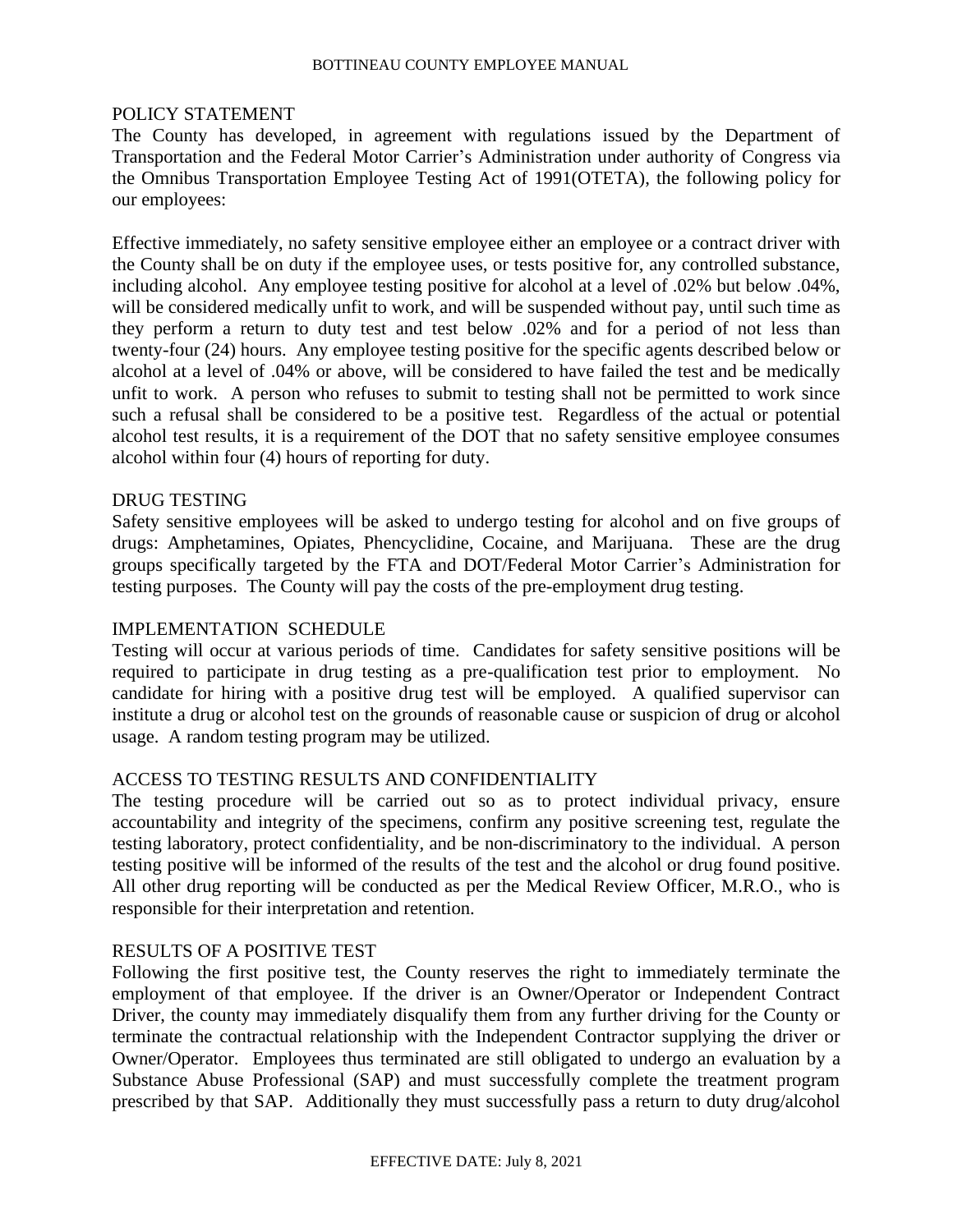#### POLICY STATEMENT

The County has developed, in agreement with regulations issued by the Department of Transportation and the Federal Motor Carrier's Administration under authority of Congress via the Omnibus Transportation Employee Testing Act of 1991(OTETA), the following policy for our employees:

Effective immediately, no safety sensitive employee either an employee or a contract driver with the County shall be on duty if the employee uses, or tests positive for, any controlled substance, including alcohol. Any employee testing positive for alcohol at a level of .02% but below .04%, will be considered medically unfit to work, and will be suspended without pay, until such time as they perform a return to duty test and test below .02% and for a period of not less than twenty-four (24) hours. Any employee testing positive for the specific agents described below or alcohol at a level of .04% or above, will be considered to have failed the test and be medically unfit to work. A person who refuses to submit to testing shall not be permitted to work since such a refusal shall be considered to be a positive test. Regardless of the actual or potential alcohol test results, it is a requirement of the DOT that no safety sensitive employee consumes alcohol within four (4) hours of reporting for duty.

#### DRUG TESTING

Safety sensitive employees will be asked to undergo testing for alcohol and on five groups of drugs: Amphetamines, Opiates, Phencyclidine, Cocaine, and Marijuana. These are the drug groups specifically targeted by the FTA and DOT/Federal Motor Carrier's Administration for testing purposes. The County will pay the costs of the pre-employment drug testing.

#### IMPLEMENTATION SCHEDULE

Testing will occur at various periods of time. Candidates for safety sensitive positions will be required to participate in drug testing as a pre-qualification test prior to employment. No candidate for hiring with a positive drug test will be employed. A qualified supervisor can institute a drug or alcohol test on the grounds of reasonable cause or suspicion of drug or alcohol usage. A random testing program may be utilized.

#### ACCESS TO TESTING RESULTS AND CONFIDENTIALITY

The testing procedure will be carried out so as to protect individual privacy, ensure accountability and integrity of the specimens, confirm any positive screening test, regulate the testing laboratory, protect confidentiality, and be non-discriminatory to the individual. A person testing positive will be informed of the results of the test and the alcohol or drug found positive. All other drug reporting will be conducted as per the Medical Review Officer, M.R.O., who is responsible for their interpretation and retention.

#### RESULTS OF A POSITIVE TEST

Following the first positive test, the County reserves the right to immediately terminate the employment of that employee. If the driver is an Owner/Operator or Independent Contract Driver, the county may immediately disqualify them from any further driving for the County or terminate the contractual relationship with the Independent Contractor supplying the driver or Owner/Operator. Employees thus terminated are still obligated to undergo an evaluation by a Substance Abuse Professional (SAP) and must successfully complete the treatment program prescribed by that SAP. Additionally they must successfully pass a return to duty drug/alcohol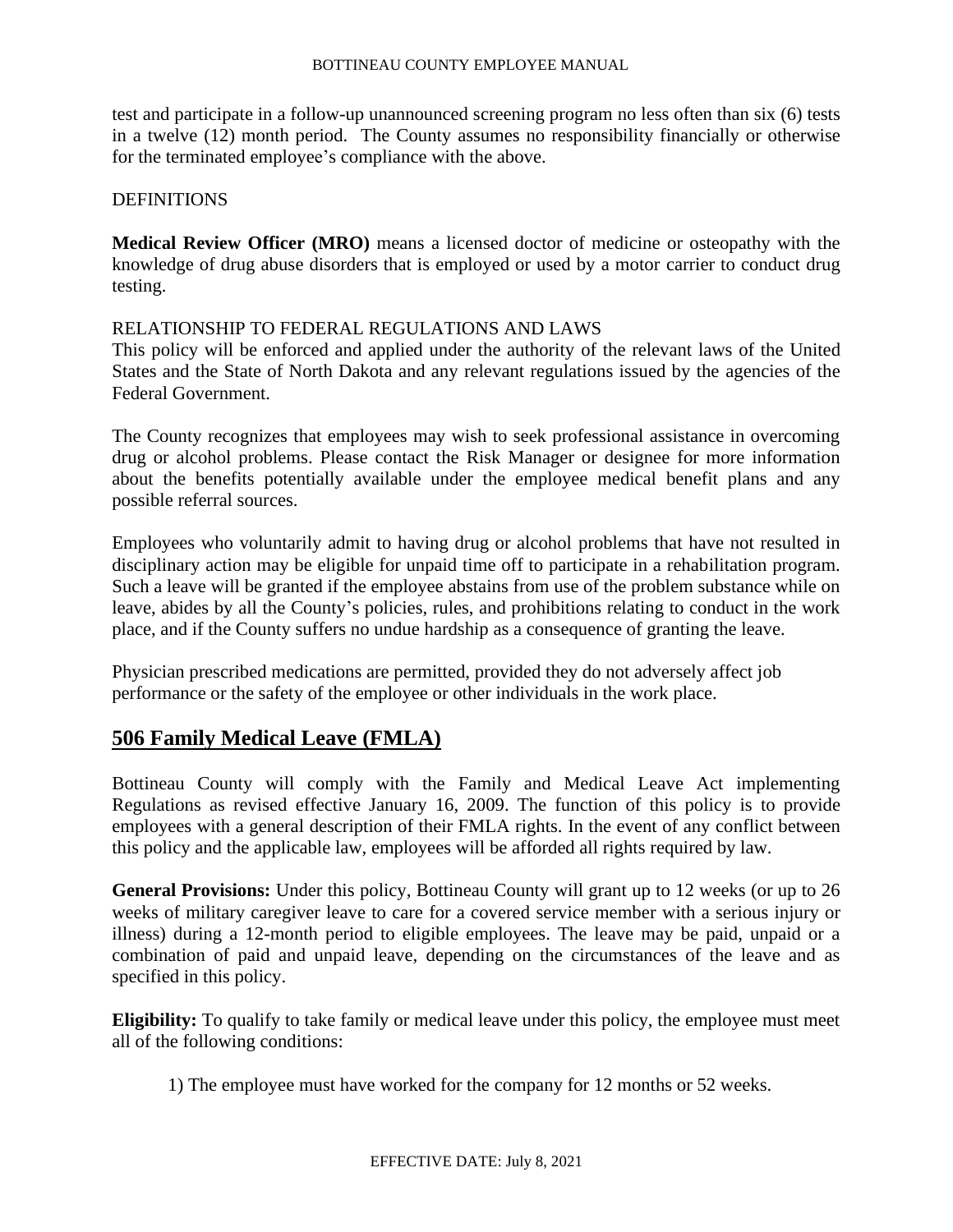test and participate in a follow-up unannounced screening program no less often than six (6) tests in a twelve (12) month period. The County assumes no responsibility financially or otherwise for the terminated employee's compliance with the above.

#### DEFINITIONS

**Medical Review Officer (MRO)** means a licensed doctor of medicine or osteopathy with the knowledge of drug abuse disorders that is employed or used by a motor carrier to conduct drug testing.

#### RELATIONSHIP TO FEDERAL REGULATIONS AND LAWS

This policy will be enforced and applied under the authority of the relevant laws of the United States and the State of North Dakota and any relevant regulations issued by the agencies of the Federal Government.

The County recognizes that employees may wish to seek professional assistance in overcoming drug or alcohol problems. Please contact the Risk Manager or designee for more information about the benefits potentially available under the employee medical benefit plans and any possible referral sources.

Employees who voluntarily admit to having drug or alcohol problems that have not resulted in disciplinary action may be eligible for unpaid time off to participate in a rehabilitation program. Such a leave will be granted if the employee abstains from use of the problem substance while on leave, abides by all the County's policies, rules, and prohibitions relating to conduct in the work place, and if the County suffers no undue hardship as a consequence of granting the leave.

Physician prescribed medications are permitted, provided they do not adversely affect job performance or the safety of the employee or other individuals in the work place.

# **506 Family Medical Leave (FMLA)**

Bottineau County will comply with the Family and Medical Leave Act implementing Regulations as revised effective January 16, 2009. The function of this policy is to provide employees with a general description of their FMLA rights. In the event of any conflict between this policy and the applicable law, employees will be afforded all rights required by law.

**General Provisions:** Under this policy, Bottineau County will grant up to 12 weeks (or up to 26 weeks of military caregiver leave to care for a covered service member with a serious injury or illness) during a 12-month period to eligible employees. The leave may be paid, unpaid or a combination of paid and unpaid leave, depending on the circumstances of the leave and as specified in this policy.

**Eligibility:** To qualify to take family or medical leave under this policy, the employee must meet all of the following conditions:

1) The employee must have worked for the company for 12 months or 52 weeks.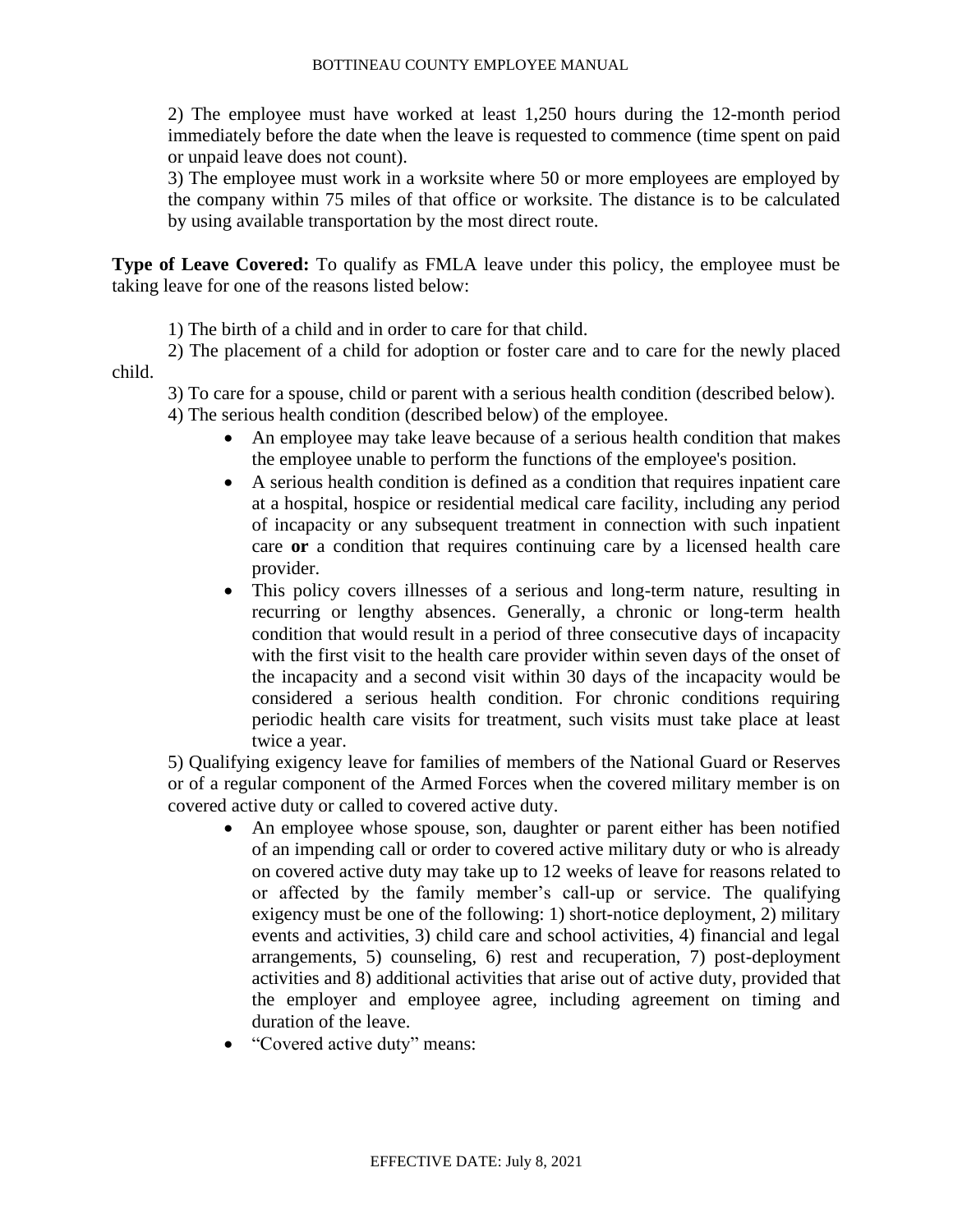2) The employee must have worked at least 1,250 hours during the 12-month period immediately before the date when the leave is requested to commence (time spent on paid or unpaid leave does not count).

3) The employee must work in a worksite where 50 or more employees are employed by the company within 75 miles of that office or worksite. The distance is to be calculated by using available transportation by the most direct route.

**Type of Leave Covered:** To qualify as FMLA leave under this policy, the employee must be taking leave for one of the reasons listed below:

1) The birth of a child and in order to care for that child.

2) The placement of a child for adoption or foster care and to care for the newly placed child.

3) To care for a spouse, child or parent with a serious health condition (described below).

4) The serious health condition (described below) of the employee.

- An employee may take leave because of a serious health condition that makes the employee unable to perform the functions of the employee's position.
- A serious health condition is defined as a condition that requires inpatient care at a hospital, hospice or residential medical care facility, including any period of incapacity or any subsequent treatment in connection with such inpatient care **or** a condition that requires continuing care by a licensed health care provider.
- This policy covers illnesses of a serious and long-term nature, resulting in recurring or lengthy absences. Generally, a chronic or long-term health condition that would result in a period of three consecutive days of incapacity with the first visit to the health care provider within seven days of the onset of the incapacity and a second visit within 30 days of the incapacity would be considered a serious health condition. For chronic conditions requiring periodic health care visits for treatment, such visits must take place at least twice a year.

5) Qualifying exigency leave for families of members of the National Guard or Reserves or of a regular component of the Armed Forces when the covered military member is on covered active duty or called to covered active duty.

- An employee whose spouse, son, daughter or parent either has been notified of an impending call or order to covered active military duty or who is already on covered active duty may take up to 12 weeks of leave for reasons related to or affected by the family member's call-up or service. The qualifying exigency must be one of the following: 1) short-notice deployment, 2) military events and activities, 3) child care and school activities, 4) financial and legal arrangements, 5) counseling, 6) rest and recuperation, 7) post-deployment activities and 8) additional activities that arise out of active duty, provided that the employer and employee agree, including agreement on timing and duration of the leave.
- "Covered active duty" means: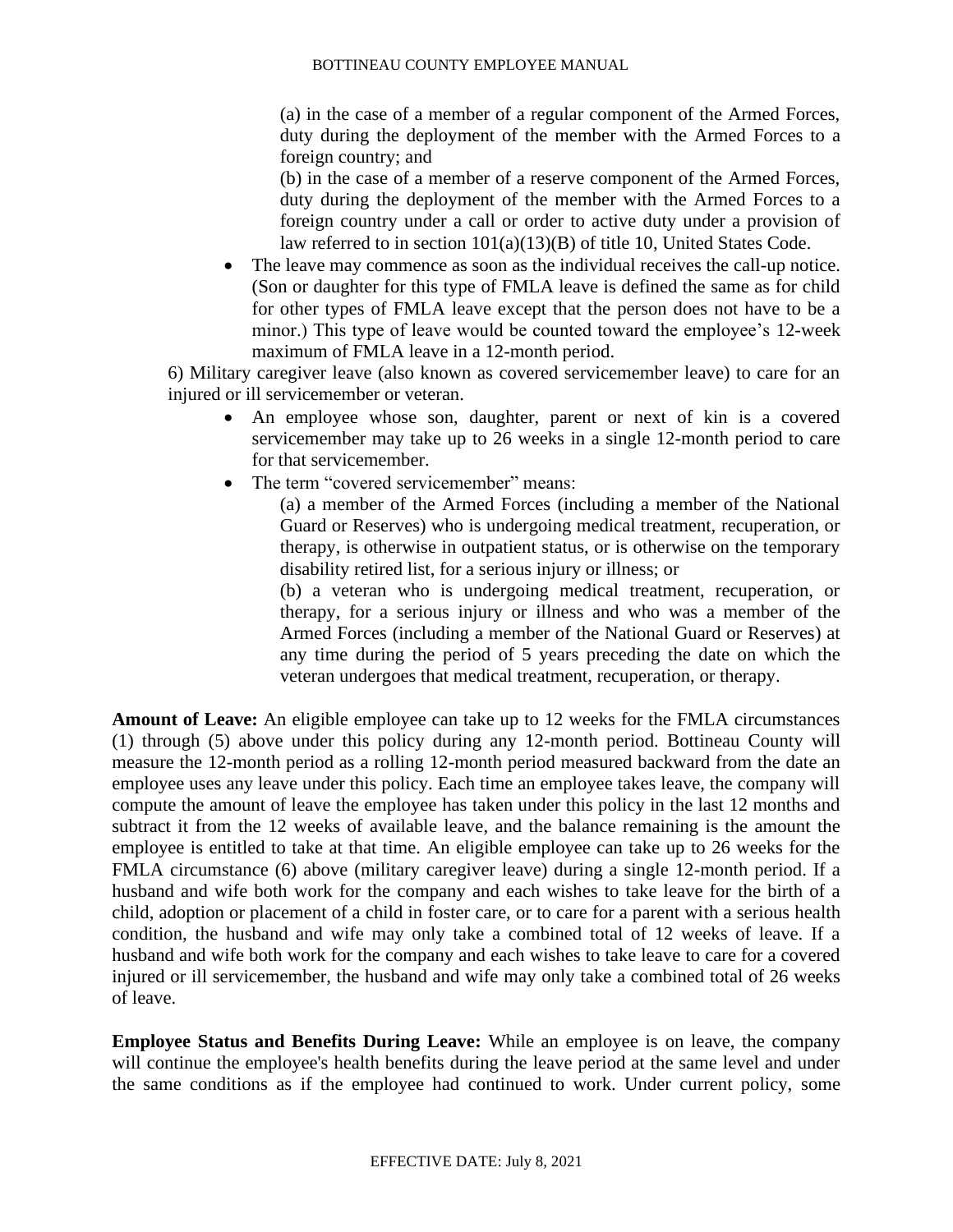(a) in the case of a member of a regular component of the Armed Forces, duty during the deployment of the member with the Armed Forces to a foreign country; and

(b) in the case of a member of a reserve component of the Armed Forces, duty during the deployment of the member with the Armed Forces to a foreign country under a call or order to active duty under a provision of law referred to in section 101(a)(13)(B) of title 10, United States Code.

The leave may commence as soon as the individual receives the call-up notice. (Son or daughter for this type of FMLA leave is defined the same as for child for other types of FMLA leave except that the person does not have to be a minor.) This type of leave would be counted toward the employee's 12-week maximum of FMLA leave in a 12-month period.

6) Military caregiver leave (also known as covered servicemember leave) to care for an injured or ill servicemember or veteran.

- An employee whose son, daughter, parent or next of kin is a covered servicemember may take up to 26 weeks in a single 12-month period to care for that servicemember.
- The term "covered servicemember" means:

(a) a member of the Armed Forces (including a member of the National Guard or Reserves) who is undergoing medical treatment, recuperation, or therapy, is otherwise in outpatient status, or is otherwise on the temporary disability retired list, for a serious injury or illness; or

(b) a veteran who is undergoing medical treatment, recuperation, or therapy, for a serious injury or illness and who was a member of the Armed Forces (including a member of the National Guard or Reserves) at any time during the period of 5 years preceding the date on which the veteran undergoes that medical treatment, recuperation, or therapy.

**Amount of Leave:** An eligible employee can take up to 12 weeks for the FMLA circumstances (1) through (5) above under this policy during any 12-month period. Bottineau County will measure the 12-month period as a rolling 12-month period measured backward from the date an employee uses any leave under this policy. Each time an employee takes leave, the company will compute the amount of leave the employee has taken under this policy in the last 12 months and subtract it from the 12 weeks of available leave, and the balance remaining is the amount the employee is entitled to take at that time. An eligible employee can take up to 26 weeks for the FMLA circumstance (6) above (military caregiver leave) during a single 12-month period. If a husband and wife both work for the company and each wishes to take leave for the birth of a child, adoption or placement of a child in foster care, or to care for a parent with a serious health condition, the husband and wife may only take a combined total of 12 weeks of leave. If a husband and wife both work for the company and each wishes to take leave to care for a covered injured or ill servicemember, the husband and wife may only take a combined total of 26 weeks of leave.

**Employee Status and Benefits During Leave:** While an employee is on leave, the company will continue the employee's health benefits during the leave period at the same level and under the same conditions as if the employee had continued to work. Under current policy, some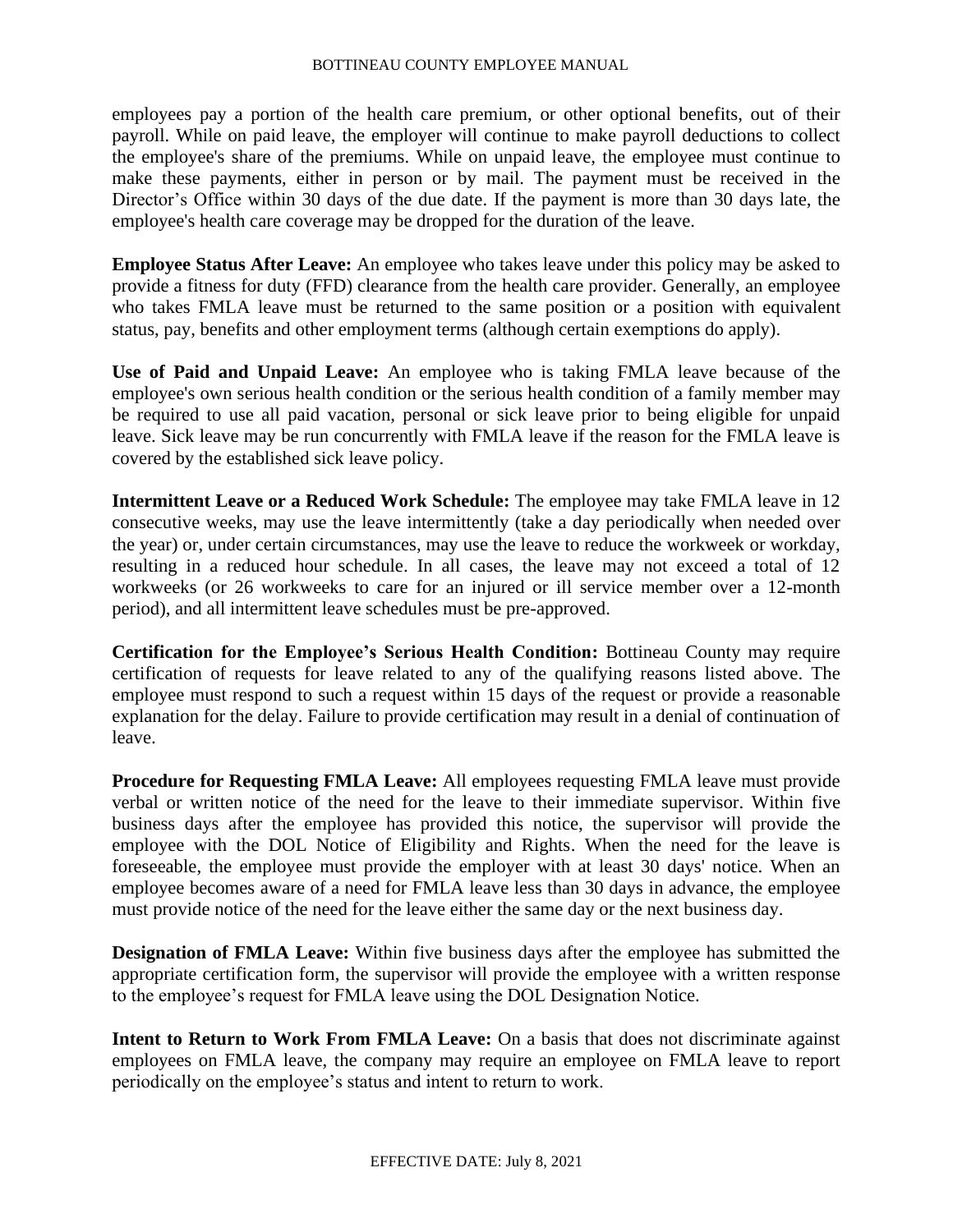employees pay a portion of the health care premium, or other optional benefits, out of their payroll. While on paid leave, the employer will continue to make payroll deductions to collect the employee's share of the premiums. While on unpaid leave, the employee must continue to make these payments, either in person or by mail. The payment must be received in the Director's Office within 30 days of the due date. If the payment is more than 30 days late, the employee's health care coverage may be dropped for the duration of the leave.

**Employee Status After Leave:** An employee who takes leave under this policy may be asked to provide a fitness for duty (FFD) clearance from the health care provider. Generally, an employee who takes FMLA leave must be returned to the same position or a position with equivalent status, pay, benefits and other employment terms (although certain exemptions do apply).

**Use of Paid and Unpaid Leave:** An employee who is taking FMLA leave because of the employee's own serious health condition or the serious health condition of a family member may be required to use all paid vacation, personal or sick leave prior to being eligible for unpaid leave. Sick leave may be run concurrently with FMLA leave if the reason for the FMLA leave is covered by the established sick leave policy.

**Intermittent Leave or a Reduced Work Schedule:** The employee may take FMLA leave in 12 consecutive weeks, may use the leave intermittently (take a day periodically when needed over the year) or, under certain circumstances, may use the leave to reduce the workweek or workday, resulting in a reduced hour schedule. In all cases, the leave may not exceed a total of 12 workweeks (or 26 workweeks to care for an injured or ill service member over a 12-month period), and all intermittent leave schedules must be pre-approved.

**Certification for the Employee's Serious Health Condition:** Bottineau County may require certification of requests for leave related to any of the qualifying reasons listed above. The employee must respond to such a request within 15 days of the request or provide a reasonable explanation for the delay. Failure to provide certification may result in a denial of continuation of leave.

**Procedure for Requesting FMLA Leave:** All employees requesting FMLA leave must provide verbal or written notice of the need for the leave to their immediate supervisor. Within five business days after the employee has provided this notice, the supervisor will provide the employee with the DOL Notice of Eligibility and Rights. When the need for the leave is foreseeable, the employee must provide the employer with at least 30 days' notice. When an employee becomes aware of a need for FMLA leave less than 30 days in advance, the employee must provide notice of the need for the leave either the same day or the next business day.

**Designation of FMLA Leave:** Within five business days after the employee has submitted the appropriate certification form, the supervisor will provide the employee with a written response to the employee's request for FMLA leave using the DOL Designation Notice.

**Intent to Return to Work From FMLA Leave:** On a basis that does not discriminate against employees on FMLA leave, the company may require an employee on FMLA leave to report periodically on the employee's status and intent to return to work.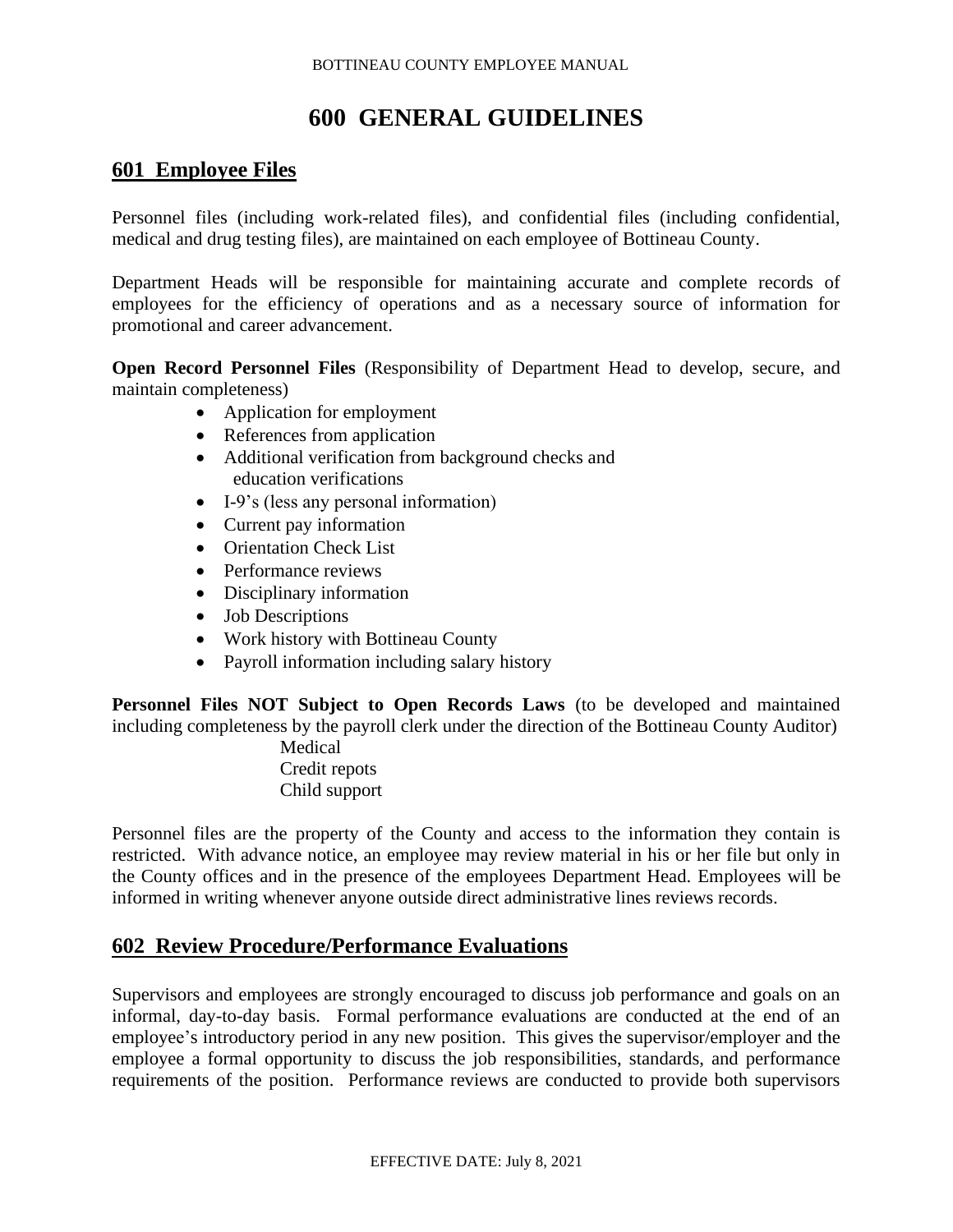# **600 GENERAL GUIDELINES**

# **601 Employee Files**

Personnel files (including work-related files), and confidential files (including confidential, medical and drug testing files), are maintained on each employee of Bottineau County.

Department Heads will be responsible for maintaining accurate and complete records of employees for the efficiency of operations and as a necessary source of information for promotional and career advancement.

**Open Record Personnel Files** (Responsibility of Department Head to develop, secure, and maintain completeness)

- Application for employment
- References from application
- Additional verification from background checks and education verifications
- I-9's (less any personal information)
- Current pay information
- Orientation Check List
- Performance reviews
- Disciplinary information
- Job Descriptions
- Work history with Bottineau County
- Payroll information including salary history

**Personnel Files NOT Subject to Open Records Laws** (to be developed and maintained including completeness by the payroll clerk under the direction of the Bottineau County Auditor)

> Medical Credit repots Child support

Personnel files are the property of the County and access to the information they contain is restricted. With advance notice, an employee may review material in his or her file but only in the County offices and in the presence of the employees Department Head. Employees will be informed in writing whenever anyone outside direct administrative lines reviews records.

# **602 Review Procedure/Performance Evaluations**

Supervisors and employees are strongly encouraged to discuss job performance and goals on an informal, day-to-day basis. Formal performance evaluations are conducted at the end of an employee's introductory period in any new position. This gives the supervisor/employer and the employee a formal opportunity to discuss the job responsibilities, standards, and performance requirements of the position. Performance reviews are conducted to provide both supervisors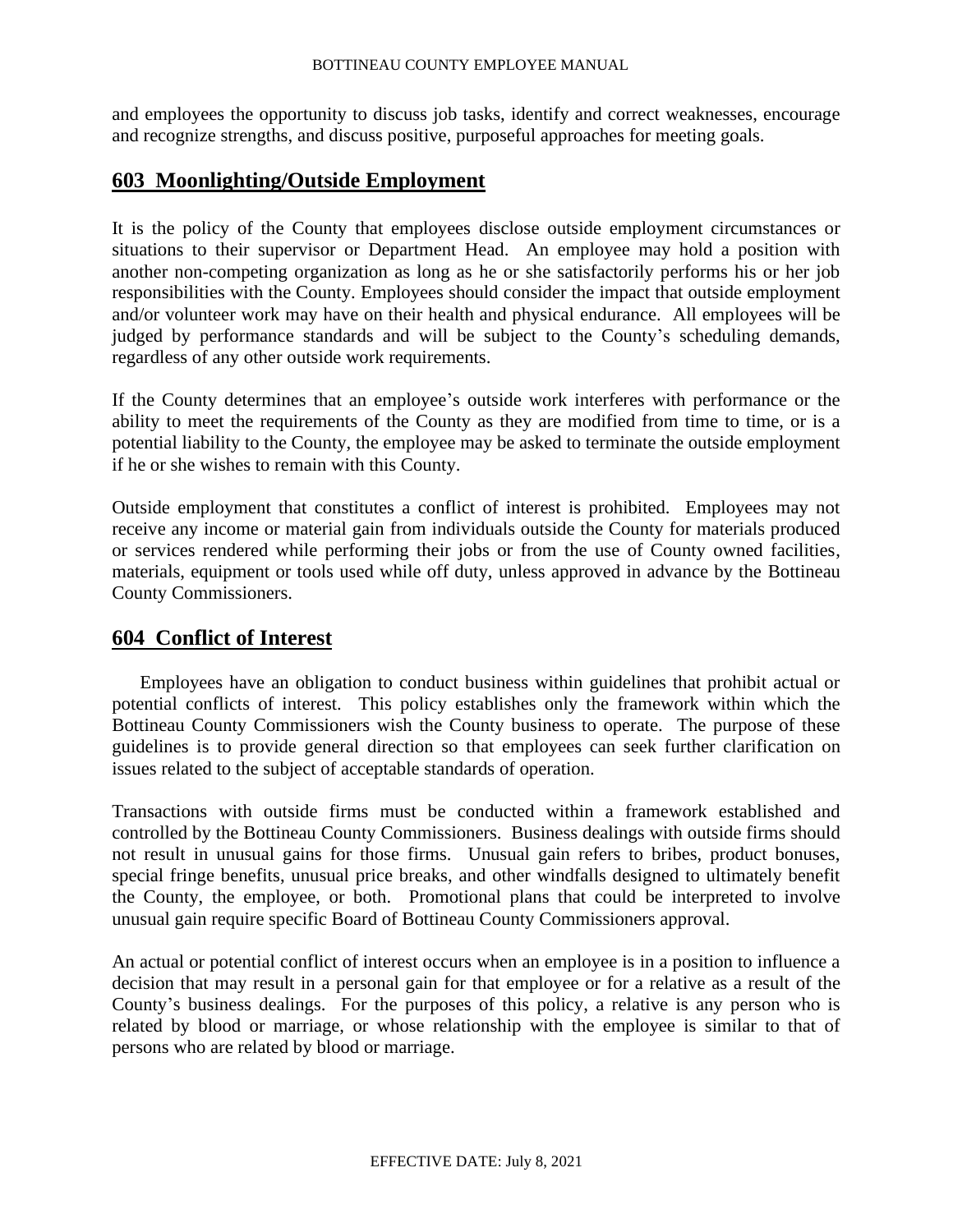and employees the opportunity to discuss job tasks, identify and correct weaknesses, encourage and recognize strengths, and discuss positive, purposeful approaches for meeting goals.

### **603 Moonlighting/Outside Employment**

It is the policy of the County that employees disclose outside employment circumstances or situations to their supervisor or Department Head. An employee may hold a position with another non-competing organization as long as he or she satisfactorily performs his or her job responsibilities with the County. Employees should consider the impact that outside employment and/or volunteer work may have on their health and physical endurance. All employees will be judged by performance standards and will be subject to the County's scheduling demands, regardless of any other outside work requirements.

If the County determines that an employee's outside work interferes with performance or the ability to meet the requirements of the County as they are modified from time to time, or is a potential liability to the County, the employee may be asked to terminate the outside employment if he or she wishes to remain with this County.

Outside employment that constitutes a conflict of interest is prohibited. Employees may not receive any income or material gain from individuals outside the County for materials produced or services rendered while performing their jobs or from the use of County owned facilities, materials, equipment or tools used while off duty, unless approved in advance by the Bottineau County Commissioners.

# **604 Conflict of Interest**

Employees have an obligation to conduct business within guidelines that prohibit actual or potential conflicts of interest. This policy establishes only the framework within which the Bottineau County Commissioners wish the County business to operate. The purpose of these guidelines is to provide general direction so that employees can seek further clarification on issues related to the subject of acceptable standards of operation.

Transactions with outside firms must be conducted within a framework established and controlled by the Bottineau County Commissioners. Business dealings with outside firms should not result in unusual gains for those firms. Unusual gain refers to bribes, product bonuses, special fringe benefits, unusual price breaks, and other windfalls designed to ultimately benefit the County, the employee, or both. Promotional plans that could be interpreted to involve unusual gain require specific Board of Bottineau County Commissioners approval.

An actual or potential conflict of interest occurs when an employee is in a position to influence a decision that may result in a personal gain for that employee or for a relative as a result of the County's business dealings. For the purposes of this policy, a relative is any person who is related by blood or marriage, or whose relationship with the employee is similar to that of persons who are related by blood or marriage.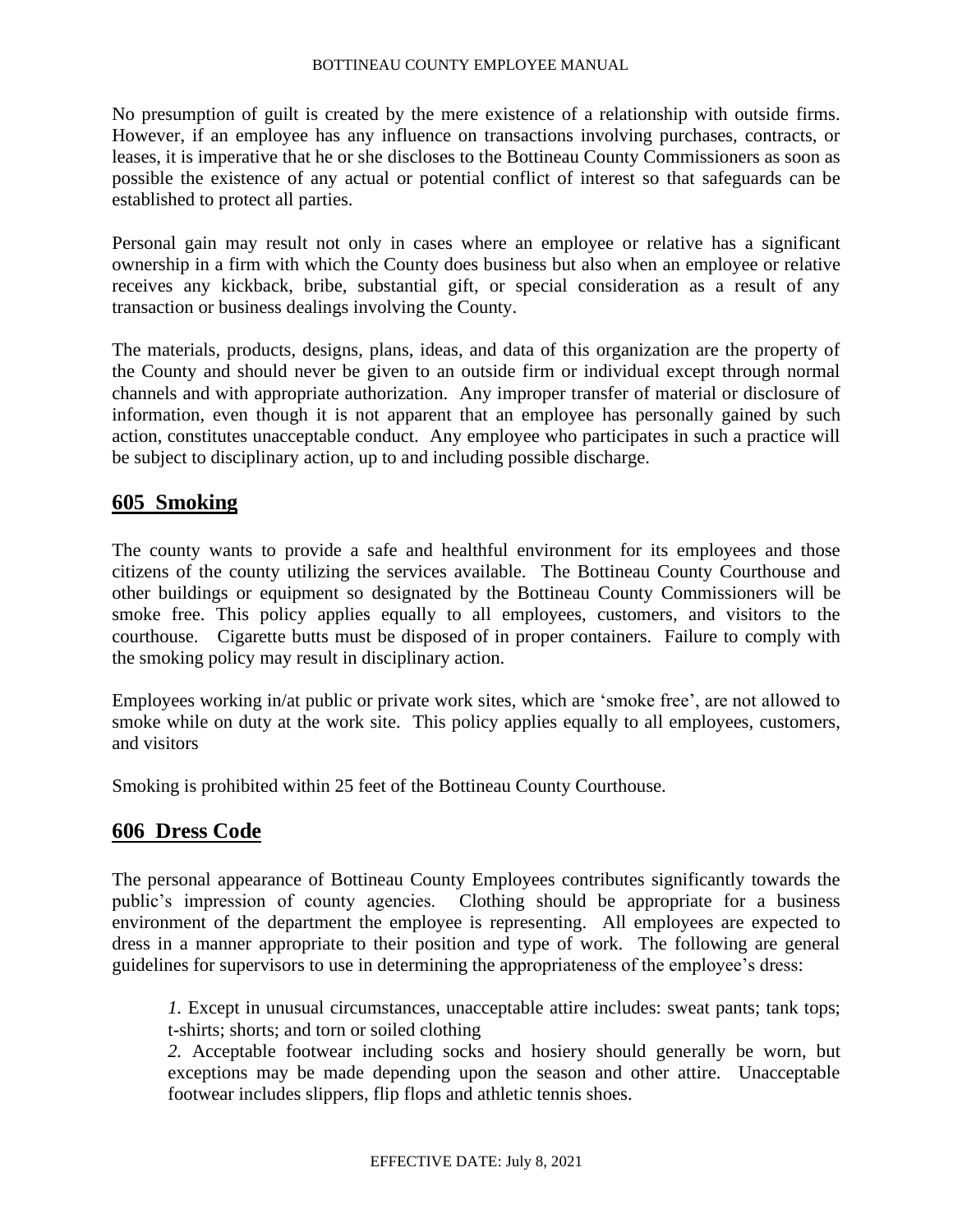No presumption of guilt is created by the mere existence of a relationship with outside firms. However, if an employee has any influence on transactions involving purchases, contracts, or leases, it is imperative that he or she discloses to the Bottineau County Commissioners as soon as possible the existence of any actual or potential conflict of interest so that safeguards can be established to protect all parties.

Personal gain may result not only in cases where an employee or relative has a significant ownership in a firm with which the County does business but also when an employee or relative receives any kickback, bribe, substantial gift, or special consideration as a result of any transaction or business dealings involving the County.

The materials, products, designs, plans, ideas, and data of this organization are the property of the County and should never be given to an outside firm or individual except through normal channels and with appropriate authorization. Any improper transfer of material or disclosure of information, even though it is not apparent that an employee has personally gained by such action, constitutes unacceptable conduct. Any employee who participates in such a practice will be subject to disciplinary action, up to and including possible discharge.

### **605 Smoking**

The county wants to provide a safe and healthful environment for its employees and those citizens of the county utilizing the services available. The Bottineau County Courthouse and other buildings or equipment so designated by the Bottineau County Commissioners will be smoke free. This policy applies equally to all employees, customers, and visitors to the courthouse. Cigarette butts must be disposed of in proper containers. Failure to comply with the smoking policy may result in disciplinary action.

Employees working in/at public or private work sites, which are 'smoke free', are not allowed to smoke while on duty at the work site. This policy applies equally to all employees, customers, and visitors

Smoking is prohibited within 25 feet of the Bottineau County Courthouse.

### **606 Dress Code**

The personal appearance of Bottineau County Employees contributes significantly towards the public's impression of county agencies. Clothing should be appropriate for a business environment of the department the employee is representing. All employees are expected to dress in a manner appropriate to their position and type of work. The following are general guidelines for supervisors to use in determining the appropriateness of the employee's dress:

*1.* Except in unusual circumstances, unacceptable attire includes: sweat pants; tank tops; t-shirts; shorts; and torn or soiled clothing

*2.* Acceptable footwear including socks and hosiery should generally be worn, but exceptions may be made depending upon the season and other attire. Unacceptable footwear includes slippers, flip flops and athletic tennis shoes.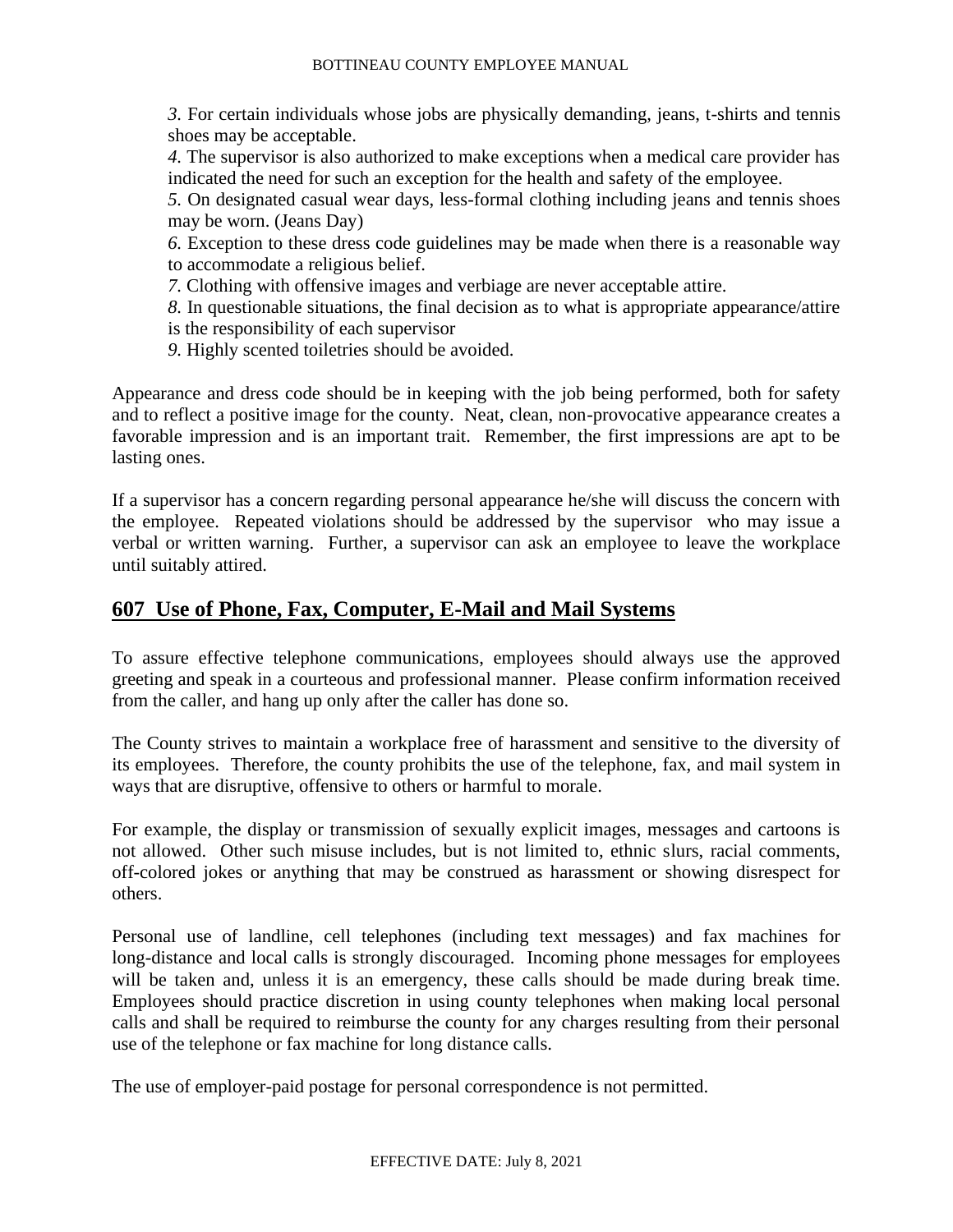*3.* For certain individuals whose jobs are physically demanding, jeans, t-shirts and tennis shoes may be acceptable.

*4.* The supervisor is also authorized to make exceptions when a medical care provider has indicated the need for such an exception for the health and safety of the employee.

*5.* On designated casual wear days, less-formal clothing including jeans and tennis shoes may be worn. (Jeans Day)

*6.* Exception to these dress code guidelines may be made when there is a reasonable way to accommodate a religious belief.

*7.* Clothing with offensive images and verbiage are never acceptable attire.

*8.* In questionable situations, the final decision as to what is appropriate appearance/attire is the responsibility of each supervisor

*9.* Highly scented toiletries should be avoided.

Appearance and dress code should be in keeping with the job being performed, both for safety and to reflect a positive image for the county. Neat, clean, non-provocative appearance creates a favorable impression and is an important trait. Remember, the first impressions are apt to be lasting ones.

If a supervisor has a concern regarding personal appearance he/she will discuss the concern with the employee. Repeated violations should be addressed by the supervisor who may issue a verbal or written warning. Further, a supervisor can ask an employee to leave the workplace until suitably attired.

# **607 Use of Phone, Fax, Computer, E-Mail and Mail Systems**

To assure effective telephone communications, employees should always use the approved greeting and speak in a courteous and professional manner. Please confirm information received from the caller, and hang up only after the caller has done so.

The County strives to maintain a workplace free of harassment and sensitive to the diversity of its employees. Therefore, the county prohibits the use of the telephone, fax, and mail system in ways that are disruptive, offensive to others or harmful to morale.

For example, the display or transmission of sexually explicit images, messages and cartoons is not allowed. Other such misuse includes, but is not limited to, ethnic slurs, racial comments, off-colored jokes or anything that may be construed as harassment or showing disrespect for others.

Personal use of landline, cell telephones (including text messages) and fax machines for long-distance and local calls is strongly discouraged. Incoming phone messages for employees will be taken and, unless it is an emergency, these calls should be made during break time. Employees should practice discretion in using county telephones when making local personal calls and shall be required to reimburse the county for any charges resulting from their personal use of the telephone or fax machine for long distance calls.

The use of employer-paid postage for personal correspondence is not permitted.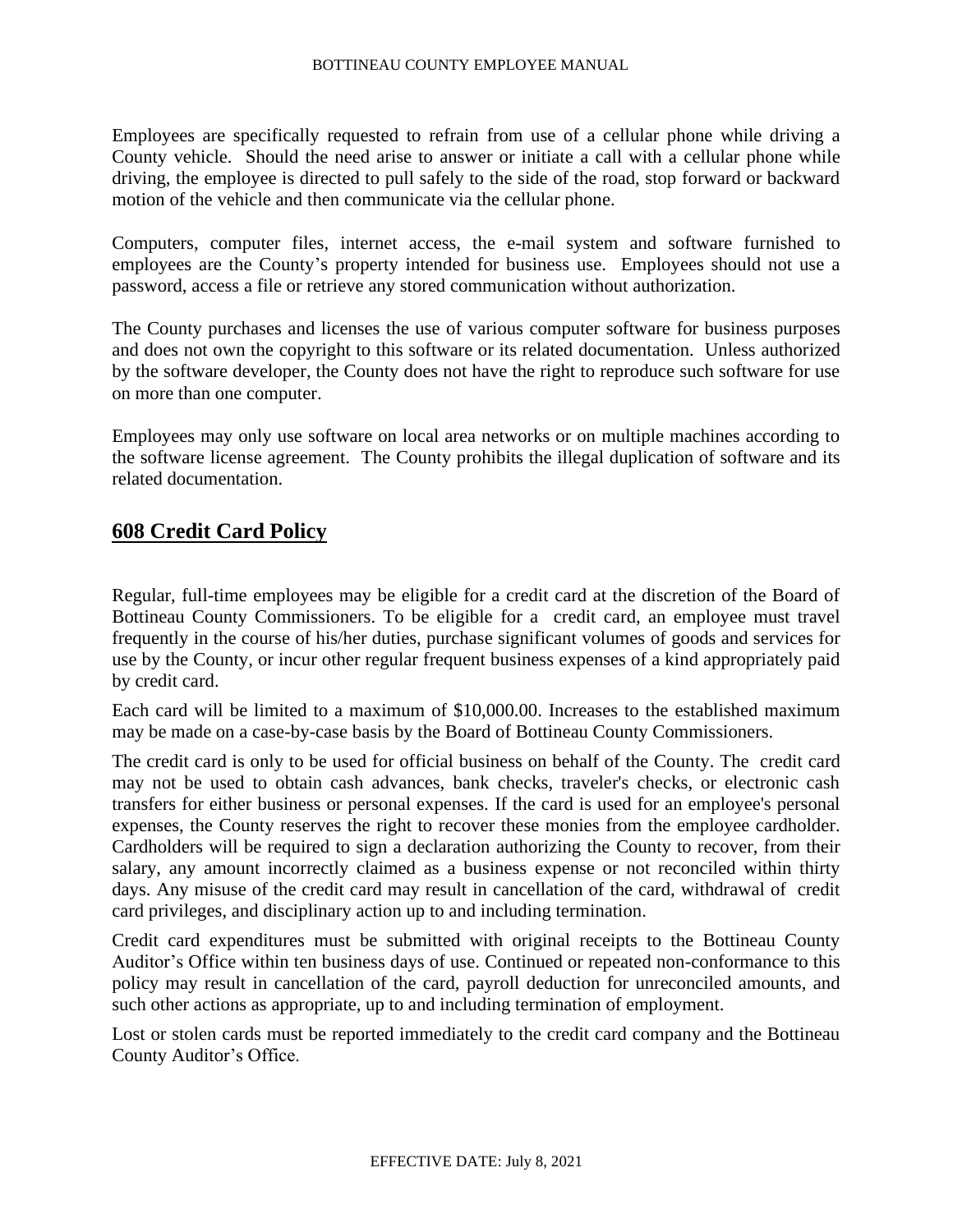Employees are specifically requested to refrain from use of a cellular phone while driving a County vehicle. Should the need arise to answer or initiate a call with a cellular phone while driving, the employee is directed to pull safely to the side of the road, stop forward or backward motion of the vehicle and then communicate via the cellular phone.

Computers, computer files, internet access, the e-mail system and software furnished to employees are the County's property intended for business use. Employees should not use a password, access a file or retrieve any stored communication without authorization.

The County purchases and licenses the use of various computer software for business purposes and does not own the copyright to this software or its related documentation. Unless authorized by the software developer, the County does not have the right to reproduce such software for use on more than one computer.

Employees may only use software on local area networks or on multiple machines according to the software license agreement. The County prohibits the illegal duplication of software and its related documentation.

# **608 Credit Card Policy**

Regular, full-time employees may be eligible for a credit card at the discretion of the Board of Bottineau County Commissioners. To be eligible for a credit card, an employee must travel frequently in the course of his/her duties, purchase significant volumes of goods and services for use by the County, or incur other regular frequent business expenses of a kind appropriately paid by credit card.

Each card will be limited to a maximum of \$10,000.00. Increases to the established maximum may be made on a case-by-case basis by the Board of Bottineau County Commissioners.

The credit card is only to be used for official business on behalf of the County. The credit card may not be used to obtain cash advances, bank checks, traveler's checks, or electronic cash transfers for either business or personal expenses. If the card is used for an employee's personal expenses, the County reserves the right to recover these monies from the employee cardholder. Cardholders will be required to sign a declaration authorizing the County to recover, from their salary, any amount incorrectly claimed as a business expense or not reconciled within thirty days. Any misuse of the credit card may result in cancellation of the card, withdrawal of credit card privileges, and disciplinary action up to and including termination.

Credit card expenditures must be submitted with original receipts to the Bottineau County Auditor's Office within ten business days of use. Continued or repeated non-conformance to this policy may result in cancellation of the card, payroll deduction for unreconciled amounts, and such other actions as appropriate, up to and including termination of employment.

Lost or stolen cards must be reported immediately to the credit card company and the Bottineau County Auditor's Office.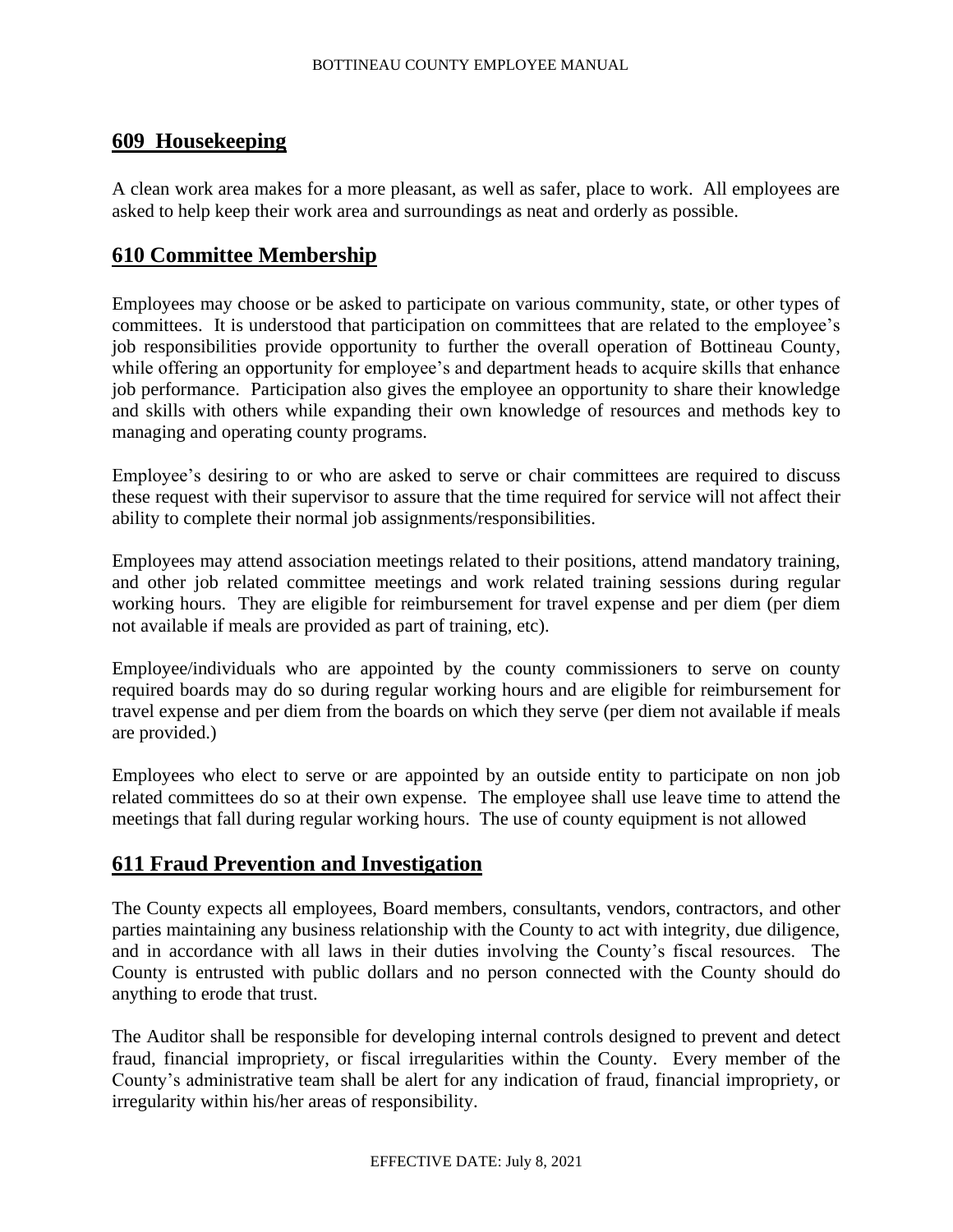### **609 Housekeeping**

A clean work area makes for a more pleasant, as well as safer, place to work. All employees are asked to help keep their work area and surroundings as neat and orderly as possible.

# **610 Committee Membership**

Employees may choose or be asked to participate on various community, state, or other types of committees. It is understood that participation on committees that are related to the employee's job responsibilities provide opportunity to further the overall operation of Bottineau County, while offering an opportunity for employee's and department heads to acquire skills that enhance job performance. Participation also gives the employee an opportunity to share their knowledge and skills with others while expanding their own knowledge of resources and methods key to managing and operating county programs.

Employee's desiring to or who are asked to serve or chair committees are required to discuss these request with their supervisor to assure that the time required for service will not affect their ability to complete their normal job assignments/responsibilities.

Employees may attend association meetings related to their positions, attend mandatory training, and other job related committee meetings and work related training sessions during regular working hours. They are eligible for reimbursement for travel expense and per diem (per diem not available if meals are provided as part of training, etc).

Employee/individuals who are appointed by the county commissioners to serve on county required boards may do so during regular working hours and are eligible for reimbursement for travel expense and per diem from the boards on which they serve (per diem not available if meals are provided.)

Employees who elect to serve or are appointed by an outside entity to participate on non job related committees do so at their own expense. The employee shall use leave time to attend the meetings that fall during regular working hours. The use of county equipment is not allowed

# **611 Fraud Prevention and Investigation**

The County expects all employees, Board members, consultants, vendors, contractors, and other parties maintaining any business relationship with the County to act with integrity, due diligence, and in accordance with all laws in their duties involving the County's fiscal resources. The County is entrusted with public dollars and no person connected with the County should do anything to erode that trust.

The Auditor shall be responsible for developing internal controls designed to prevent and detect fraud, financial impropriety, or fiscal irregularities within the County. Every member of the County's administrative team shall be alert for any indication of fraud, financial impropriety, or irregularity within his/her areas of responsibility.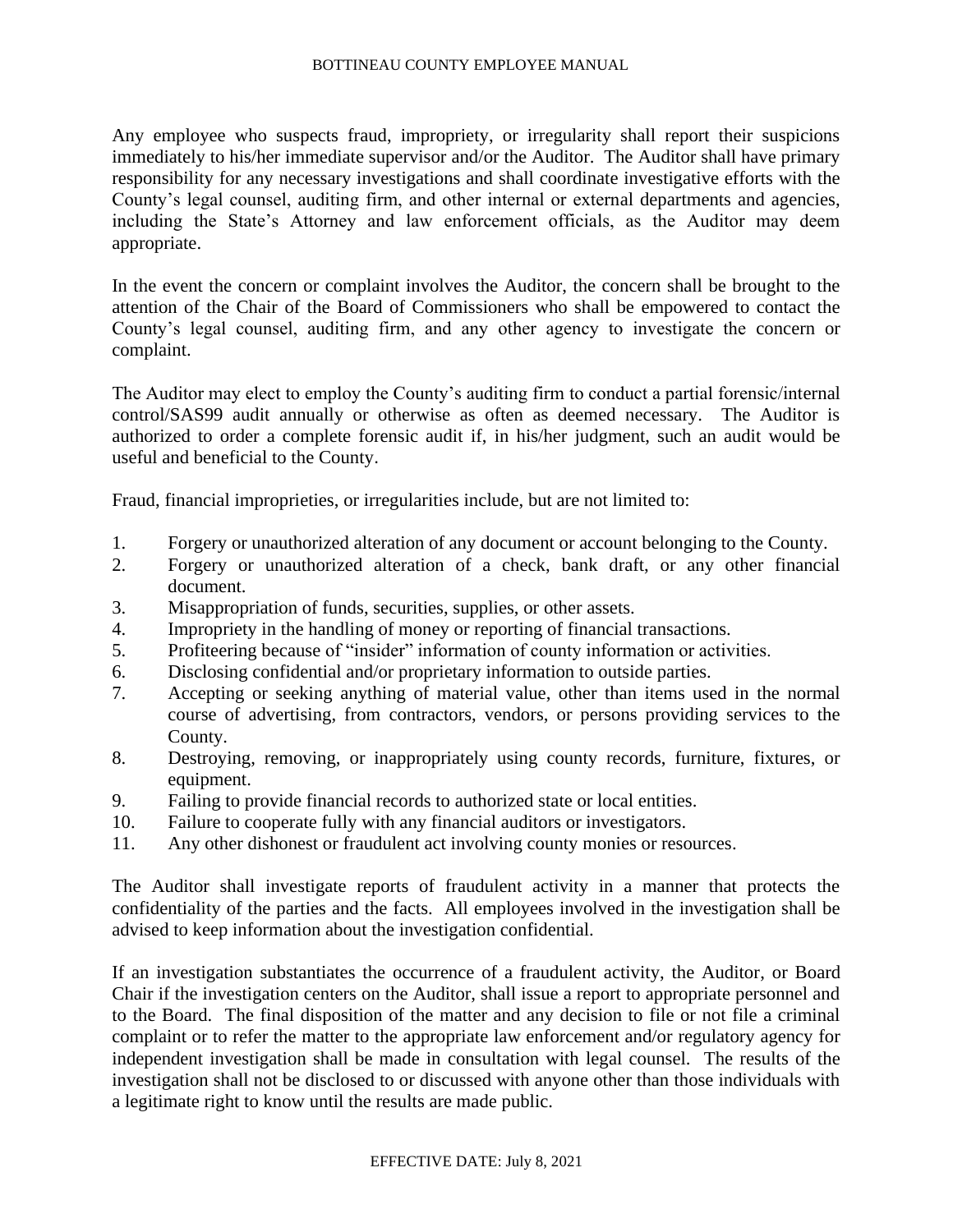Any employee who suspects fraud, impropriety, or irregularity shall report their suspicions immediately to his/her immediate supervisor and/or the Auditor. The Auditor shall have primary responsibility for any necessary investigations and shall coordinate investigative efforts with the County's legal counsel, auditing firm, and other internal or external departments and agencies, including the State's Attorney and law enforcement officials, as the Auditor may deem appropriate.

In the event the concern or complaint involves the Auditor, the concern shall be brought to the attention of the Chair of the Board of Commissioners who shall be empowered to contact the County's legal counsel, auditing firm, and any other agency to investigate the concern or complaint.

The Auditor may elect to employ the County's auditing firm to conduct a partial forensic/internal control/SAS99 audit annually or otherwise as often as deemed necessary. The Auditor is authorized to order a complete forensic audit if, in his/her judgment, such an audit would be useful and beneficial to the County.

Fraud, financial improprieties, or irregularities include, but are not limited to:

- 1. Forgery or unauthorized alteration of any document or account belonging to the County.
- 2. Forgery or unauthorized alteration of a check, bank draft, or any other financial document.
- 3. Misappropriation of funds, securities, supplies, or other assets.
- 4. Impropriety in the handling of money or reporting of financial transactions.
- 5. Profiteering because of "insider" information of county information or activities.
- 6. Disclosing confidential and/or proprietary information to outside parties.
- 7. Accepting or seeking anything of material value, other than items used in the normal course of advertising, from contractors, vendors, or persons providing services to the County.
- 8. Destroying, removing, or inappropriately using county records, furniture, fixtures, or equipment.
- 9. Failing to provide financial records to authorized state or local entities.
- 10. Failure to cooperate fully with any financial auditors or investigators.
- 11. Any other dishonest or fraudulent act involving county monies or resources.

The Auditor shall investigate reports of fraudulent activity in a manner that protects the confidentiality of the parties and the facts. All employees involved in the investigation shall be advised to keep information about the investigation confidential.

If an investigation substantiates the occurrence of a fraudulent activity, the Auditor, or Board Chair if the investigation centers on the Auditor, shall issue a report to appropriate personnel and to the Board. The final disposition of the matter and any decision to file or not file a criminal complaint or to refer the matter to the appropriate law enforcement and/or regulatory agency for independent investigation shall be made in consultation with legal counsel. The results of the investigation shall not be disclosed to or discussed with anyone other than those individuals with a legitimate right to know until the results are made public.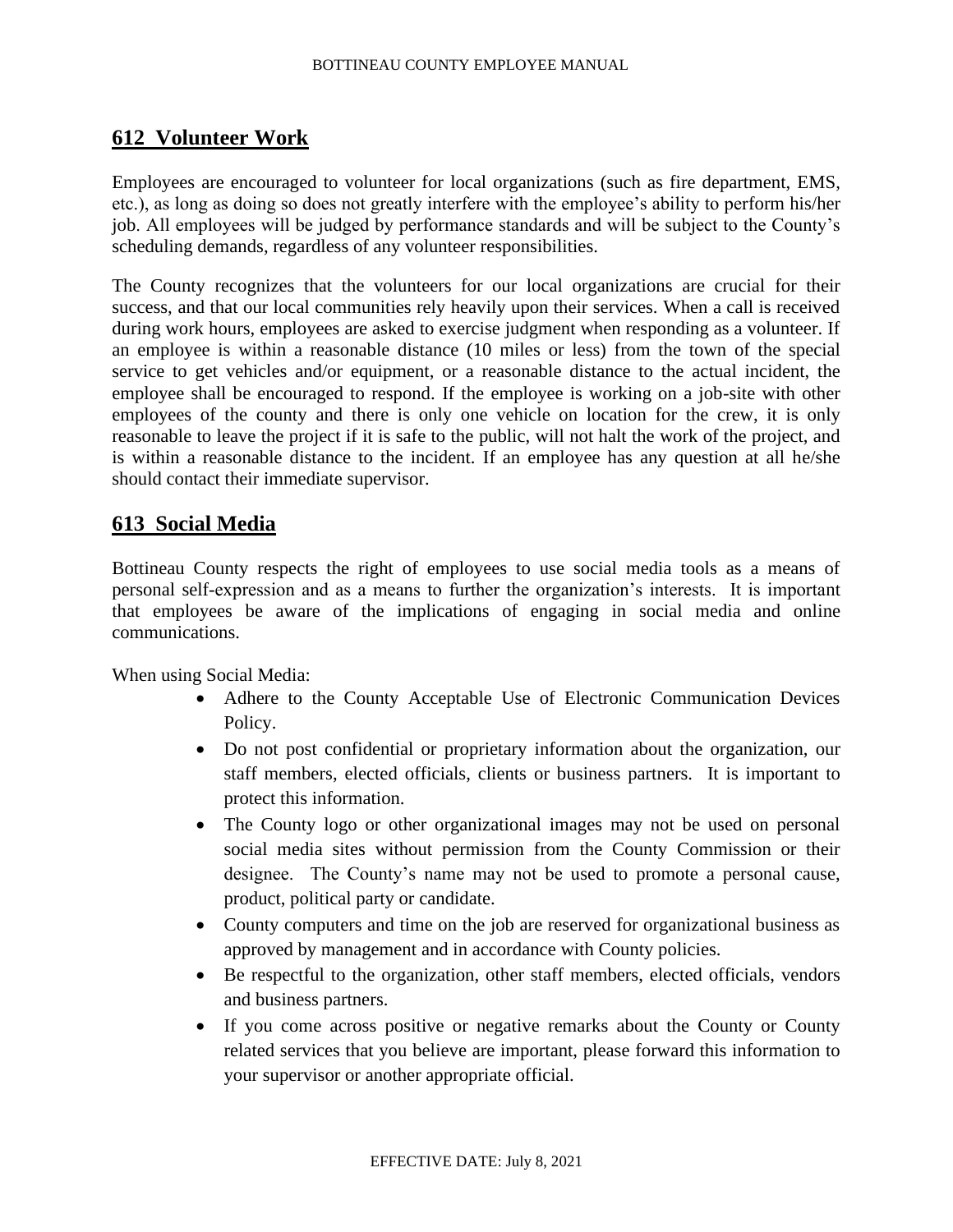# **612 Volunteer Work**

Employees are encouraged to volunteer for local organizations (such as fire department, EMS, etc.), as long as doing so does not greatly interfere with the employee's ability to perform his/her job. All employees will be judged by performance standards and will be subject to the County's scheduling demands, regardless of any volunteer responsibilities.

The County recognizes that the volunteers for our local organizations are crucial for their success, and that our local communities rely heavily upon their services. When a call is received during work hours, employees are asked to exercise judgment when responding as a volunteer. If an employee is within a reasonable distance (10 miles or less) from the town of the special service to get vehicles and/or equipment, or a reasonable distance to the actual incident, the employee shall be encouraged to respond. If the employee is working on a job-site with other employees of the county and there is only one vehicle on location for the crew, it is only reasonable to leave the project if it is safe to the public, will not halt the work of the project, and is within a reasonable distance to the incident. If an employee has any question at all he/she should contact their immediate supervisor.

# **613 Social Media**

Bottineau County respects the right of employees to use social media tools as a means of personal self-expression and as a means to further the organization's interests. It is important that employees be aware of the implications of engaging in social media and online communications.

When using Social Media:

- Adhere to the County Acceptable Use of Electronic Communication Devices Policy.
- Do not post confidential or proprietary information about the organization, our staff members, elected officials, clients or business partners. It is important to protect this information.
- The County logo or other organizational images may not be used on personal social media sites without permission from the County Commission or their designee. The County's name may not be used to promote a personal cause, product, political party or candidate.
- County computers and time on the job are reserved for organizational business as approved by management and in accordance with County policies.
- Be respectful to the organization, other staff members, elected officials, vendors and business partners.
- If you come across positive or negative remarks about the County or County related services that you believe are important, please forward this information to your supervisor or another appropriate official.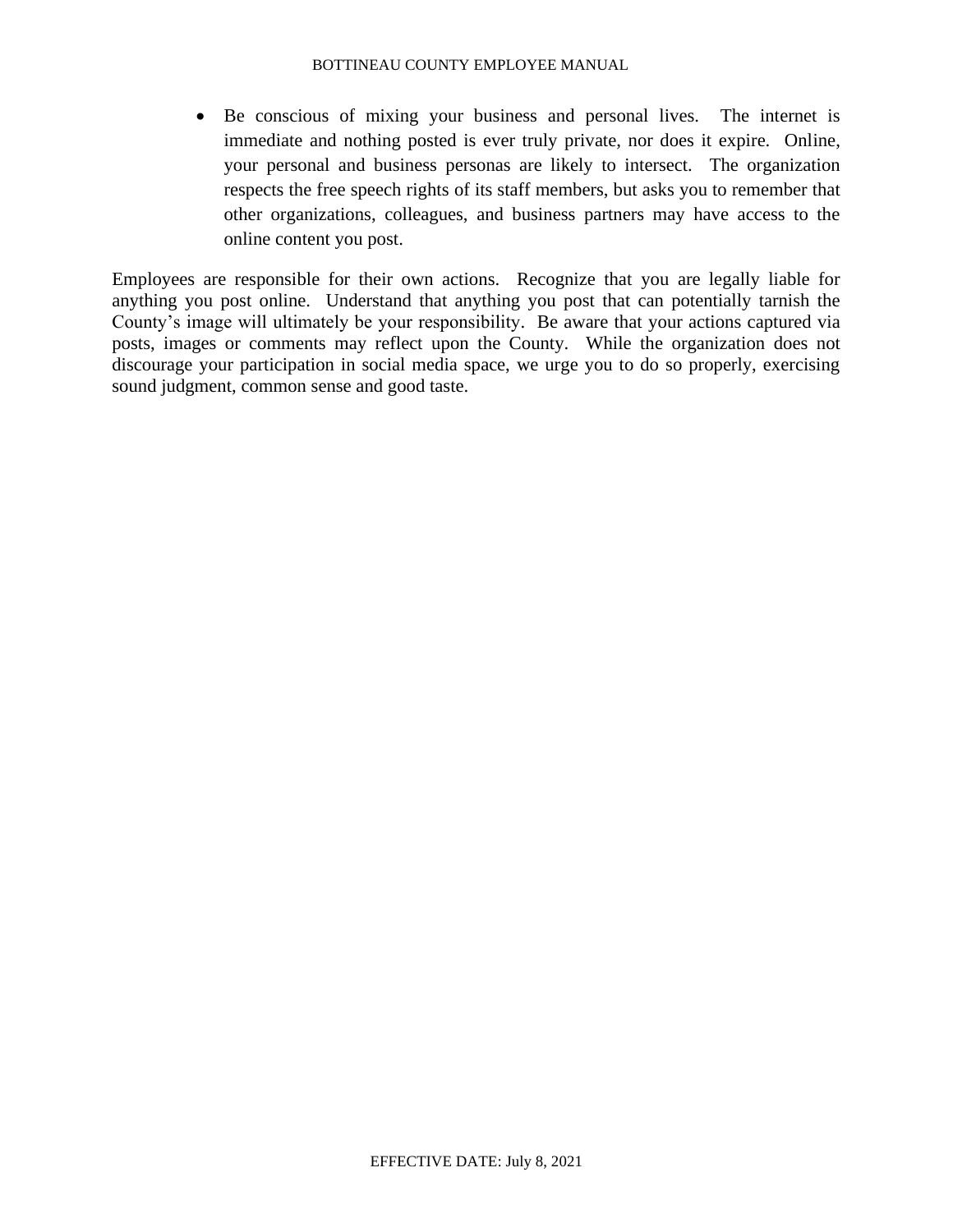• Be conscious of mixing your business and personal lives. The internet is immediate and nothing posted is ever truly private, nor does it expire. Online, your personal and business personas are likely to intersect. The organization respects the free speech rights of its staff members, but asks you to remember that other organizations, colleagues, and business partners may have access to the online content you post.

Employees are responsible for their own actions. Recognize that you are legally liable for anything you post online. Understand that anything you post that can potentially tarnish the County's image will ultimately be your responsibility. Be aware that your actions captured via posts, images or comments may reflect upon the County. While the organization does not discourage your participation in social media space, we urge you to do so properly, exercising sound judgment, common sense and good taste.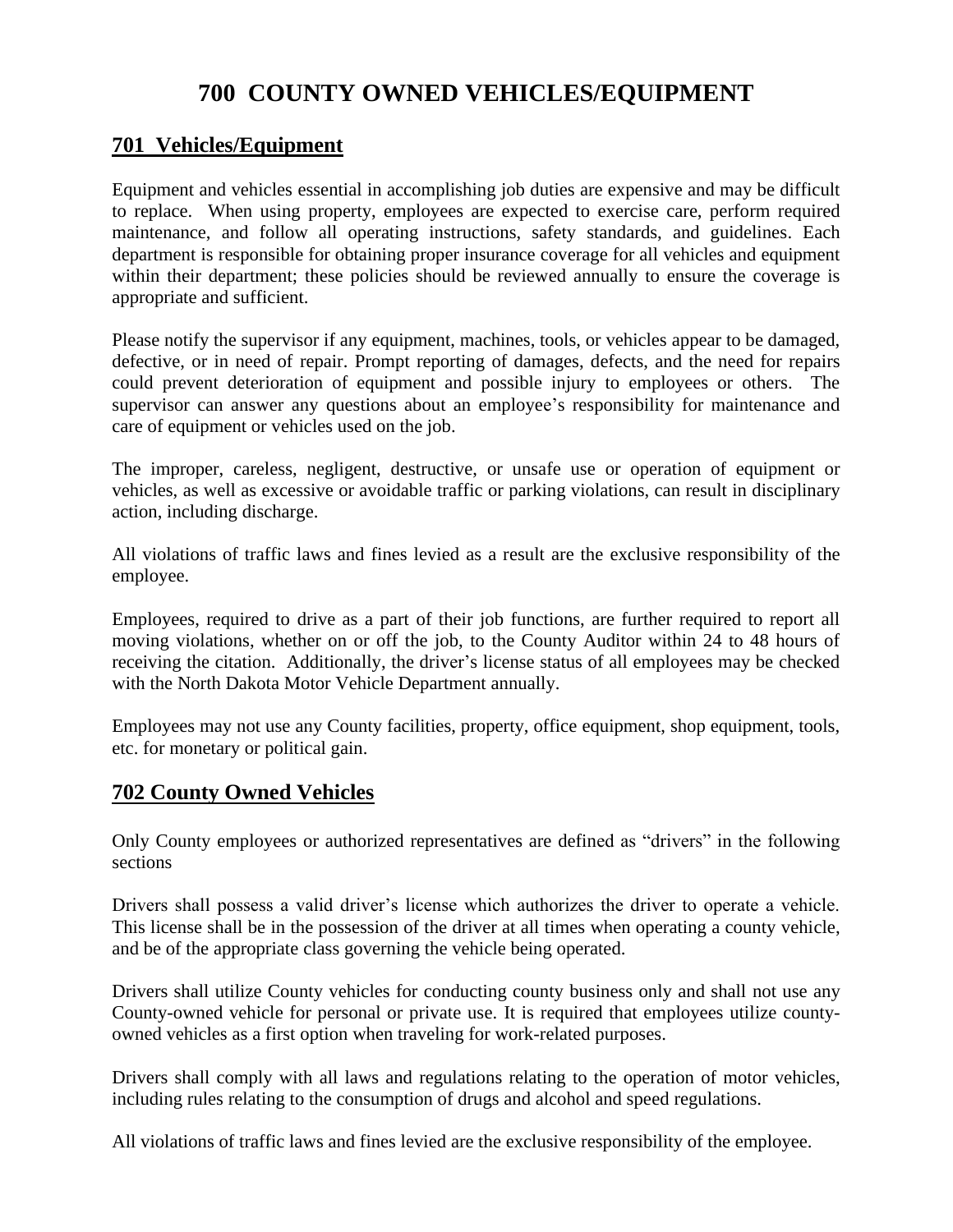# **700 COUNTY OWNED VEHICLES/EQUIPMENT**

# **701 Vehicles/Equipment**

Equipment and vehicles essential in accomplishing job duties are expensive and may be difficult to replace. When using property, employees are expected to exercise care, perform required maintenance, and follow all operating instructions, safety standards, and guidelines. Each department is responsible for obtaining proper insurance coverage for all vehicles and equipment within their department; these policies should be reviewed annually to ensure the coverage is appropriate and sufficient.

Please notify the supervisor if any equipment, machines, tools, or vehicles appear to be damaged, defective, or in need of repair. Prompt reporting of damages, defects, and the need for repairs could prevent deterioration of equipment and possible injury to employees or others. The supervisor can answer any questions about an employee's responsibility for maintenance and care of equipment or vehicles used on the job.

The improper, careless, negligent, destructive, or unsafe use or operation of equipment or vehicles, as well as excessive or avoidable traffic or parking violations, can result in disciplinary action, including discharge.

All violations of traffic laws and fines levied as a result are the exclusive responsibility of the employee.

Employees, required to drive as a part of their job functions, are further required to report all moving violations, whether on or off the job, to the County Auditor within 24 to 48 hours of receiving the citation. Additionally, the driver's license status of all employees may be checked with the North Dakota Motor Vehicle Department annually.

Employees may not use any County facilities, property, office equipment, shop equipment, tools, etc. for monetary or political gain.

# **702 County Owned Vehicles**

Only County employees or authorized representatives are defined as "drivers" in the following sections

Drivers shall possess a valid driver's license which authorizes the driver to operate a vehicle. This license shall be in the possession of the driver at all times when operating a county vehicle, and be of the appropriate class governing the vehicle being operated.

Drivers shall utilize County vehicles for conducting county business only and shall not use any County-owned vehicle for personal or private use. It is required that employees utilize countyowned vehicles as a first option when traveling for work-related purposes.

Drivers shall comply with all laws and regulations relating to the operation of motor vehicles, including rules relating to the consumption of drugs and alcohol and speed regulations.

All violations of traffic laws and fines levied are the exclusive responsibility of the employee.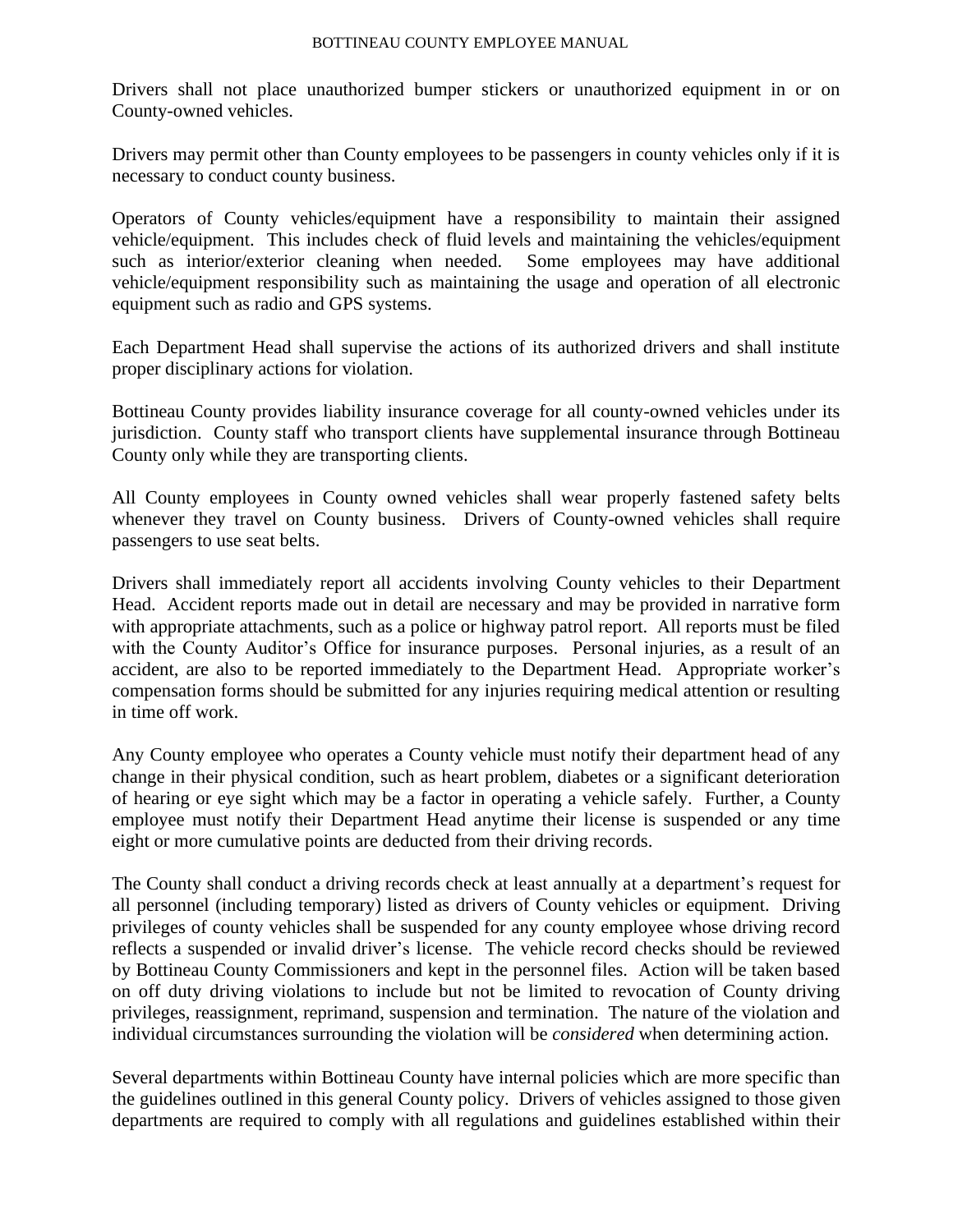Drivers shall not place unauthorized bumper stickers or unauthorized equipment in or on County-owned vehicles.

Drivers may permit other than County employees to be passengers in county vehicles only if it is necessary to conduct county business.

Operators of County vehicles/equipment have a responsibility to maintain their assigned vehicle/equipment. This includes check of fluid levels and maintaining the vehicles/equipment such as interior/exterior cleaning when needed. Some employees may have additional vehicle/equipment responsibility such as maintaining the usage and operation of all electronic equipment such as radio and GPS systems.

Each Department Head shall supervise the actions of its authorized drivers and shall institute proper disciplinary actions for violation.

Bottineau County provides liability insurance coverage for all county-owned vehicles under its jurisdiction. County staff who transport clients have supplemental insurance through Bottineau County only while they are transporting clients.

All County employees in County owned vehicles shall wear properly fastened safety belts whenever they travel on County business. Drivers of County-owned vehicles shall require passengers to use seat belts.

Drivers shall immediately report all accidents involving County vehicles to their Department Head. Accident reports made out in detail are necessary and may be provided in narrative form with appropriate attachments, such as a police or highway patrol report. All reports must be filed with the County Auditor's Office for insurance purposes. Personal injuries, as a result of an accident, are also to be reported immediately to the Department Head. Appropriate worker's compensation forms should be submitted for any injuries requiring medical attention or resulting in time off work.

Any County employee who operates a County vehicle must notify their department head of any change in their physical condition, such as heart problem, diabetes or a significant deterioration of hearing or eye sight which may be a factor in operating a vehicle safely. Further, a County employee must notify their Department Head anytime their license is suspended or any time eight or more cumulative points are deducted from their driving records.

The County shall conduct a driving records check at least annually at a department's request for all personnel (including temporary) listed as drivers of County vehicles or equipment. Driving privileges of county vehicles shall be suspended for any county employee whose driving record reflects a suspended or invalid driver's license. The vehicle record checks should be reviewed by Bottineau County Commissioners and kept in the personnel files. Action will be taken based on off duty driving violations to include but not be limited to revocation of County driving privileges, reassignment, reprimand, suspension and termination. The nature of the violation and individual circumstances surrounding the violation will be *considered* when determining action.

Several departments within Bottineau County have internal policies which are more specific than the guidelines outlined in this general County policy. Drivers of vehicles assigned to those given departments are required to comply with all regulations and guidelines established within their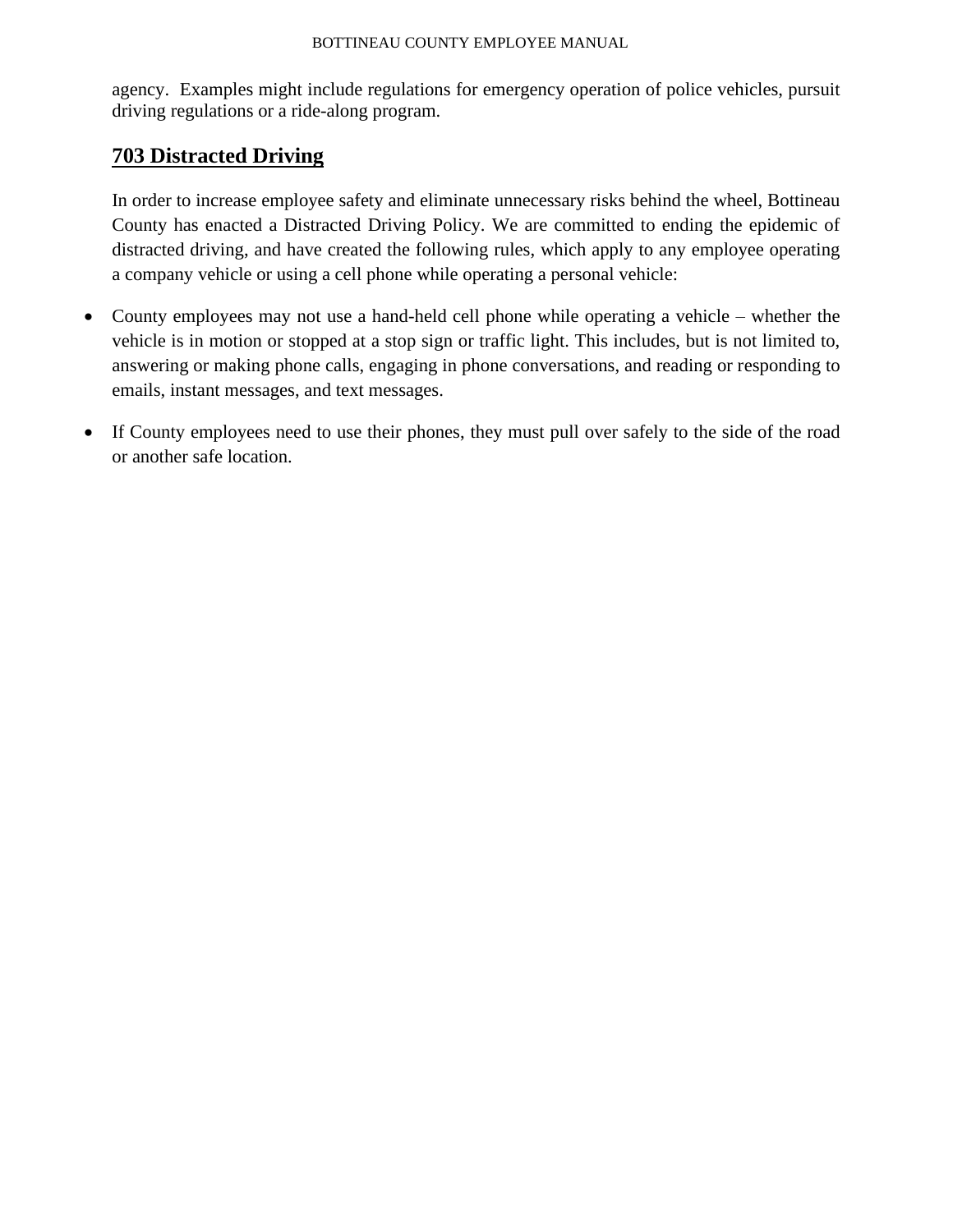agency. Examples might include regulations for emergency operation of police vehicles, pursuit driving regulations or a ride-along program.

# **703 Distracted Driving**

In order to increase employee safety and eliminate unnecessary risks behind the wheel, Bottineau County has enacted a Distracted Driving Policy. We are committed to ending the epidemic of distracted driving, and have created the following rules, which apply to any employee operating a company vehicle or using a cell phone while operating a personal vehicle:

- County employees may not use a hand-held cell phone while operating a vehicle whether the vehicle is in motion or stopped at a stop sign or traffic light. This includes, but is not limited to, answering or making phone calls, engaging in phone conversations, and reading or responding to emails, instant messages, and text messages.
- If County employees need to use their phones, they must pull over safely to the side of the road or another safe location.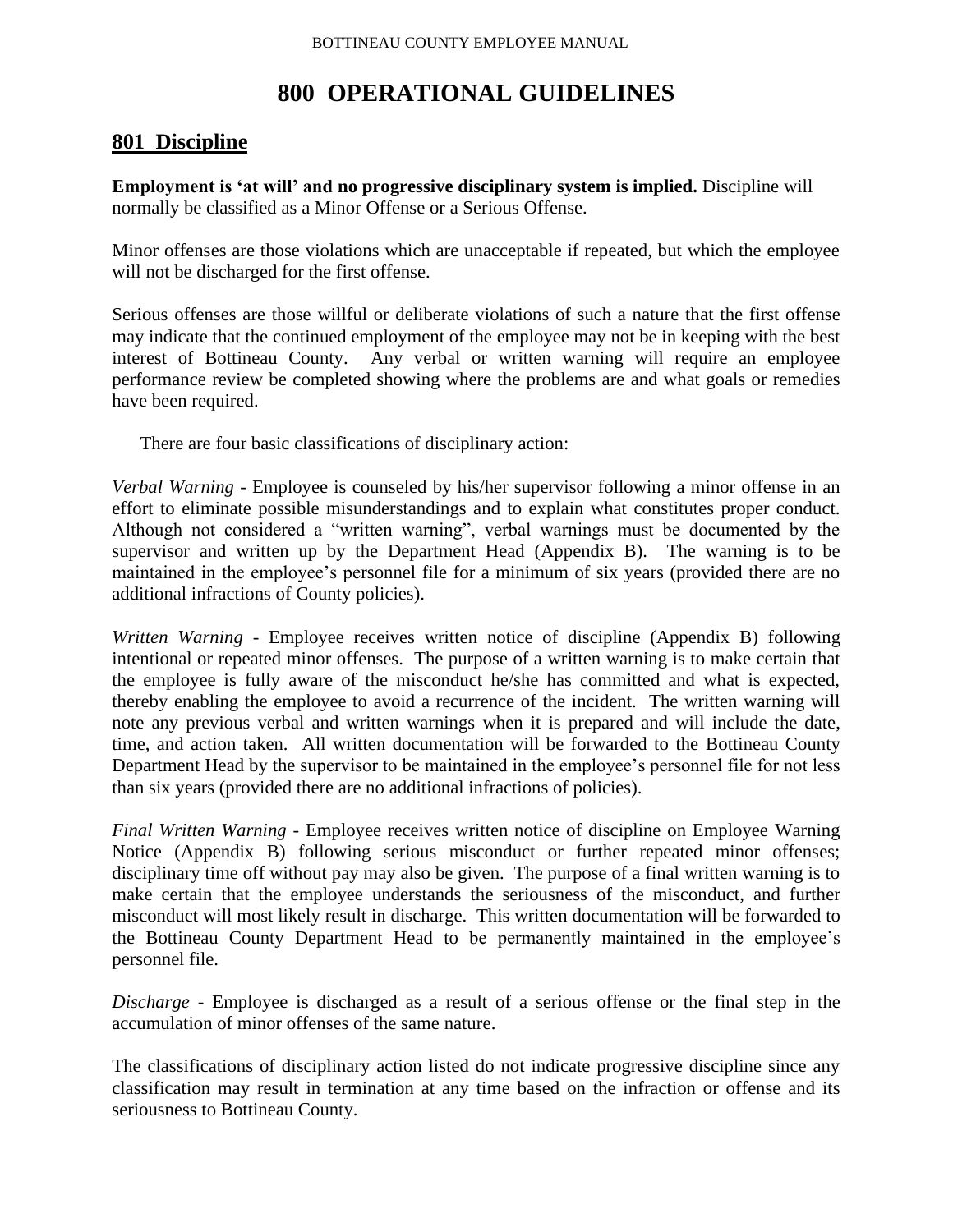# **800 OPERATIONAL GUIDELINES**

# **801 Discipline**

**Employment is 'at will' and no progressive disciplinary system is implied.** Discipline will normally be classified as a Minor Offense or a Serious Offense.

Minor offenses are those violations which are unacceptable if repeated, but which the employee will not be discharged for the first offense.

Serious offenses are those willful or deliberate violations of such a nature that the first offense may indicate that the continued employment of the employee may not be in keeping with the best interest of Bottineau County. Any verbal or written warning will require an employee performance review be completed showing where the problems are and what goals or remedies have been required.

There are four basic classifications of disciplinary action:

*Verbal Warning* - Employee is counseled by his/her supervisor following a minor offense in an effort to eliminate possible misunderstandings and to explain what constitutes proper conduct. Although not considered a "written warning", verbal warnings must be documented by the supervisor and written up by the Department Head (Appendix B). The warning is to be maintained in the employee's personnel file for a minimum of six years (provided there are no additional infractions of County policies).

*Written Warning* - Employee receives written notice of discipline (Appendix B) following intentional or repeated minor offenses. The purpose of a written warning is to make certain that the employee is fully aware of the misconduct he/she has committed and what is expected, thereby enabling the employee to avoid a recurrence of the incident. The written warning will note any previous verbal and written warnings when it is prepared and will include the date, time, and action taken. All written documentation will be forwarded to the Bottineau County Department Head by the supervisor to be maintained in the employee's personnel file for not less than six years (provided there are no additional infractions of policies).

*Final Written Warning* - Employee receives written notice of discipline on Employee Warning Notice (Appendix B) following serious misconduct or further repeated minor offenses; disciplinary time off without pay may also be given. The purpose of a final written warning is to make certain that the employee understands the seriousness of the misconduct, and further misconduct will most likely result in discharge. This written documentation will be forwarded to the Bottineau County Department Head to be permanently maintained in the employee's personnel file.

*Discharge* - Employee is discharged as a result of a serious offense or the final step in the accumulation of minor offenses of the same nature.

The classifications of disciplinary action listed do not indicate progressive discipline since any classification may result in termination at any time based on the infraction or offense and its seriousness to Bottineau County.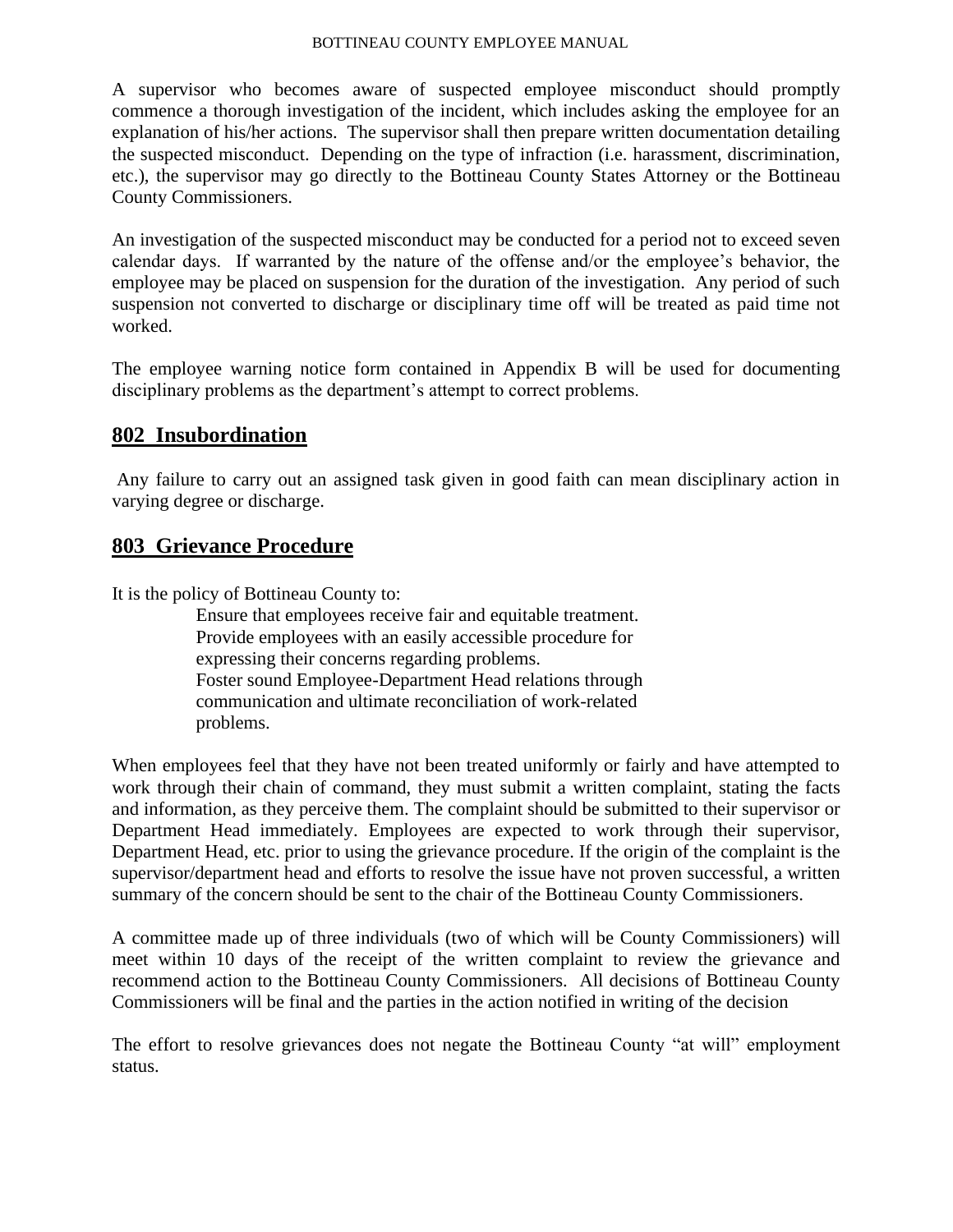A supervisor who becomes aware of suspected employee misconduct should promptly commence a thorough investigation of the incident, which includes asking the employee for an explanation of his/her actions. The supervisor shall then prepare written documentation detailing the suspected misconduct. Depending on the type of infraction (i.e. harassment, discrimination, etc.), the supervisor may go directly to the Bottineau County States Attorney or the Bottineau County Commissioners.

An investigation of the suspected misconduct may be conducted for a period not to exceed seven calendar days. If warranted by the nature of the offense and/or the employee's behavior, the employee may be placed on suspension for the duration of the investigation. Any period of such suspension not converted to discharge or disciplinary time off will be treated as paid time not worked.

The employee warning notice form contained in Appendix B will be used for documenting disciplinary problems as the department's attempt to correct problems.

# **802 Insubordination**

Any failure to carry out an assigned task given in good faith can mean disciplinary action in varying degree or discharge.

### **803 Grievance Procedure**

It is the policy of Bottineau County to:

Ensure that employees receive fair and equitable treatment. Provide employees with an easily accessible procedure for expressing their concerns regarding problems. Foster sound Employee-Department Head relations through communication and ultimate reconciliation of work-related problems.

When employees feel that they have not been treated uniformly or fairly and have attempted to work through their chain of command, they must submit a written complaint, stating the facts and information, as they perceive them. The complaint should be submitted to their supervisor or Department Head immediately. Employees are expected to work through their supervisor, Department Head, etc. prior to using the grievance procedure. If the origin of the complaint is the supervisor/department head and efforts to resolve the issue have not proven successful, a written summary of the concern should be sent to the chair of the Bottineau County Commissioners.

A committee made up of three individuals (two of which will be County Commissioners) will meet within 10 days of the receipt of the written complaint to review the grievance and recommend action to the Bottineau County Commissioners. All decisions of Bottineau County Commissioners will be final and the parties in the action notified in writing of the decision

The effort to resolve grievances does not negate the Bottineau County "at will" employment status.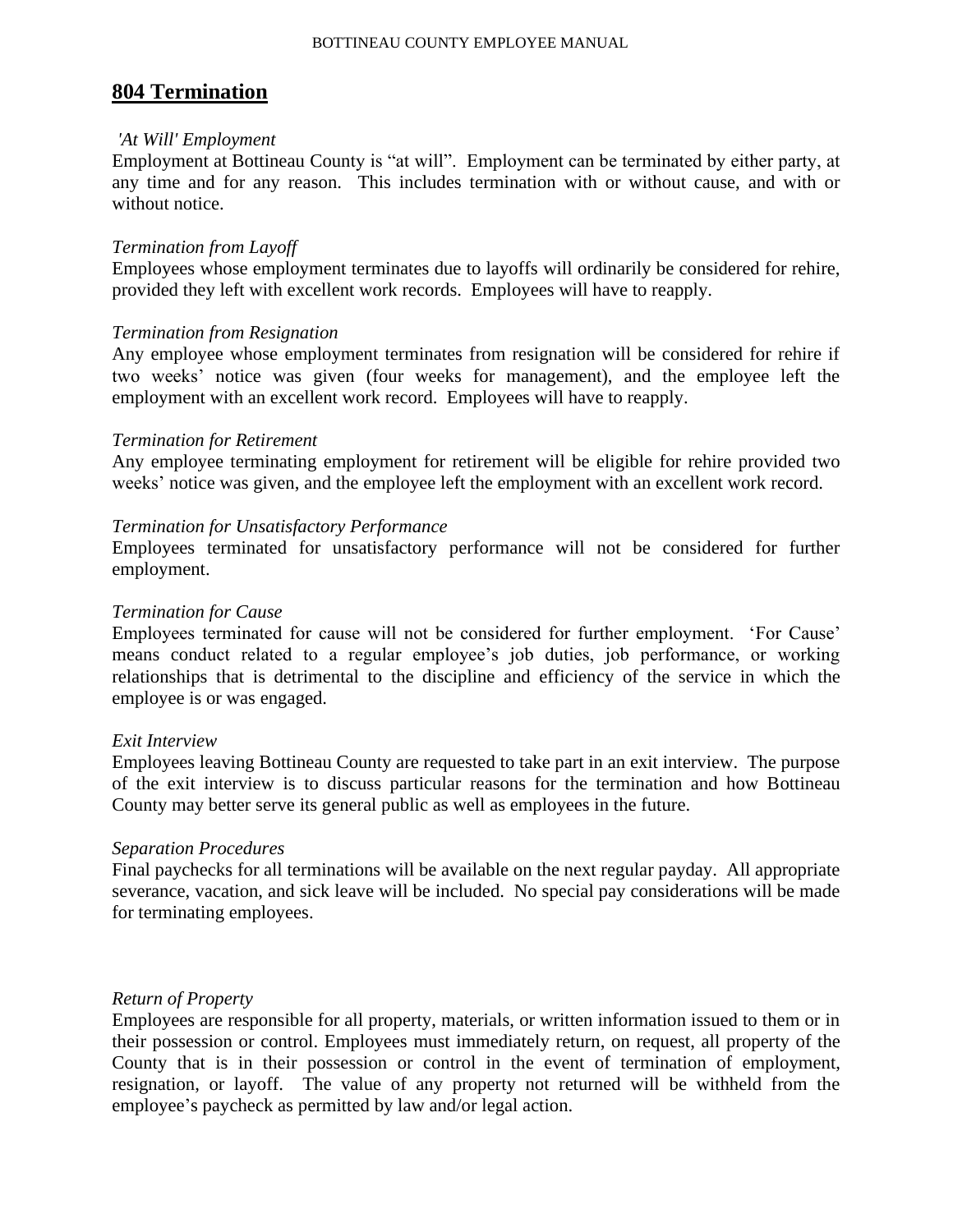### **804 Termination**

#### *'At Will' Employment*

Employment at Bottineau County is "at will". Employment can be terminated by either party, at any time and for any reason. This includes termination with or without cause, and with or without notice.

#### *Termination from Layoff*

Employees whose employment terminates due to layoffs will ordinarily be considered for rehire, provided they left with excellent work records. Employees will have to reapply.

#### *Termination from Resignation*

Any employee whose employment terminates from resignation will be considered for rehire if two weeks' notice was given (four weeks for management), and the employee left the employment with an excellent work record. Employees will have to reapply.

#### *Termination for Retirement*

Any employee terminating employment for retirement will be eligible for rehire provided two weeks' notice was given, and the employee left the employment with an excellent work record.

#### *Termination for Unsatisfactory Performance*

Employees terminated for unsatisfactory performance will not be considered for further employment.

#### *Termination for Cause*

Employees terminated for cause will not be considered for further employment. 'For Cause' means conduct related to a regular employee's job duties, job performance, or working relationships that is detrimental to the discipline and efficiency of the service in which the employee is or was engaged.

#### *Exit Interview*

Employees leaving Bottineau County are requested to take part in an exit interview. The purpose of the exit interview is to discuss particular reasons for the termination and how Bottineau County may better serve its general public as well as employees in the future.

#### *Separation Procedures*

Final paychecks for all terminations will be available on the next regular payday. All appropriate severance, vacation, and sick leave will be included. No special pay considerations will be made for terminating employees.

#### *Return of Property*

Employees are responsible for all property, materials, or written information issued to them or in their possession or control. Employees must immediately return, on request, all property of the County that is in their possession or control in the event of termination of employment, resignation, or layoff. The value of any property not returned will be withheld from the employee's paycheck as permitted by law and/or legal action.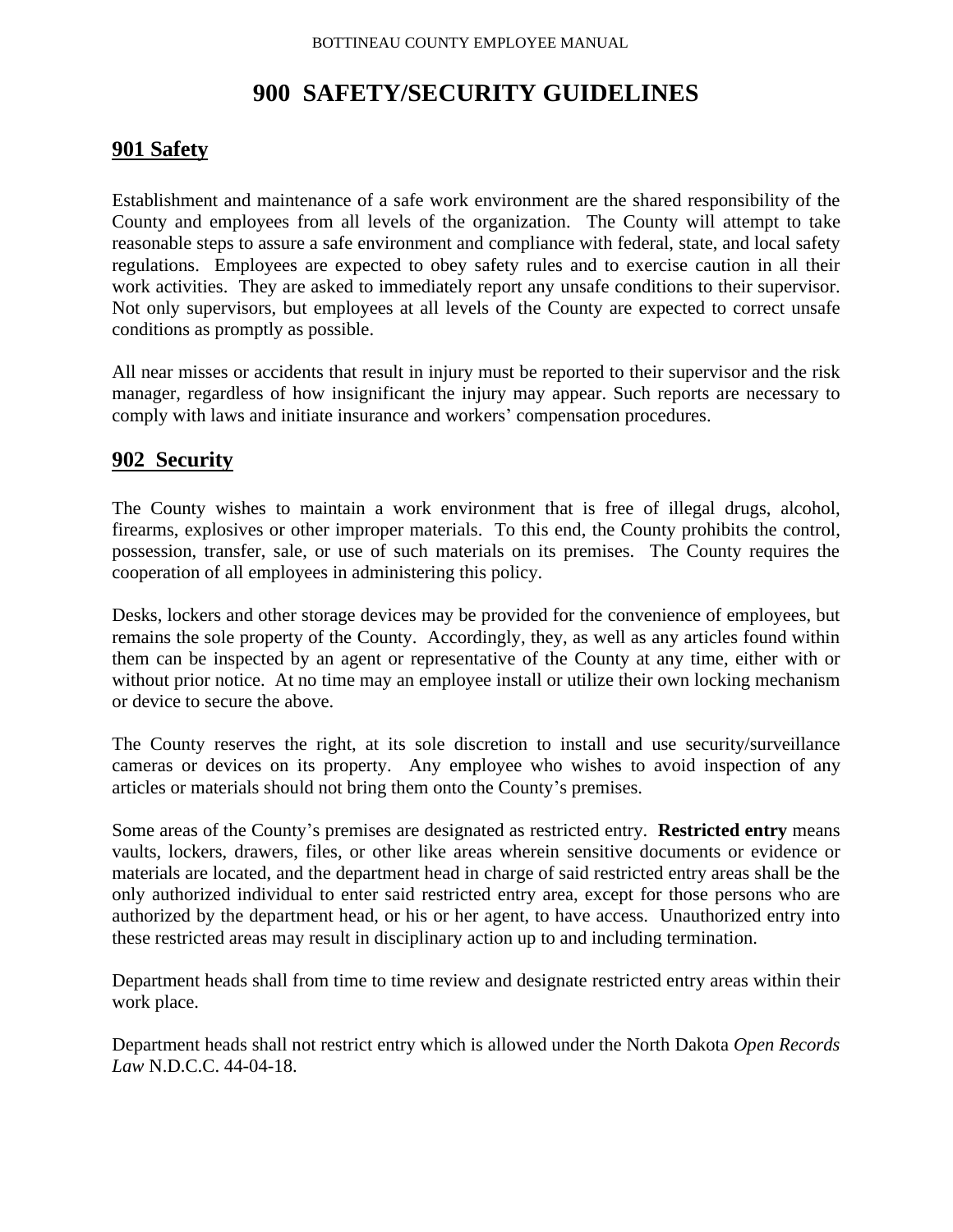# **900 SAFETY/SECURITY GUIDELINES**

# **901 Safety**

Establishment and maintenance of a safe work environment are the shared responsibility of the County and employees from all levels of the organization. The County will attempt to take reasonable steps to assure a safe environment and compliance with federal, state, and local safety regulations. Employees are expected to obey safety rules and to exercise caution in all their work activities. They are asked to immediately report any unsafe conditions to their supervisor. Not only supervisors, but employees at all levels of the County are expected to correct unsafe conditions as promptly as possible.

All near misses or accidents that result in injury must be reported to their supervisor and the risk manager, regardless of how insignificant the injury may appear. Such reports are necessary to comply with laws and initiate insurance and workers' compensation procedures.

# **902 Security**

The County wishes to maintain a work environment that is free of illegal drugs, alcohol, firearms, explosives or other improper materials. To this end, the County prohibits the control, possession, transfer, sale, or use of such materials on its premises. The County requires the cooperation of all employees in administering this policy.

Desks, lockers and other storage devices may be provided for the convenience of employees, but remains the sole property of the County. Accordingly, they, as well as any articles found within them can be inspected by an agent or representative of the County at any time, either with or without prior notice. At no time may an employee install or utilize their own locking mechanism or device to secure the above.

The County reserves the right, at its sole discretion to install and use security/surveillance cameras or devices on its property. Any employee who wishes to avoid inspection of any articles or materials should not bring them onto the County's premises.

Some areas of the County's premises are designated as restricted entry. **Restricted entry** means vaults, lockers, drawers, files, or other like areas wherein sensitive documents or evidence or materials are located, and the department head in charge of said restricted entry areas shall be the only authorized individual to enter said restricted entry area, except for those persons who are authorized by the department head, or his or her agent, to have access. Unauthorized entry into these restricted areas may result in disciplinary action up to and including termination.

Department heads shall from time to time review and designate restricted entry areas within their work place.

Department heads shall not restrict entry which is allowed under the North Dakota *Open Records Law* N.D.C.C. 44-04-18.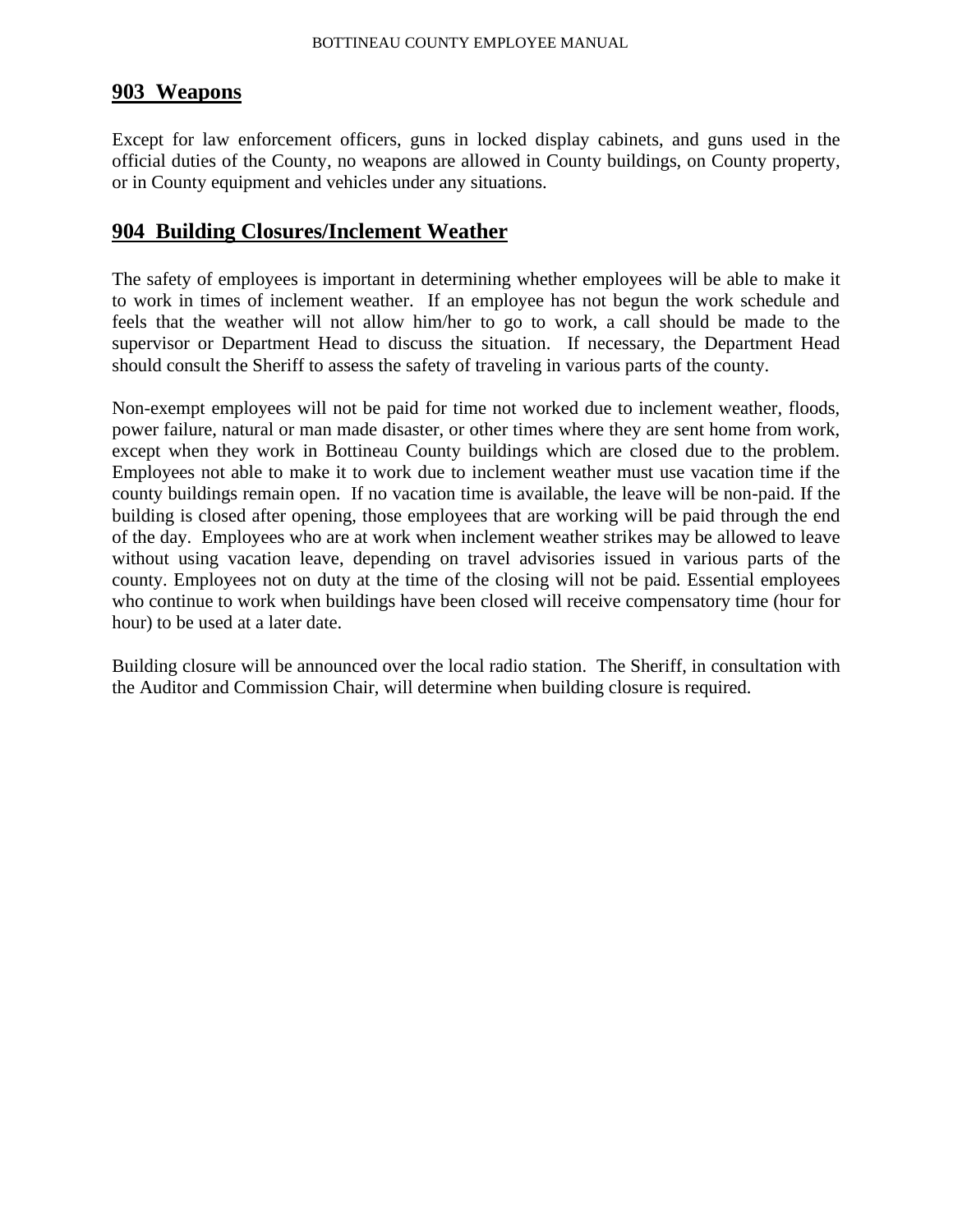### **903 Weapons**

Except for law enforcement officers, guns in locked display cabinets, and guns used in the official duties of the County, no weapons are allowed in County buildings, on County property, or in County equipment and vehicles under any situations.

### **904 Building Closures/Inclement Weather**

The safety of employees is important in determining whether employees will be able to make it to work in times of inclement weather. If an employee has not begun the work schedule and feels that the weather will not allow him/her to go to work, a call should be made to the supervisor or Department Head to discuss the situation. If necessary, the Department Head should consult the Sheriff to assess the safety of traveling in various parts of the county.

Non-exempt employees will not be paid for time not worked due to inclement weather, floods, power failure, natural or man made disaster, or other times where they are sent home from work, except when they work in Bottineau County buildings which are closed due to the problem. Employees not able to make it to work due to inclement weather must use vacation time if the county buildings remain open. If no vacation time is available, the leave will be non-paid. If the building is closed after opening, those employees that are working will be paid through the end of the day. Employees who are at work when inclement weather strikes may be allowed to leave without using vacation leave, depending on travel advisories issued in various parts of the county. Employees not on duty at the time of the closing will not be paid. Essential employees who continue to work when buildings have been closed will receive compensatory time (hour for hour) to be used at a later date.

Building closure will be announced over the local radio station. The Sheriff, in consultation with the Auditor and Commission Chair, will determine when building closure is required.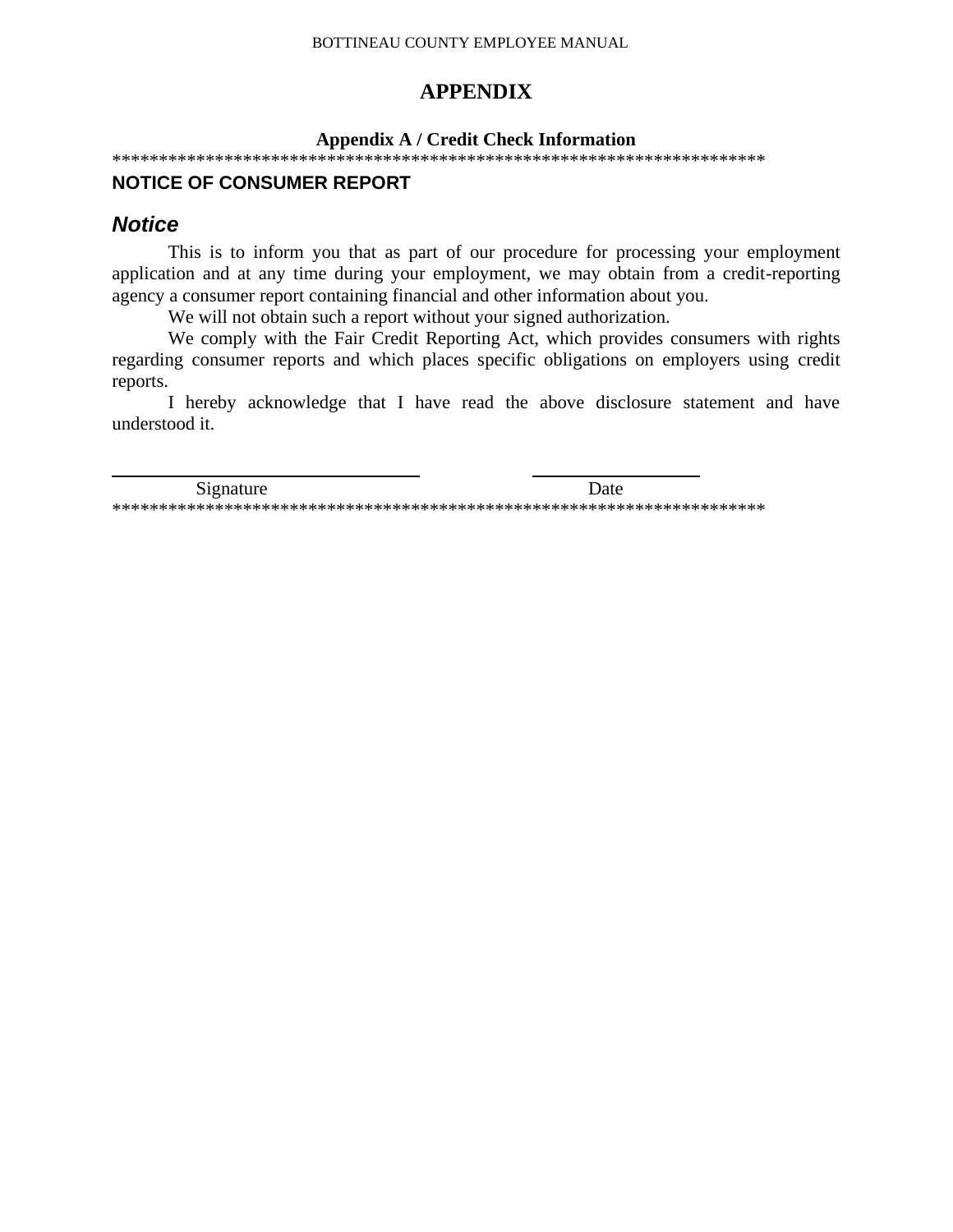# **APPENDIX**

#### **Appendix A / Credit Check Information**

\*\*\*\*\*\*\*\*\*\*\*\*\*\*\*\*\*\*\*\*\*\*\*\*\*\*\*\*\*\*\*\*\*\*\*\*\*\*\*\*\*\*\*\*\*\*\*\*\*\*\*\*\*\*\*\*\*\*\*\*\*\*\*\*\*\*\*\*\*\*

#### **NOTICE OF CONSUMER REPORT**

### *Notice*

This is to inform you that as part of our procedure for processing your employment application and at any time during your employment, we may obtain from a credit-reporting agency a consumer report containing financial and other information about you.

We will not obtain such a report without your signed authorization.

We comply with the Fair Credit Reporting Act, which provides consumers with rights regarding consumer reports and which places specific obligations on employers using credit reports.

I hereby acknowledge that I have read the above disclosure statement and have understood it.

Signature Date \*\*\*\*\*\*\*\*\*\*\*\*\*\*\*\*\*\*\*\*\*\*\*\*\*\*\*\*\*\*\*\*\*\*\*\*\*\*\*\*\*\*\*\*\*\*\*\*\*\*\*\*\*\*\*\*\*\*\*\*\*\*\*\*\*\*\*\*\*\*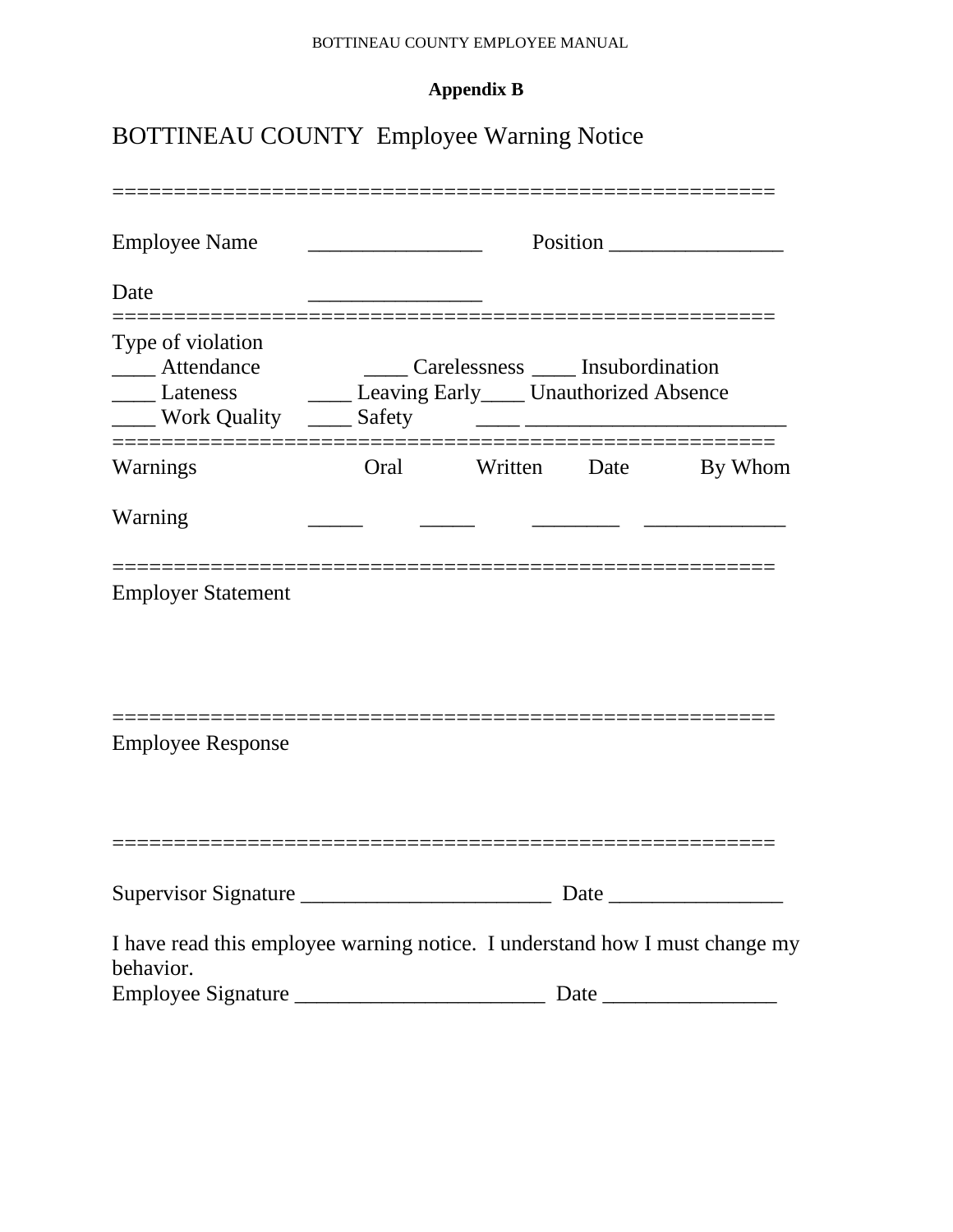# **Appendix B**

# BOTTINEAU COUNTY Employee Warning Notice

| <b>Employee Name</b>                                                                                         |      | Position                           |                                                       |                                                                                                                                                                                                                               |  |
|--------------------------------------------------------------------------------------------------------------|------|------------------------------------|-------------------------------------------------------|-------------------------------------------------------------------------------------------------------------------------------------------------------------------------------------------------------------------------------|--|
| Date                                                                                                         |      |                                    |                                                       |                                                                                                                                                                                                                               |  |
| Type of violation<br>Attendance<br>Lateness Leaving Early Unauthorized Absence<br>Work Quality ______ Safety |      | Carelessness _____ Insubordination | <u> 1988 - Johann Stoff, fransk politik (d. 1989)</u> |                                                                                                                                                                                                                               |  |
| Warnings                                                                                                     | Oral |                                    | Written Date                                          | By Whom                                                                                                                                                                                                                       |  |
| Warning                                                                                                      |      |                                    |                                                       |                                                                                                                                                                                                                               |  |
| <b>Employer Statement</b>                                                                                    |      |                                    |                                                       |                                                                                                                                                                                                                               |  |
| <b>Employee Response</b>                                                                                     |      |                                    |                                                       |                                                                                                                                                                                                                               |  |
|                                                                                                              |      |                                    |                                                       |                                                                                                                                                                                                                               |  |
| Supervisor Signature                                                                                         |      |                                    |                                                       | Date has been a series of the series of the series of the series of the series of the series of the series of the series of the series of the series of the series of the series of the series of the series of the series of |  |
| I have read this employee warning notice. I understand how I must change my<br>behavior.                     |      |                                    |                                                       |                                                                                                                                                                                                                               |  |
| Employee Signature                                                                                           |      |                                    |                                                       |                                                                                                                                                                                                                               |  |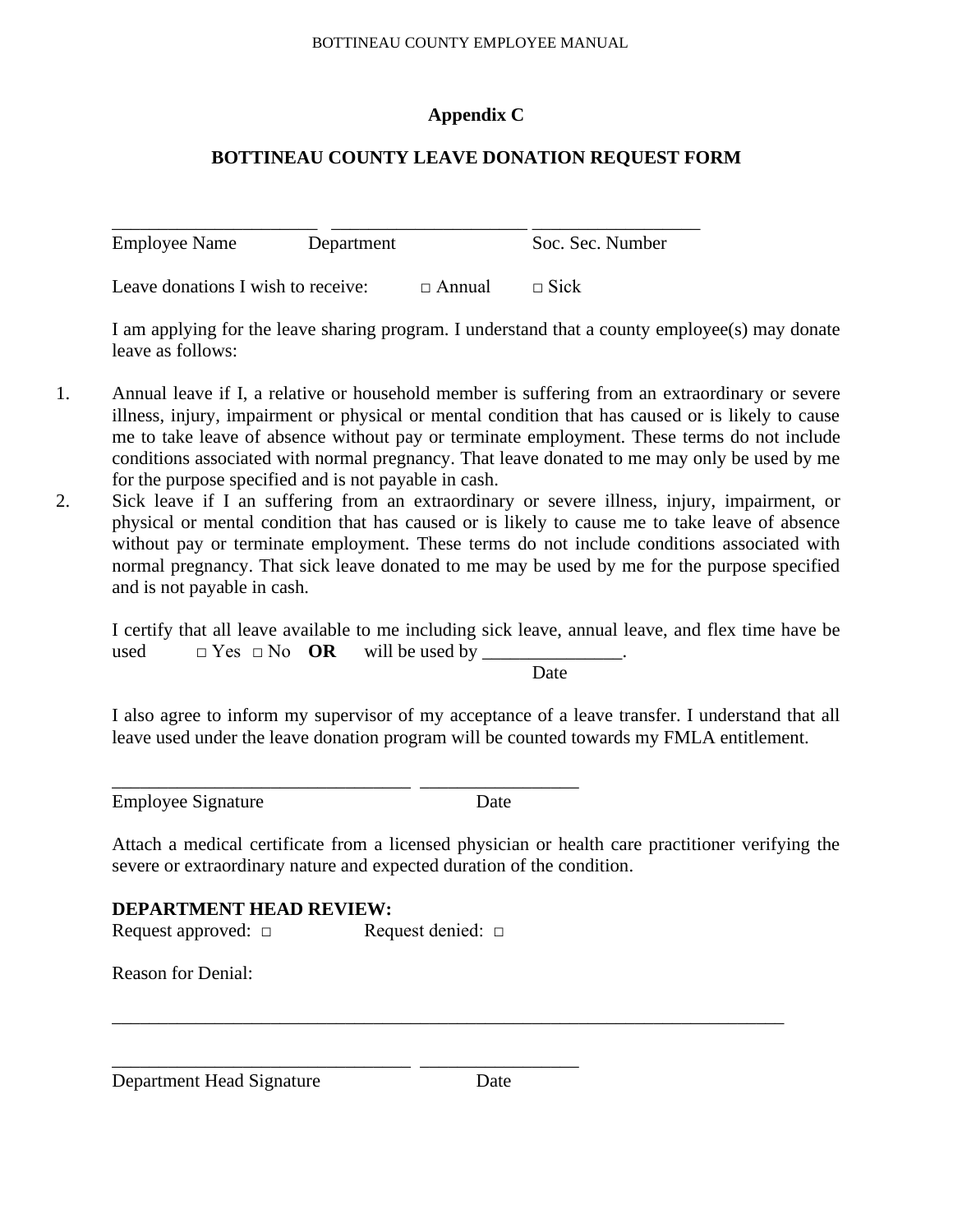# **Appendix C**

# **BOTTINEAU COUNTY LEAVE DONATION REQUEST FORM**

\_\_\_\_\_\_\_\_\_\_\_\_\_\_\_\_\_\_\_\_\_\_ \_\_\_\_\_\_\_\_\_\_\_\_\_\_\_\_\_\_\_\_\_ \_\_\_\_\_\_\_\_\_\_\_\_\_\_\_\_\_\_ Employee Name Department Soc. Sec. Number

Leave donations I wish to receive:  $\Box$  Annual  $\Box$  Sick

I am applying for the leave sharing program. I understand that a county employee(s) may donate leave as follows:

- 1. Annual leave if I, a relative or household member is suffering from an extraordinary or severe illness, injury, impairment or physical or mental condition that has caused or is likely to cause me to take leave of absence without pay or terminate employment. These terms do not include conditions associated with normal pregnancy. That leave donated to me may only be used by me for the purpose specified and is not payable in cash.
- 2. Sick leave if I an suffering from an extraordinary or severe illness, injury, impairment, or physical or mental condition that has caused or is likely to cause me to take leave of absence without pay or terminate employment. These terms do not include conditions associated with normal pregnancy. That sick leave donated to me may be used by me for the purpose specified and is not payable in cash.

I certify that all leave available to me including sick leave, annual leave, and flex time have be used  $\square$  Yes  $\square$  No **OR** will be used by

Date

I also agree to inform my supervisor of my acceptance of a leave transfer. I understand that all leave used under the leave donation program will be counted towards my FMLA entitlement.

Employee Signature Date

Attach a medical certificate from a licensed physician or health care practitioner verifying the severe or extraordinary nature and expected duration of the condition.

# **DEPARTMENT HEAD REVIEW:**

Request approved: □ Request denied: □

\_\_\_\_\_\_\_\_\_\_\_\_\_\_\_\_\_\_\_\_\_\_\_\_\_\_\_\_\_\_\_\_ \_\_\_\_\_\_\_\_\_\_\_\_\_\_\_\_\_

\_\_\_\_\_\_\_\_\_\_\_\_\_\_\_\_\_\_\_\_\_\_\_\_\_\_\_\_\_\_\_\_ \_\_\_\_\_\_\_\_\_\_\_\_\_\_\_\_\_

Reason for Denial:

Department Head Signature Date

\_\_\_\_\_\_\_\_\_\_\_\_\_\_\_\_\_\_\_\_\_\_\_\_\_\_\_\_\_\_\_\_\_\_\_\_\_\_\_\_\_\_\_\_\_\_\_\_\_\_\_\_\_\_\_\_\_\_\_\_\_\_\_\_\_\_\_\_\_\_\_\_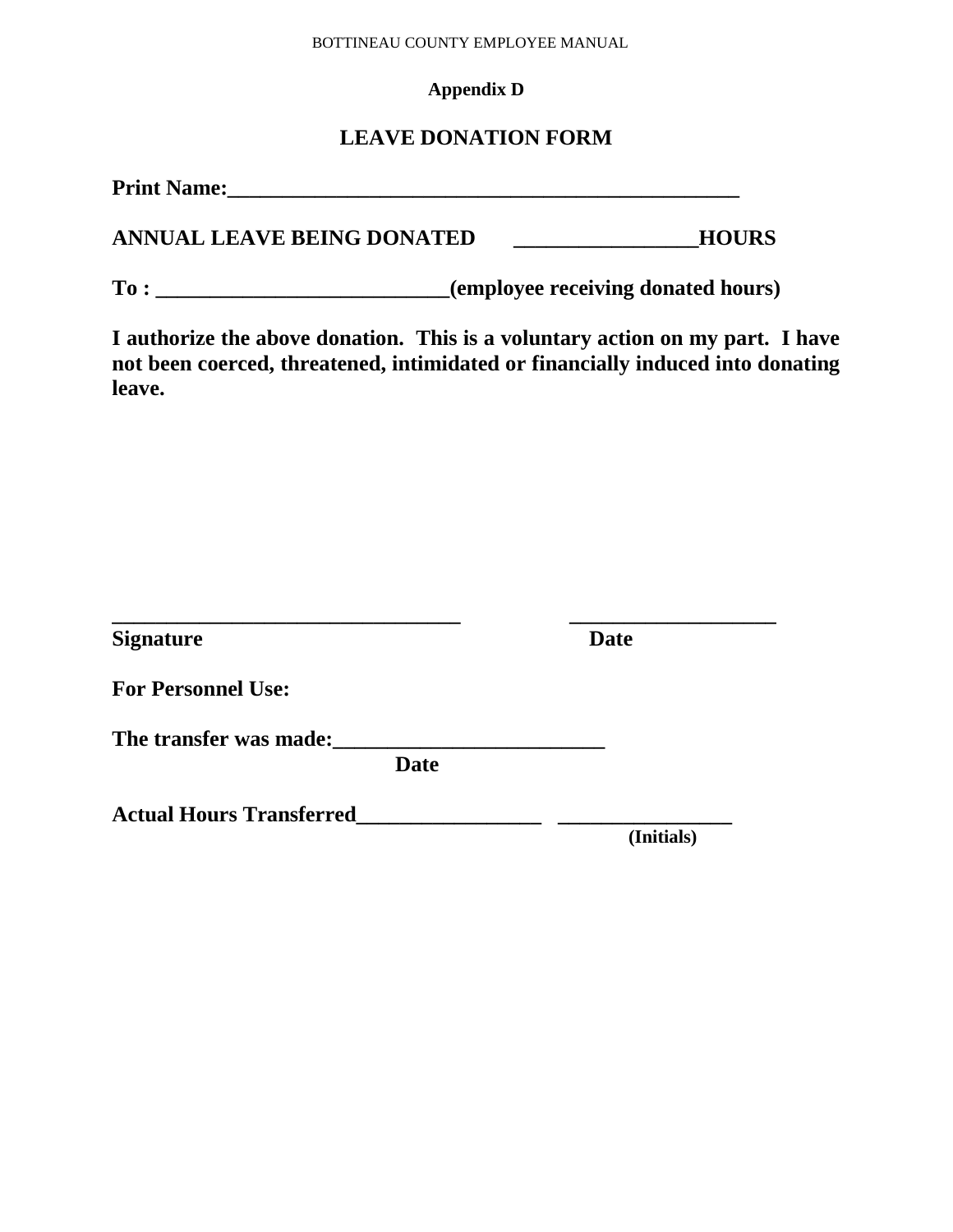### **Appendix D**

# **LEAVE DONATION FORM**

| <b>Print Name:</b> |  |  |  |
|--------------------|--|--|--|
|                    |  |  |  |
|                    |  |  |  |

**ANNUAL LEAVE BEING DONATED \_\_\_\_\_\_\_\_\_\_\_\_\_\_\_\_\_HOURS**

**To : \_\_\_\_\_\_\_\_\_\_\_\_\_\_\_\_\_\_\_\_\_\_\_\_\_\_\_(employee receiving donated hours)**

**I authorize the above donation. This is a voluntary action on my part. I have not been coerced, threatened, intimidated or financially induced into donating leave.**

| <b>Signature</b>                | <b>Date</b> |
|---------------------------------|-------------|
| <b>For Personnel Use:</b>       |             |
| The transfer was made:          |             |
| <b>Date</b>                     |             |
| <b>Actual Hours Transferred</b> |             |
|                                 | (Initials)  |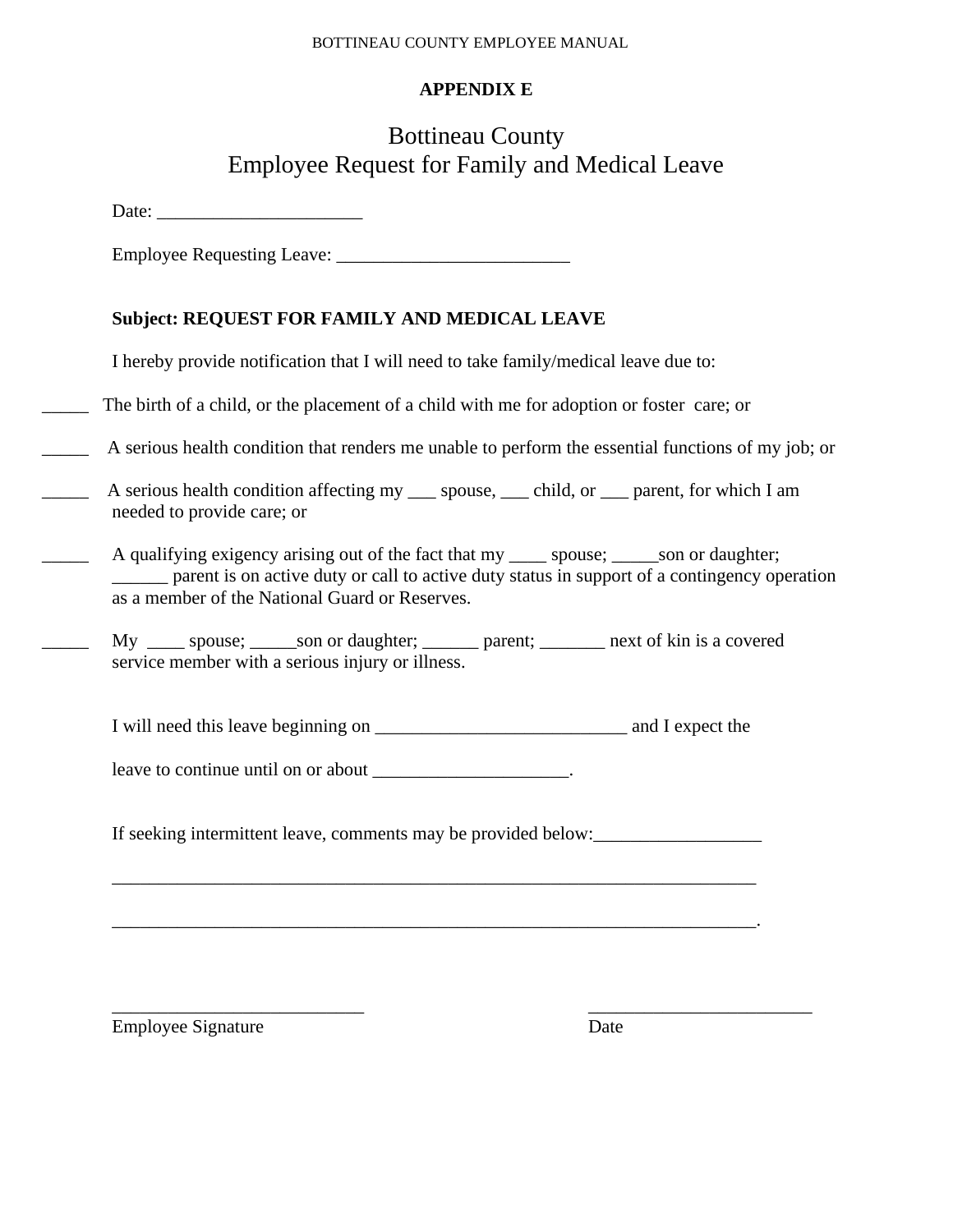# **APPENDIX E**

# Bottineau County Employee Request for Family and Medical Leave

Date: \_\_\_\_\_\_\_\_\_\_\_\_\_\_\_\_\_\_\_\_\_\_

Employee Requesting Leave: \_\_\_\_\_\_\_\_\_\_\_\_\_\_\_\_\_\_\_\_\_\_\_\_\_

# **Subject: REQUEST FOR FAMILY AND MEDICAL LEAVE**

I hereby provide notification that I will need to take family/medical leave due to:

The birth of a child, or the placement of a child with me for adoption or foster care; or

\_\_\_\_\_ A serious health condition that renders me unable to perform the essential functions of my job; or

- A serious health condition affecting my spouse, child, or parent, for which I am needed to provide care; or
	- A qualifying exigency arising out of the fact that my \_\_\_\_\_ spouse; \_\_\_\_\_son or daughter; parent is on active duty or call to active duty status in support of a contingency operation as a member of the National Guard or Reserves.
	- My \_\_\_\_\_ spouse; \_\_\_\_\_ son or daughter; \_\_\_\_\_\_\_ parent; \_\_\_\_\_\_\_ next of kin is a covered service member with a serious injury or illness.

I will need this leave beginning on \_\_\_\_\_\_\_\_\_\_\_\_\_\_\_\_\_\_\_\_\_\_\_\_\_\_\_ and I expect the

leave to continue until on or about \_\_\_\_\_\_\_\_\_\_\_\_\_\_\_\_\_\_\_\_\_.

If seeking intermittent leave, comments may be provided below:

\_\_\_\_\_\_\_\_\_\_\_\_\_\_\_\_\_\_\_\_\_\_\_\_\_\_\_\_\_\_\_\_\_\_\_\_\_\_\_\_\_\_\_\_\_\_\_\_\_\_\_\_\_\_\_\_\_\_\_\_\_\_\_\_\_\_\_\_\_

\_\_\_\_\_\_\_\_\_\_\_\_\_\_\_\_\_\_\_\_\_\_\_\_\_\_\_\_\_\_\_\_\_\_\_\_\_\_\_\_\_\_\_\_\_\_\_\_\_\_\_\_\_\_\_\_\_\_\_\_\_\_\_\_\_\_\_\_\_.

\_\_\_\_\_\_\_\_\_\_\_\_\_\_\_\_\_\_\_\_\_\_\_\_\_\_\_ \_\_\_\_\_\_\_\_\_\_\_\_\_\_\_\_\_\_\_\_\_\_\_\_

Employee Signature Date